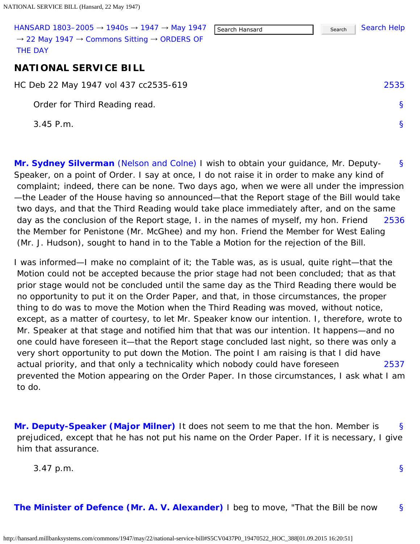<span id="page-0-1"></span><span id="page-0-0"></span>

| HANSARD 1803-2005 $\rightarrow$ 1940s $\rightarrow$ 1947 $\rightarrow$ May 1947<br>$\rightarrow$ 22 May 1947 $\rightarrow$ Commons Sitting $\rightarrow$ ORDERS OF<br><b>THE DAY</b> | Search Hansard | Search | Search Help  |
|--------------------------------------------------------------------------------------------------------------------------------------------------------------------------------------|----------------|--------|--------------|
| <b>NATIONAL SERVICE BILL</b>                                                                                                                                                         |                |        |              |
| HC Deb 22 May 1947 vol 437 cc2535-619                                                                                                                                                |                |        | 2535         |
| Order for Third Reading read.                                                                                                                                                        |                |        | <sub>S</sub> |
| $3.45$ P.m.                                                                                                                                                                          |                |        | S            |
|                                                                                                                                                                                      |                |        |              |

<span id="page-0-2"></span>[§](#page-0-2) [2536](#page-0-3) **[Mr. Sydney Silverman](http://hansard.millbanksystems.com/people/mr-samuel-silverman)** [\(Nelson and Colne\)](http://hansard.millbanksystems.com/constituencies/nelson-and-colne) I wish to obtain your guidance, Mr. Deputy-Speaker, on a point of Order. I say at once, I do not raise it in order to make any kind of complaint; indeed, there can be none. Two days ago, when we were all under the impression —the Leader of the House having so announced—that the Report stage of the Bill would take two days, and that the Third Reading would take place immediately after, and on the same day as the conclusion of the Report stage, I. in the names of myself, my hon. Friend the Member for Penistone (Mr. McGhee) and my hon. Friend the Member for West Ealing (Mr. J. Hudson), sought to hand in to the Table a Motion for the rejection of the Bill.

<span id="page-0-3"></span>[2537](#page-0-4) I was informed—I make no complaint of it; the Table was, as is usual, quite right—that the Motion could not be accepted because the prior stage had not been concluded; that as that prior stage would not be concluded until the same day as the Third Reading there would be no opportunity to put it on the Order Paper, and that, in those circumstances, the proper thing to do was to move the Motion when the Third Reading was moved, without notice, except, as a matter of courtesy, to let Mr. Speaker know our intention. I, therefore, wrote to Mr. Speaker at that stage and notified him that that was our intention. It happens—and no one could have foreseen it—that the Report stage concluded last night, so there was only a very short opportunity to put down the Motion. The point I am raising is that I did have actual priority, and that only a technicality which nobody could have foreseen prevented the Motion appearing on the Order Paper. In those circumstances, I ask what I am to do.

<span id="page-0-5"></span><span id="page-0-4"></span>[§](#page-0-5) **[Mr. Deputy-Speaker \(Major Milner\)](http://hansard.millbanksystems.com/people/mr-james-milner)** It does not seem to me that the hon. Member is prejudiced, except that he has not put his name on the Order Paper. If it is necessary, I give him that assurance.

3.47 p.m.

```
§
```
<span id="page-0-6"></span>[§](#page-0-6) **[The Minister of Defence \(Mr. A. V. Alexander\)](http://hansard.millbanksystems.com/people/mr-albert-alexander)** I beg to move, "That the Bill be now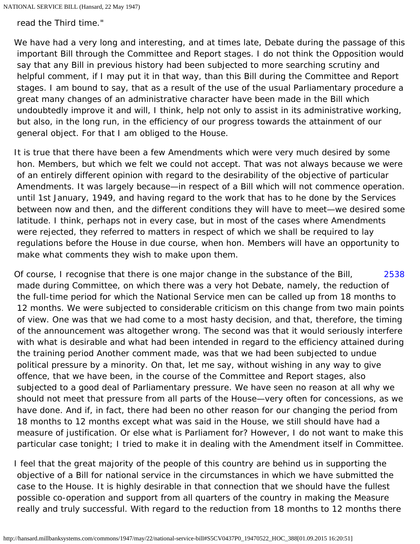read the Third time."

We have had a very long and interesting, and at times late, Debate during the passage of this important Bill through the Committee and Report stages. I do not think the Opposition would say that any Bill in previous history had been subjected to more searching scrutiny and helpful comment, if I may put it in that way, than this Bill during the Committee and Report stages. I am bound to say, that as a result of the use of the usual Parliamentary procedure a great many changes of an administrative character have been made in the Bill which undoubtedly improve it and will, I think, help not only to assist in its administrative working, but also, in the long run, in the efficiency of our progress towards the attainment of our general object. For that I am obliged to the House.

It is true that there have been a few Amendments which were very much desired by some hon. Members, but which we felt we could not accept. That was not always because we were of an entirely different opinion with regard to the desirability of the objective of particular Amendments. It was largely because—in respect of a Bill which will not commence operation. until 1st January, 1949, and having regard to the work that has to he done by the Services between now and then, and the different conditions they will have to meet—we desired some latitude. I think, perhaps not in every case, but in most of the cases where Amendments were rejected, they referred to matters in respect of which we shall be required to lay regulations before the House in due course, when hon. Members will have an opportunity to make what comments they wish to make upon them.

<span id="page-1-0"></span>[2538](#page-1-0) Of course, I recognise that there is one major change in the substance of the Bill, made during Committee, on which there was a very hot Debate, namely, the reduction of the full-time period for which the National Service men can be called up from 18 months to 12 months. We were subjected to considerable criticism on this change from two main points of view. One was that we had come to a most hasty decision, and that, therefore, the timing of the announcement was altogether wrong. The second was that it would seriously interfere with what is desirable and what had been intended in regard to the efficiency attained during the training period Another comment made, was that we had been subjected to undue political pressure by a minority. On that, let me say, without wishing in any way to give offence, that we have been, in the course of the Committee and Report stages, also subjected to a good deal of Parliamentary pressure. We have seen no reason at all why we should not meet that pressure from all parts of the House—very often for concessions, as we have done. And if, in fact, there had been no other reason for our changing the period from 18 months to 12 months except what was said in the House, we still should have had a measure of justification. Or else what is Parliament for? However, I do not want to make this particular case tonight; I tried to make it in dealing with the Amendment itself in Committee.

I feel that the great majority of the people of this country are behind us in supporting the objective of a Bill for national service in the circumstances in which we have submitted the case to the House. It is highly desirable in that connection that we should have the fullest possible co-operation and support from all quarters of the country in making the Measure really and truly successful. With regard to the reduction from 18 months to 12 months there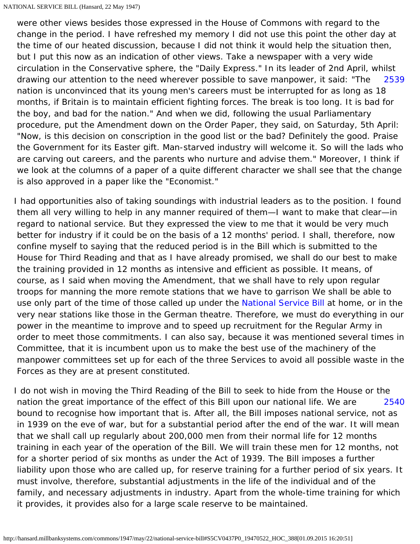<span id="page-2-0"></span>[2539](#page-2-0) were other views besides those expressed in the House of Commons with regard to the change in the period. I have refreshed my memory I did not use this point the other day at the time of our heated discussion, because I did not think it would help the situation then, but I put this now as an indication of other views. Take a newspaper with a very wide circulation in the Conservative sphere, the "Daily Express." In its leader of 2nd April, whilst drawing our attention to the need wherever possible to save manpower, it said: "The nation is unconvinced that its young men's careers must be interrupted for as long as 18 months, if Britain is to maintain efficient fighting forces. The break is too long. It is bad for the boy, and bad for the nation." And when we did, following the usual Parliamentary procedure, put the Amendment down on the Order Paper, they said, on Saturday, 5th April: "Now, is this decision on conscription in the good list or the bad? Definitely the good. Praise the Government for its Easter gift. Man-starved industry will welcome it. So will the lads who are carving out careers, and the parents who nurture and advise them." Moreover, I think if we look at the columns of a paper of a quite different character we shall see that the change is also approved in a paper like the "Economist."

I had opportunities also of taking soundings with industrial leaders as to the position. I found them all very willing to help in any manner required of them—I want to make that clear—in regard to national service. But they expressed the view to me that it would be very much better for industry if it could be on the basis of a 12 months' period. I shall, therefore, now confine myself to saying that the reduced period is in the Bill which is submitted to the House for Third Reading and that as I have already promised, we shall do our best to make the training provided in 12 months as intensive and efficient as possible. It means, of course, as I said when moving the Amendment, that we shall have to rely upon regular troops for manning the more remote stations that we have to garrison We shall be able to use only part of the time of those called up under the [National Service Bill](http://hansard.millbanksystems.com/bills/national-service-bill) at home, or in the very near stations like those in the German theatre. Therefore, we must do everything in our power in the meantime to improve and to speed up recruitment for the Regular Army in order to meet those commitments. I can also say, because it was mentioned several times in Committee, that it is incumbent upon us to make the best use of the machinery of the manpower committees set up for each of the three Services to avoid all possible waste in the Forces as they are at present constituted.

<span id="page-2-1"></span>[2540](#page-2-1) I do not wish in moving the Third Reading of the Bill to seek to hide from the House or the nation the great importance of the effect of this Bill upon our national life. We are bound to recognise how important that is. After all, the Bill imposes national service, not as in 1939 on the eve of war, but for a substantial period after the end of the war. It will mean that we shall call up regularly about 200,000 men from their normal life for 12 months training in each year of the operation of the Bill. We will train these men for 12 months, not for a shorter period of six months as under the Act of 1939. The Bill imposes a further liability upon those who are called up, for reserve training for a further period of six years. It must involve, therefore, substantial adjustments in the life of the individual and of the family, and necessary adjustments in industry. Apart from the whole-time training for which it provides, it provides also for a large scale reserve to be maintained.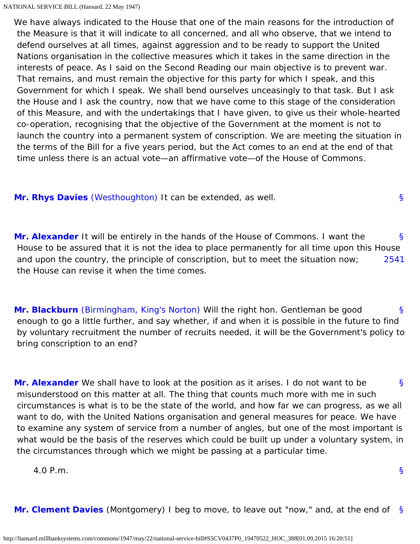We have always indicated to the House that one of the main reasons for the introduction of the Measure is that it will indicate to all concerned, and all who observe, that we intend to defend ourselves at all times, against aggression and to be ready to support the United Nations organisation in the collective measures which it takes in the same direction in the interests of peace. As I said on the Second Reading our main objective is to prevent war. That remains, and must remain the objective for this party for which I speak, and this Government for which I speak. We shall bend ourselves unceasingly to that task. But I ask the House and I ask the country, now that we have come to this stage of the consideration of this Measure, and with the undertakings that I have given, to give us their whole-hearted co-operation, recognising that the objective of the Government at the moment is not to launch the country into a permanent system of conscription. We are meeting the situation in the terms of the Bill for a five years period, but the Act comes to an end at the end of that time unless there is an actual vote—an affirmative vote—of the House of Commons.

<span id="page-3-1"></span><span id="page-3-0"></span>**[Mr. Rhys Davies](http://hansard.millbanksystems.com/people/mr-rhys-davies)** [\(Westhoughton\)](http://hansard.millbanksystems.com/constituencies/westhoughton) It can be extended, as well.

<span id="page-3-2"></span>[§](#page-3-1) [2541](#page-3-2) **[Mr. Alexander](http://hansard.millbanksystems.com/people/mr-albert-alexander)** It will be entirely in the hands of the House of Commons. I want the House to be assured that it is not the idea to place permanently for all time upon this House and upon the country, the principle of conscription, but to meet the situation now; the House can revise it when the time comes.

<span id="page-3-3"></span>[§](#page-3-3) **[Mr. Blackburn](http://hansard.millbanksystems.com/people/captain-albert-blackburn)** [\(Birmingham, King's Norton\)](http://hansard.millbanksystems.com/constituencies/birmingham-kings-norton) Will the right hon. Gentleman be good enough to go a little further, and say whether, if and when it is possible in the future to find by voluntary recruitment the number of recruits needed, it will be the Government's policy to bring conscription to an end?

<span id="page-3-4"></span>[§](#page-3-4) **[Mr. Alexander](http://hansard.millbanksystems.com/people/mr-albert-alexander)** We shall have to look at the position as it arises. I do not want to be misunderstood on this matter at all. The thing that counts much more with me in such circumstances is what is to be the state of the world, and how far we can progress, as we all want to do, with the United Nations organisation and general measures for peace. We have to examine any system of service from a number of angles, but one of the most important is what would be the basis of the reserves which could be built up under a voluntary system, in the circumstances through which we might be passing at a particular time.

4.0 P.m.

[§](#page-0-1)

[§](#page-3-0)

<span id="page-3-5"></span>[§](#page-3-5) **[Mr. Clement Davies](http://hansard.millbanksystems.com/people/mr-clement-davies)** (Montgomery) I beg to move, to leave out "now," and, at the end of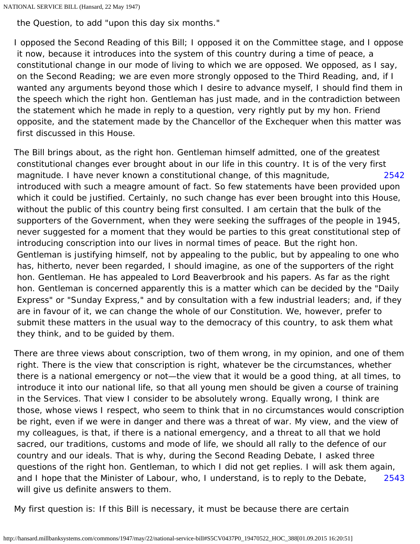```
NATIONAL SERVICE BILL (Hansard, 22 May 1947)
```
the Question, to add "upon this day six months."

I opposed the Second Reading of this Bill; I opposed it on the Committee stage, and I oppose it now, because it introduces into the system of this country during a time of peace, a constitutional change in our mode of living to which we are opposed. We opposed, as I say, on the Second Reading; we are even more strongly opposed to the Third Reading, and, if I wanted any arguments beyond those which I desire to advance myself, I should find them in the speech which the right hon. Gentleman has just made, and in the contradiction between the statement which he made in reply to a question, very rightly put by my hon. Friend opposite, and the statement made by the Chancellor of the Exchequer when this matter was first discussed in this House.

<span id="page-4-0"></span>[2542](#page-4-0) The Bill brings about, as the right hon. Gentleman himself admitted, one of the greatest constitutional changes ever brought about in our life in this country. It is of the very first magnitude. I have never known a constitutional change, of this magnitude, introduced with such a meagre amount of fact. So few statements have been provided upon which it could be justified. Certainly, no such change has ever been brought into this House, without the public of this country being first consulted. I am certain that the bulk of the supporters of the Government, when they were seeking the suffrages of the people in 1945, never suggested for a moment that they would be parties to this great constitutional step of introducing conscription into our lives in normal times of peace. But the right hon. Gentleman is justifying himself, not by appealing to the public, but by appealing to one who has, hitherto, never been regarded, I should imagine, as one of the supporters of the right hon. Gentleman. He has appealed to Lord Beaverbrook and his papers. As far as the right hon. Gentleman is concerned apparently this is a matter which can be decided by the "Daily Express" or "Sunday Express," and by consultation with a few industrial leaders; and, if they are in favour of it, we can change the whole of our Constitution. We, however, prefer to submit these matters in the usual way to the democracy of this country, to ask them what they think, and to be guided by them.

[2543](#page-4-1) There are three views about conscription, two of them wrong, in my opinion, and one of them right. There is the view that conscription is right, whatever be the circumstances, whether there is a national emergency or not—the view that it would be a good thing, at all times, to introduce it into our national life, so that all young men should be given a course of training in the Services. That view I consider to be absolutely wrong. Equally wrong, I think are those, whose views I respect, who seem to think that in no circumstances would conscription be right, even if we were in danger and there was a threat of war. My view, and the view of my colleagues, is that, if there is a national emergency, and a threat to all that we hold sacred, our traditions, customs and mode of life, we should all rally to the defence of our country and our ideals. That is why, during the Second Reading Debate, I asked three questions of the right hon. Gentleman, to which I did not get replies. I will ask them again, and I hope that the Minister of Labour, who, I understand, is to reply to the Debate, will give us definite answers to them.

<span id="page-4-1"></span>My first question is: If this Bill is necessary, it must be because there are certain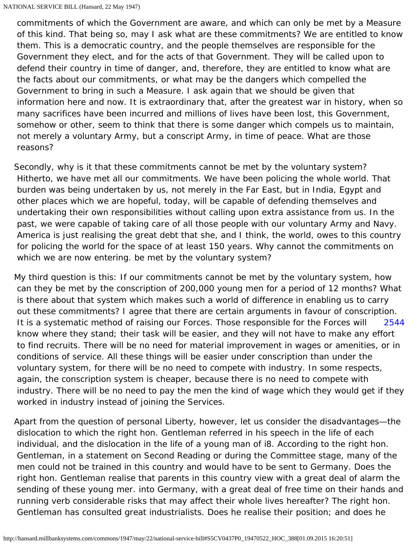commitments of which the Government are aware, and which can only be met by a Measure of this kind. That being so, may I ask what are these commitments? We are entitled to know them. This is a democratic country, and the people themselves are responsible for the Government they elect, and for the acts of that Government. They will be called upon to defend their country in time of danger, and, therefore, they are entitled to know what are the facts about our commitments, or what may be the dangers which compelled the Government to bring in such a Measure. I ask again that we should be given that information here and now. It is extraordinary that, after the greatest war in history, when so many sacrifices have been incurred and millions of lives have been lost, this Government, somehow or other, seem to think that there is some danger which compels us to maintain, not merely a voluntary Army, but a conscript Army, in time of peace. What are those reasons?

Secondly, why is it that these commitments cannot be met by the voluntary system? Hitherto, we have met all our commitments. We have been policing the whole world. That burden was being undertaken by us, not merely in the Far East, but in India, Egypt and other places which we are hopeful, today, will be capable of defending themselves and undertaking their own responsibilities without calling upon extra assistance from us. In the past, we were capable of taking care of all those people with our voluntary Army and Navy. America is just realising the great debt that she, and I think, the world, owes to this country for policing the world for the space of at least 150 years. Why cannot the commitments on which we are now entering. be met by the voluntary system?

<span id="page-5-0"></span>[2544](#page-5-0) My third question is this: If our commitments cannot be met by the voluntary system, how can they be met by the conscription of 200,000 young men for a period of 12 months? What is there about that system which makes such a world of difference in enabling us to carry out these commitments? I agree that there are certain arguments in favour of conscription. It is a systematic method of raising our Forces. Those responsible for the Forces will know where they stand; their task will be easier, and they will not have to make any effort to find recruits. There will be no need for material improvement in wages or amenities, or in conditions of service. All these things will be easier under conscription than under the voluntary system, for there will be no need to compete with industry. In some respects, again, the conscription system is cheaper, because there is no need to compete with industry. There will be no need to pay the men the kind of wage which they would get if they worked in industry instead of joining the Services.

Apart from the question of personal Liberty, however, let us consider the disadvantages—the dislocation to which the right hon. Gentleman referred in his speech in the life of each individual, and the dislocation in the life of a young man of i8. According to the right hon. Gentleman, in a statement on Second Reading or during the Committee stage, many of the men could not be trained in this country and would have to be sent to Germany. Does the right hon. Gentleman realise that parents in this country view with a great deal of alarm the sending of these young mer. into Germany, with a great deal of free time on their hands and running verb considerable risks that may affect their whole lives hereafter? The right hon. Gentleman has consulted great industrialists. Does he realise their position; and does he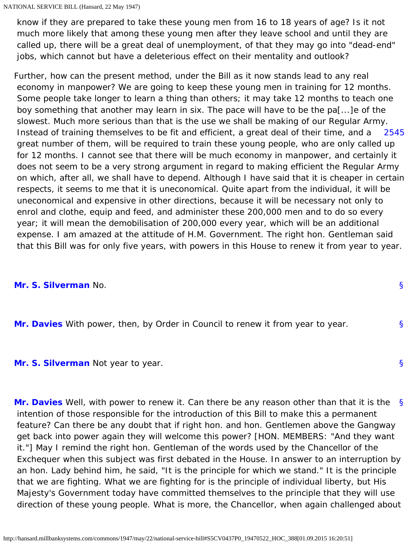know if they are prepared to take these young men from 16 to 18 years of age? Is it not much more likely that among these young men after they leave school and until they are called up, there will be a great deal of unemployment, of that they may go into "dead-end" jobs, which cannot but have a deleterious effect on their mentality and outlook?

<span id="page-6-0"></span>[2545](#page-6-0) Further, how can the present method, under the Bill as it now stands lead to any real economy in manpower? We are going to keep these young men in training for 12 months. Some people take longer to learn a thing than others; it may take 12 months to teach one boy something that another may learn in six. The pace will have to be the pa[...]e of the slowest. Much more serious than that is the use we shall be making of our Regular Army. Instead of training themselves to be fit and efficient, a great deal of their time, and a great number of them, will be required to train these young people, who are only called up for 12 months. I cannot see that there will be much economy in manpower, and certainly it does not seem to be a very strong argument in regard to making efficient the Regular Army on which, after all, we shall have to depend. Although I have said that it is cheaper in certain respects, it seems to me that it is uneconomical. Quite apart from the individual, it will be uneconomical and expensive in other directions, because it will be necessary not only to enrol and clothe, equip and feed, and administer these 200,000 men and to do so every year; it will mean the demobilisation of 200,000 every year, which will be an additional expense. I am amazed at the attitude of H.M. Government. The right hon. Gentleman said that this Bill was for only five years, with powers in this House to renew it from year to year.

[§](#page-6-1)

[§](#page-6-2)

[§](#page-6-3)

## <span id="page-6-1"></span>**[Mr. S. Silverman](http://hansard.millbanksystems.com/people/mr-samuel-silverman)** No.

<span id="page-6-2"></span>**[Mr. Davies](http://hansard.millbanksystems.com/people/mr-clement-davies)** With power, then, by Order in Council to renew it from year to year.

## <span id="page-6-3"></span>**[Mr. S. Silverman](http://hansard.millbanksystems.com/people/mr-samuel-silverman)** Not year to year.

<span id="page-6-4"></span>[§](#page-6-4) **[Mr. Davies](http://hansard.millbanksystems.com/people/mr-clement-davies)** Well, with power to renew it. Can there be any reason other than that it is the intention of those responsible for the introduction of this Bill to make this a permanent feature? Can there be any doubt that if right hon. and hon. Gentlemen above the Gangway get back into power again they will welcome this power? [HON. MEMBERS: "And they want it."] May I remind the right hon. Gentleman of the words used by the Chancellor of the Exchequer when this subject was first debated in the House. In answer to an interruption by an hon. Lady behind him, he said, "It is the principle for which we stand." It is the principle that we are fighting. What we are fighting for is the principle of individual liberty, but His Majesty's Government today have committed themselves to the principle that they will use direction of these young people. What is more, the Chancellor, when again challenged about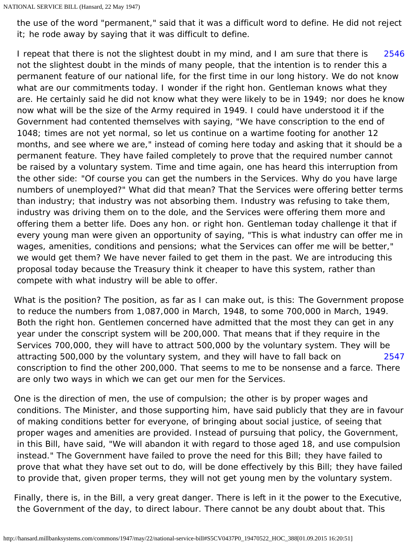the use of the word "permanent," said that it was a difficult word to define. He did not reject it; he rode away by saying that it was difficult to define.

<span id="page-7-0"></span>[2546](#page-7-0) I repeat that there is not the slightest doubt in my mind, and I am sure that there is not the slightest doubt in the minds of many people, that the intention is to render this a permanent feature of our national life, for the first time in our long history. We do not know what are our commitments today. I wonder if the right hon. Gentleman knows what they are. He certainly said he did not know what they were likely to be in 1949; nor does he know now what will be the size of the Army required in 1949. I could have understood it if the Government had contented themselves with saying, "We have conscription to the end of 1048; times are not yet normal, so let us continue on a wartime footing for another 12 months, and see where we are," instead of coming here today and asking that it should be a permanent feature. They have failed completely to prove that the required number cannot be raised by a voluntary system. Time and time again, one has heard this interruption from the other side: "Of course you can get the numbers in the Services. Why do you have large numbers of unemployed?" What did that mean? That the Services were offering better terms than industry; that industry was not absorbing them. Industry was refusing to take them, industry was driving them on to the dole, and the Services were offering them more and offering them a better life. Does any hon. or right hon. Gentleman today challenge it that if every young man were given an opportunity of saying, "This is what industry can offer me in wages, amenities, conditions and pensions; what the Services can offer me will be better," we would get them? We have never failed to get them in the past. We are introducing this proposal today because the Treasury think it cheaper to have this system, rather than compete with what industry will be able to offer.

[2547](#page-7-1) What is the position? The position, as far as I can make out, is this: The Government propose to reduce the numbers from 1,087,000 in March, 1948, to some 700,000 in March, 1949. Both the right hon. Gentlemen concerned have admitted that the most they can get in any year under the conscript system will be 200,000. That means that if they require in the Services 700,000, they will have to attract 500,000 by the voluntary system. They will be attracting 500,000 by the voluntary system, and they will have to fall back on conscription to find the other 200,000. That seems to me to be nonsense and a farce. There are only two ways in which we can get our men for the Services.

<span id="page-7-1"></span>One is the direction of men, the use of compulsion; the other is by proper wages and conditions. The Minister, and those supporting him, have said publicly that they are in favour of making conditions better for everyone, of bringing about social justice, of seeing that proper wages and amenities are provided. Instead of pursuing that policy, the Government, in this Bill, have said, "We will abandon it with regard to those aged 18, and use compulsion instead." The Government have failed to prove the need for this Bill; they have failed to prove that what they have set out to do, will be done effectively by this Bill; they have failed to provide that, given proper terms, they will not get young men by the voluntary system.

Finally, there is, in the Bill, a very great danger. There is left in it the power to the Executive, the Government of the day, to direct labour. There cannot be any doubt about that. This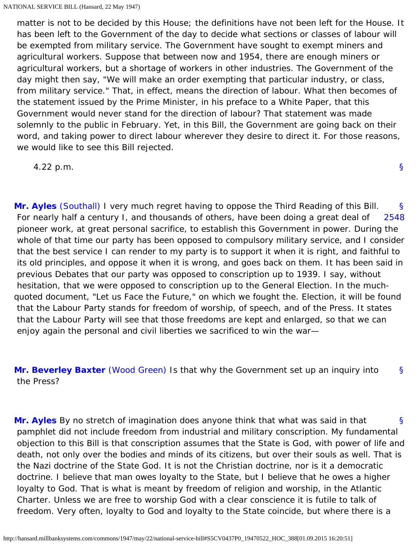matter is not to be decided by this House; the definitions have not been left for the House. It has been left to the Government of the day to decide what sections or classes of labour will be exempted from military service. The Government have sought to exempt miners and agricultural workers. Suppose that between now and 1954, there are enough miners or agricultural workers, but a shortage of workers in other industries. The Government of the day might then say, "We will make an order exempting that particular industry, or class, from military service." That, in effect, means the direction of labour. What then becomes of the statement issued by the Prime Minister, in his preface to a White Paper, that this Government would never stand for the direction of labour? That statement was made solemnly to the public in February. Yet, in this Bill, the Government are going back on their word, and taking power to direct labour wherever they desire to direct it. For those reasons, we would like to see this Bill rejected.

[§](#page-0-1)

4.22 p.m.

<span id="page-8-1"></span><span id="page-8-0"></span>[§](#page-8-0) [2548](#page-8-1) **[Mr. Ayles](http://hansard.millbanksystems.com/people/mr-walter-ayles)** [\(Southall\)](http://hansard.millbanksystems.com/constituencies/southall) I very much regret having to oppose the Third Reading of this Bill. For nearly half a century I, and thousands of others, have been doing a great deal of pioneer work, at great personal sacrifice, to establish this Government in power. During the whole of that time our party has been opposed to compulsory military service, and I consider that the best service I can render to my party is to support it when it is right, and faithful to its old principles, and oppose it when it is wrong, and goes back on them. It has been said in previous Debates that our party was opposed to conscription up to 1939. I say, without hesitation, that we were opposed to conscription up to the General Election. In the muchquoted document, "Let us Face the Future," on which we fought the. Election, it will be found that the Labour Party stands for freedom of worship, of speech, and of the Press. It states that the Labour Party will see that those freedoms are kept and enlarged, so that we can enjoy again the personal and civil liberties we sacrificed to win the war—

<span id="page-8-2"></span>[§](#page-8-2) **[Mr. Beverley Baxter](http://hansard.millbanksystems.com/people/sir-arthur-baxter)** [\(Wood Green\)](http://hansard.millbanksystems.com/constituencies/wood-green) Is that why the Government set up an inquiry into the Press?

<span id="page-8-3"></span>[§](#page-8-3) **[Mr. Ayles](http://hansard.millbanksystems.com/people/mr-walter-ayles)** By no stretch of imagination does anyone think that what was said in that pamphlet did not include freedom from industrial and military conscription. My fundamental objection to this Bill is that conscription assumes that the State is God, with power of life and death, not only over the bodies and minds of its citizens, but over their souls as well. That is the Nazi doctrine of the State God. It is not the Christian doctrine, nor is it a democratic doctrine. I believe that man owes loyalty to the State, but I believe that he owes a higher loyalty to God. That is what is meant by freedom of religion and worship, in the Atlantic Charter. Unless we are free to worship God with a clear conscience it is futile to talk of freedom. Very often, loyalty to God and loyalty to the State coincide, but where there is a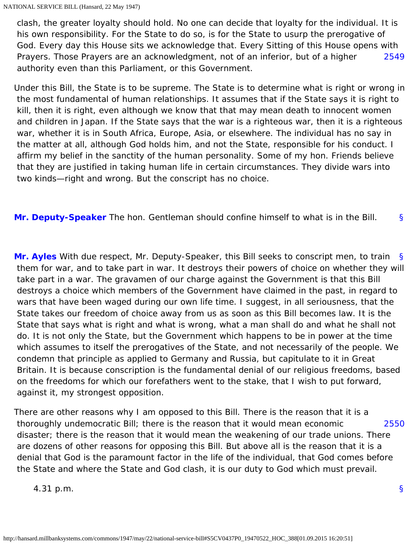[2549](#page-9-0) clash, the greater loyalty should hold. No one can decide that loyalty for the individual. It is his own responsibility. For the State to do so, is for the State to usurp the prerogative of God. Every day this House sits we acknowledge that. Every Sitting of this House opens with Prayers. Those Prayers are an acknowledgment, not of an inferior, but of a higher authority even than this Parliament, or this Government.

<span id="page-9-0"></span>Under this Bill, the State is to be supreme. The State is to determine what is right or wrong in the most fundamental of human relationships. It assumes that if the State says it is right to kill, then it is right, even although we know that that may mean death to innocent women and children in Japan. If the State says that the war is a righteous war, then it is a righteous war, whether it is in South Africa, Europe, Asia, or elsewhere. The individual has no say in the matter at all, although God holds him, and not the State, responsible for his conduct. I affirm my belief in the sanctity of the human personality. Some of my hon. Friends believe that they are justified in taking human life in certain circumstances. They divide wars into two kinds—right and wrong. But the conscript has no choice.

<span id="page-9-2"></span><span id="page-9-1"></span>[§](#page-9-1) **[Mr. Deputy-Speaker](http://hansard.millbanksystems.com/people/mr-james-milner)** The hon. Gentleman should confine himself to what is in the Bill.

[§](#page-9-2) **[Mr. Ayles](http://hansard.millbanksystems.com/people/mr-walter-ayles)** With due respect, Mr. Deputy-Speaker, this Bill seeks to conscript men, to train them for war, and to take part in war. It destroys their powers of choice on whether they will take part in a war. The gravamen of our charge against the Government is that this Bill destroys a choice which members of the Government have claimed in the past, in regard to wars that have been waged during our own life time. I suggest, in all seriousness, that the State takes our freedom of choice away from us as soon as this Bill becomes law. It is the State that says what is right and what is wrong, what a man shall do and what he shall not do. It is not only the State, but the Government which happens to be in power at the time which assumes to itself the prerogatives of the State, and not necessarily of the people. We condemn that principle as applied to Germany and Russia, but capitulate to it in Great Britain. It is because conscription is the fundamental denial of our religious freedoms, based on the freedoms for which our forefathers went to the stake, that I wish to put forward, against it, my strongest opposition.

<span id="page-9-3"></span>[2550](#page-9-3) There are other reasons why I am opposed to this Bill. There is the reason that it is a thoroughly undemocratic Bill; there is the reason that it would mean economic disaster; there is the reason that it would mean the weakening of our trade unions. There are dozens of other reasons for opposing this Bill. But above all is the reason that it is a denial that God is the paramount factor in the life of the individual, that God comes before the State and where the State and God clash, it is our duty to God which must prevail.

<span id="page-9-4"></span>4.31 p.m.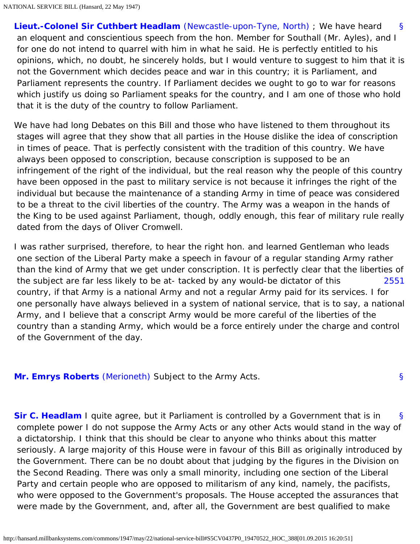[§](#page-9-4) **[Lieut.-Colonel Sir Cuthbert Headlam](http://hansard.millbanksystems.com/people/lieut-colonel-sir-cuthbert-headlam)** [\(Newcastle-upon-Tyne, North\)](http://hansard.millbanksystems.com/constituencies/newcastle-upon-tyne-north) ; We have heard an eloquent and conscientious speech from the hon. Member for Southall (Mr. Ayles), and I for one do not intend to quarrel with him in what he said. He is perfectly entitled to his opinions, which, no doubt, he sincerely holds, but I would venture to suggest to him that it is not the Government which decides peace and war in this country; it is Parliament, and Parliament represents the country. If Parliament decides we ought to go to war for reasons which justify us doing so Parliament speaks for the country, and I am one of those who hold that it is the duty of the country to follow Parliament.

We have had long Debates on this Bill and those who have listened to them throughout its stages will agree that they show that all parties in the House dislike the idea of conscription in times of peace. That is perfectly consistent with the tradition of this country. We have always been opposed to conscription, because conscription is supposed to be an infringement of the right of the individual, but the real reason why the people of this country have been opposed in the past to military service is not because it infringes the right of the individual but because the maintenance of a standing Army in time of peace was considered to be a threat to the civil liberties of the country. The Army was a weapon in the hands of the King to be used against Parliament, though, oddly enough, this fear of military rule really dated from the days of Oliver Cromwell.

<span id="page-10-0"></span>[2551](#page-10-0) I was rather surprised, therefore, to hear the right hon. and learned Gentleman who leads one section of the Liberal Party make a speech in favour of a regular standing Army rather than the kind of Army that we get under conscription. It is perfectly clear that the liberties of the subject are far less likely to be at- tacked by any would-be dictator of this country, if that Army is a national Army and not a regular Army paid for its services. I for one personally have always believed in a system of national service, that is to say, a national Army, and I believe that a conscript Army would be more careful of the liberties of the country than a standing Army, which would be a force entirely under the charge and control of the Government of the day.

[§](#page-10-1)

<span id="page-10-1"></span>**[Mr. Emrys Roberts](http://hansard.millbanksystems.com/people/mr-emrys-roberts)** [\(Merioneth\)](http://hansard.millbanksystems.com/constituencies/merionethshire) Subject to the Army Acts.

<span id="page-10-2"></span>[§](#page-10-2) **[Sir C. Headlam](http://hansard.millbanksystems.com/people/lieut-colonel-sir-cuthbert-headlam)** I quite agree, but it Parliament is controlled by a Government that is in complete power I do not suppose the Army Acts or any other Acts would stand in the way of a dictatorship. I think that this should be clear to anyone who thinks about this matter seriously. A large majority of this House were in favour of this Bill as originally introduced by the Government. There can be no doubt about that judging by the figures in the Division on the Second Reading. There was only a small minority, including one section of the Liberal Party and certain people who are opposed to militarism of any kind, namely, the pacifists, who were opposed to the Government's proposals. The House accepted the assurances that were made by the Government, and, after all, the Government are best qualified to make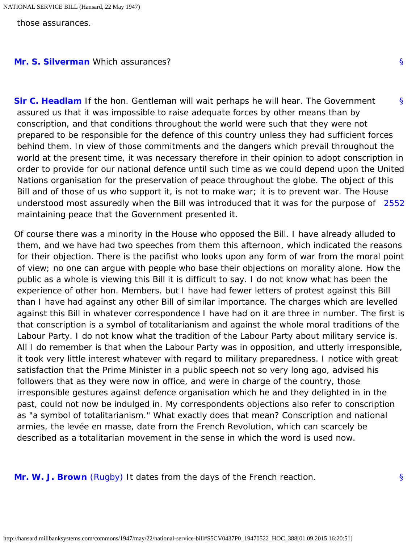those assurances.

#### <span id="page-11-1"></span><span id="page-11-0"></span>**[Mr. S. Silverman](http://hansard.millbanksystems.com/people/mr-samuel-silverman)** Which assurances?

[§](#page-11-1) understood most assuredly when the Bill was introduced that it was for the purpose of [2552](#page-11-2) **[Sir C. Headlam](http://hansard.millbanksystems.com/people/lieut-colonel-sir-cuthbert-headlam)** If the hon. Gentleman will wait perhaps he will hear. The Government assured us that it was impossible to raise adequate forces by other means than by conscription, and that conditions throughout the world were such that they were not prepared to be responsible for the defence of this country unless they had sufficient forces behind them. In view of those commitments and the dangers which prevail throughout the world at the present time, it was necessary therefore in their opinion to adopt conscription in order to provide for our national defence until such time as we could depend upon the United Nations organisation for the preservation of peace throughout the globe. The object of this Bill and of those of us who support it, is not to make war; it is to prevent war. The House maintaining peace that the Government presented it.

<span id="page-11-2"></span>Of course there was a minority in the House who opposed the Bill. I have already alluded to them, and we have had two speeches from them this afternoon, which indicated the reasons for their objection. There is the pacifist who looks upon any form of war from the moral point of view; no one can argue with people who base their objections on morality alone. How the public as a whole is viewing this Bill it is difficult to say. I do not know what has been the experience of other hon. Members. but I have had fewer letters of protest against this Bill than I have had against any other Bill of similar importance. The charges which are levelled against this Bill in whatever correspondence I have had on it are three in number. The first is that conscription is a symbol of totalitarianism and against the whole moral traditions of the Labour Party. I do not know what the tradition of the Labour Party about military service is. All I do remember is that when the Labour Party was in opposition, and utterly irresponsible, it took very little interest whatever with regard to military preparedness. I notice with great satisfaction that the Prime Minister in a public speech not so very long ago, advised his followers that as they were now in office, and were in charge of the country, those irresponsible gestures against defence organisation which he and they delighted in in the past, could not now be indulged in. My correspondents objections also refer to conscription as "a symbol of totalitarianism." What exactly does that mean? Conscription and national armies, the levée en masse, date from the French Revolution, which can scarcely be described as a totalitarian movement in the sense in which the word is used now.

<span id="page-11-4"></span><span id="page-11-3"></span>**[Mr. W. J. Brown](http://hansard.millbanksystems.com/people/mr-william-brown-1)** [\(Rugby\)](http://hansard.millbanksystems.com/constituencies/rugby) It dates from the days of the French reaction.

[§](#page-11-3)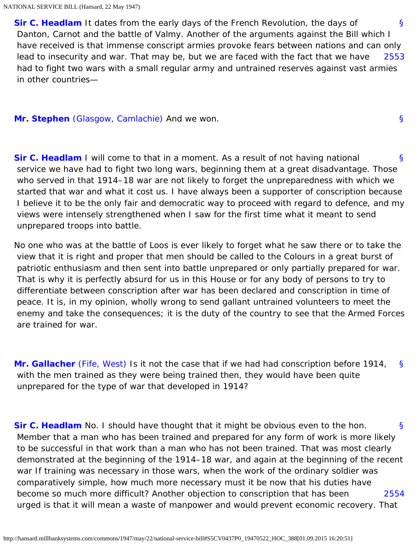<span id="page-12-0"></span>[§](#page-11-4) [2553](#page-12-0) **[Sir C. Headlam](http://hansard.millbanksystems.com/people/lieut-colonel-sir-cuthbert-headlam)** It dates from the early days of the French Revolution, the days of Danton, Carnot and the battle of Valmy. Another of the arguments against the Bill which I have received is that immense conscript armies provoke fears between nations and can only lead to insecurity and war. That may be, but we are faced with the fact that we have had to fight two wars with a small regular army and untrained reserves against vast armies in other countries—

[§](#page-12-1)

## <span id="page-12-2"></span><span id="page-12-1"></span>**[Mr. Stephen](http://hansard.millbanksystems.com/people/mr-campbell-stephen)** [\(Glasgow, Camlachie\)](http://hansard.millbanksystems.com/constituencies/glasgow-camlachie) And we won.

[§](#page-12-2) **[Sir C. Headlam](http://hansard.millbanksystems.com/people/lieut-colonel-sir-cuthbert-headlam)** I will come to that in a moment. As a result of not having national service we have had to fight two long wars, beginning them at a great disadvantage. Those who served in that 1914–18 war are not likely to forget the unpreparedness with which we started that war and what it cost us. I have always been a supporter of conscription because I believe it to be the only fair and democratic way to proceed with regard to defence, and my views were intensely strengthened when I saw for the first time what it meant to send unprepared troops into battle.

No one who was at the battle of Loos is ever likely to forget what he saw there or to take the view that it is right and proper that men should be called to the Colours in a great burst of patriotic enthusiasm and then sent into battle unprepared or only partially prepared for war. That is why it is perfectly absurd for us in this House or for any body of persons to try to differentiate between conscription after war has been declared and conscription in time of peace. It is, in my opinion, wholly wrong to send gallant untrained volunteers to meet the enemy and take the consequences; it is the duty of the country to see that the Armed Forces are trained for war.

<span id="page-12-3"></span>[§](#page-12-3) **[Mr. Gallacher](http://hansard.millbanksystems.com/people/mr-william-gallacher)** [\(Fife, West\)](http://hansard.millbanksystems.com/constituencies/fife-western) Is it not the case that if we had had conscription before 1914, with the men trained as they were being trained then, they would have been quite unprepared for the type of war that developed in 1914?

<span id="page-12-5"></span><span id="page-12-4"></span>[§](#page-12-4) [2554](#page-12-5) **[Sir C. Headlam](http://hansard.millbanksystems.com/people/lieut-colonel-sir-cuthbert-headlam)** No. I should have thought that it might be obvious even to the hon. Member that a man who has been trained and prepared for any form of work is more likely to be successful in that work than a man who has not been trained. That was most clearly demonstrated at the beginning of the 1914–18 war, and again at the beginning of the recent war If training was necessary in those wars, when the work of the ordinary soldier was comparatively simple, how much more necessary must it be now that his duties have become so much more difficult? Another objection to conscription that has been urged is that it will mean a waste of manpower and would prevent economic recovery. That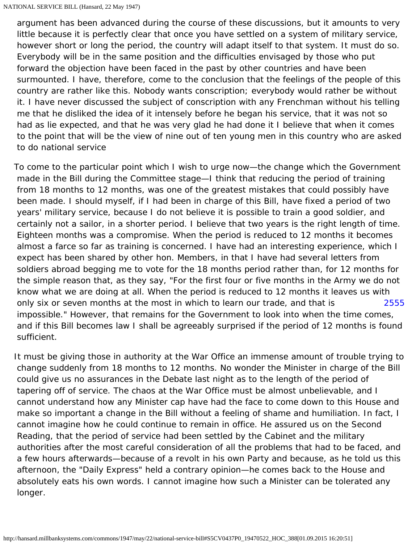argument has been advanced during the course of these discussions, but it amounts to very little because it is perfectly clear that once you have settled on a system of military service, however short or long the period, the country will adapt itself to that system. It must do so. Everybody will be in the same position and the difficulties envisaged by those who put forward the objection have been faced in the past by other countries and have been surmounted. I have, therefore, come to the conclusion that the feelings of the people of this country are rather like this. Nobody wants conscription; everybody would rather be without it. I have never discussed the subject of conscription with any Frenchman without his telling me that he disliked the idea of it intensely before he began his service, that it was not so had as lie expected, and that he was very glad he had done it I believe that when it comes to the point that will be the view of nine out of ten young men in this country who are asked to do national service

[2555](#page-13-0) To come to the particular point which I wish to urge now—the change which the Government made in the Bill during the Committee stage—I think that reducing the period of training from 18 months to 12 months, was one of the greatest mistakes that could possibly have been made. I should myself, if I had been in charge of this Bill, have fixed a period of two years' military service, because I do not believe it is possible to train a good soldier, and certainly not a sailor, in a shorter period. I believe that two years is the right length of time. Eighteen months was a compromise. When the period is reduced to 12 months it becomes almost a farce so far as training is concerned. I have had an interesting experience, which I expect has been shared by other hon. Members, in that I have had several letters from soldiers abroad begging me to vote for the 18 months period rather than, for 12 months for the simple reason that, as they say, "For the first four or five months in the Army we do not know what we are doing at all. When the period is reduced to 12 months it leaves us with only six or seven months at the most in which to learn our trade, and that is impossible." However, that remains for the Government to look into when the time comes, and if this Bill becomes law I shall be agreeably surprised if the period of 12 months is found sufficient.

<span id="page-13-1"></span><span id="page-13-0"></span>It must be giving those in authority at the War Office an immense amount of trouble trying to change suddenly from 18 months to 12 months. No wonder the Minister in charge of the Bill could give us no assurances in the Debate last night as to the length of the period of tapering off of service. The chaos at the War Office must be almost unbelievable, and I cannot understand how any Minister cap have had the face to come down to this House and make so important a change in the Bill without a feeling of shame and humiliation. In fact, I cannot imagine how he could continue to remain in office. He assured us on the Second Reading, that the period of service had been settled by the Cabinet and the military authorities after the most careful consideration of all the problems that had to be faced, and a few hours afterwards—because of a revolt in his own Party and because, as he told us this afternoon, the "Daily Express" held a contrary opinion—he comes back to the House and absolutely eats his own words. I cannot imagine how such a Minister can be tolerated any longer.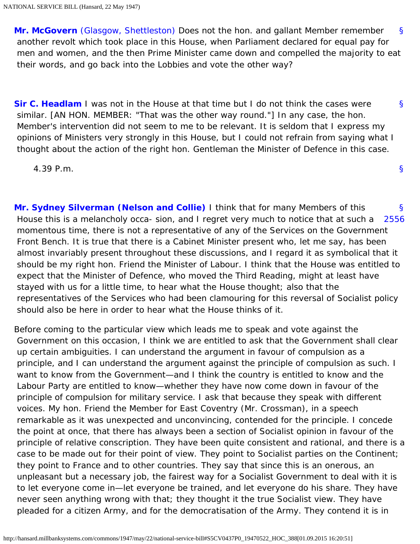[§](#page-13-1) **[Mr. McGovern](http://hansard.millbanksystems.com/people/mr-john-mcgovern)** [\(Glasgow, Shettleston\)](http://hansard.millbanksystems.com/constituencies/glasgow-shettleston) Does not the hon. and gallant Member remember another revolt which took place in this House, when Parliament declared for equal pay for men and women, and the then Prime Minister came down and compelled the majority to eat their words, and go back into the Lobbies and vote the other way?

<span id="page-14-0"></span>**[Sir C. Headlam](http://hansard.millbanksystems.com/people/lieut-colonel-sir-cuthbert-headlam)** I was not in the House at that time but I do not think the cases were similar. [AN HON. MEMBER: "That was the other way round."] In any case, the hon. Member's intervention did not seem to me to be relevant. It is seldom that I express my opinions of Ministers very strongly in this House, but I could not refrain from saying what I thought about the action of the right hon. Gentleman the Minister of Defence in this case.

4.39 P.m.

<span id="page-14-2"></span><span id="page-14-1"></span>[§](#page-14-1) [2556](#page-14-2) **[Mr. Sydney Silverman \(Nelson and Collie\)](http://hansard.millbanksystems.com/people/mr-samuel-silverman)** I think that for many Members of this House this is a melancholy occa- sion, and I regret very much to notice that at such a momentous time, there is not a representative of any of the Services on the Government Front Bench. It is true that there is a Cabinet Minister present who, let me say, has been almost invariably present throughout these discussions, and I regard it as symbolical that it should be my right hon. Friend the Minister of Labour. I think that the House was entitled to expect that the Minister of Defence, who moved the Third Reading, might at least have stayed with us for a little time, to hear what the House thought; also that the representatives of the Services who had been clamouring for this reversal of Socialist policy should also be here in order to hear what the House thinks of it.

Before coming to the particular view which leads me to speak and vote against the Government on this occasion, I think we are entitled to ask that the Government shall clear up certain ambiguities. I can understand the argument in favour of compulsion as a principle, and I can understand the argument against the principle of compulsion as such. I want to know from the Government—and I think the country is entitled to know and the Labour Party are entitled to know—whether they have now come down in favour of the principle of compulsion for military service. I ask that because they speak with different voices. My hon. Friend the Member for East Coventry (Mr. Crossman), in a speech remarkable as it was unexpected and unconvincing, contended for the principle. I concede the point at once, that there has always been a section of Socialist opinion in favour of the principle of relative conscription. They have been quite consistent and rational, and there is a case to be made out for their point of view. They point to Socialist parties on the Continent; they point to France and to other countries. They say that since this is an onerous, an unpleasant but a necessary job, the fairest way for a Socialist Government to deal with it is to let everyone come in—let everyone be trained, and let everyone do his share. They have never seen anything wrong with that; they thought it the true Socialist view. They have pleaded for a citizen Army, and for the democratisation of the Army. They contend it is in

[§](#page-0-1)

[§](#page-14-0)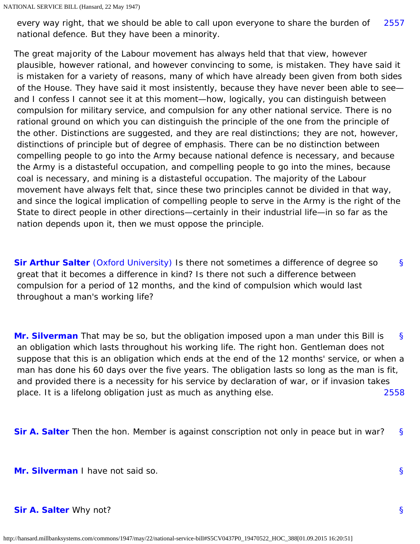<span id="page-15-0"></span>[2557](#page-15-0) every way right, that we should be able to call upon everyone to share the burden of national defence. But they have been a minority.

The great majority of the Labour movement has always held that that view, however plausible, however rational, and however convincing to some, is mistaken. They have said it is mistaken for a variety of reasons, many of which have already been given from both sides of the House. They have said it most insistently, because they have never been able to see and I confess I cannot see it at this moment—how, logically, you can distinguish between compulsion for military service, and compulsion for any other national service. There is no rational ground on which you can distinguish the principle of the one from the principle of the other. Distinctions are suggested, and they are real distinctions; they are not, however, distinctions of principle but of degree of emphasis. There can be no distinction between compelling people to go into the Army because national defence is necessary, and because the Army is a distasteful occupation, and compelling people to go into the mines, because coal is necessary, and mining is a distasteful occupation. The majority of the Labour movement have always felt that, since these two principles cannot be divided in that way, and since the logical implication of compelling people to serve in the Army is the right of the State to direct people in other directions—certainly in their industrial life—in so far as the nation depends upon it, then we must oppose the principle.

<span id="page-15-1"></span>[§](#page-15-1) **[Sir Arthur Salter](http://hansard.millbanksystems.com/people/sir-arthur-salter)** [\(Oxford University\)](http://hansard.millbanksystems.com/constituencies/oxford-university) Is there not sometimes a difference of degree so great that it becomes a difference in kind? Is there not such a difference between compulsion for a period of 12 months, and the kind of compulsion which would last throughout a man's working life?

<span id="page-15-2"></span>[§](#page-15-2) [2558](#page-15-3) **[Mr. Silverman](http://hansard.millbanksystems.com/people/mr-samuel-silverman)** That may be so, but the obligation imposed upon a man under this Bill is an obligation which lasts throughout his working life. The right hon. Gentleman does not suppose that this is an obligation which ends at the end of the 12 months' service, or when a man has done his 60 days over the five years. The obligation lasts so long as the man is fit, and provided there is a necessity for his service by declaration of war, or if invasion takes place. It is a lifelong obligation just as much as anything else.

<span id="page-15-5"></span><span id="page-15-4"></span><span id="page-15-3"></span>[§](#page-15-4) **[Sir A. Salter](http://hansard.millbanksystems.com/people/sir-arthur-salter)** Then the hon. Member is against conscription not only in peace but in war?

<span id="page-15-6"></span>**[Mr. Silverman](http://hansard.millbanksystems.com/people/mr-samuel-silverman)** I have not said so.

#### **[Sir A. Salter](http://hansard.millbanksystems.com/people/sir-arthur-salter)** Why not?

[§](#page-15-6)

[§](#page-15-5)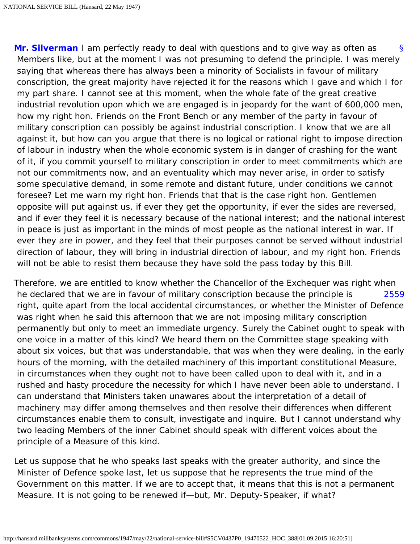<span id="page-16-0"></span>[§](#page-16-0) **[Mr. Silverman](http://hansard.millbanksystems.com/people/mr-samuel-silverman)** I am perfectly ready to deal with questions and to give way as often as Members like, but at the moment I was not presuming to defend the principle. I was merely saying that whereas there has always been a minority of Socialists in favour of military conscription, the great majority have rejected it for the reasons which I gave and which I for my part share. I cannot see at this moment, when the whole fate of the great creative industrial revolution upon which we are engaged is in jeopardy for the want of 600,000 men, how my right hon. Friends on the Front Bench or any member of the party in favour of military conscription can possibly be against industrial conscription. I know that we are all against it, but how can you argue that there is no logical or rational right to impose direction of labour in industry when the whole economic system is in danger of crashing for the want of it, if you commit yourself to military conscription in order to meet commitments which are not our commitments now, and an eventuality which may never arise, in order to satisfy some speculative demand, in some remote and distant future, under conditions we cannot foresee? Let me warn my right hon. Friends that that is the case right hon. Gentlemen opposite will put against us, if ever they get the opportunity, if ever the sides are reversed, and if ever they feel it is necessary because of the national interest; and the national interest in peace is just as important in the minds of most people as the national interest in war. If ever they are in power, and they feel that their purposes cannot be served without industrial direction of labour, they will bring in industrial direction of labour, and my right hon. Friends will not be able to resist them because they have sold the pass today by this Bill.

<span id="page-16-1"></span>[2559](#page-16-1) Therefore, we are entitled to know whether the Chancellor of the Exchequer was right when he declared that we are in favour of military conscription because the principle is right, quite apart from the local accidental circumstances, or whether the Minister of Defence was right when he said this afternoon that we are not imposing military conscription permanently but only to meet an immediate urgency. Surely the Cabinet ought to speak with one voice in a matter of this kind? We heard them on the Committee stage speaking with about six voices, but that was understandable, that was when they were dealing, in the early hours of the morning, with the detailed machinery of this important constitutional Measure, in circumstances when they ought not to have been called upon to deal with it, and in a rushed and hasty procedure the necessity for which I have never been able to understand. I can understand that Ministers taken unawares about the interpretation of a detail of machinery may differ among themselves and then resolve their differences when different circumstances enable them to consult, investigate and inquire. But I cannot understand why two leading Members of the inner Cabinet should speak with different voices about the principle of a Measure of this kind.

<span id="page-16-2"></span>Let us suppose that he who speaks last speaks with the greater authority, and since the Minister of Defence spoke last, let us suppose that he represents the true mind of the Government on this matter. If we are to accept that, it means that this is not a permanent Measure. It is not going to be renewed if—but, Mr. Deputy-Speaker, if what?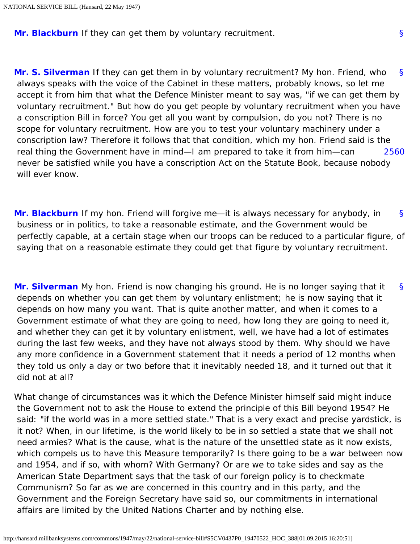<span id="page-17-0"></span>**[Mr. Blackburn](http://hansard.millbanksystems.com/people/captain-albert-blackburn)** If they can get them by voluntary recruitment.

[§](#page-17-0) [2560](#page-17-1) **[Mr. S. Silverman](http://hansard.millbanksystems.com/people/mr-samuel-silverman)** If they can get them in by voluntary recruitment? My hon. Friend, who always speaks with the voice of the Cabinet in these matters, probably knows, so let me accept it from him that what the Defence Minister meant to say was, "if we can get them by voluntary recruitment." But how do you get people by voluntary recruitment when you have a conscription Bill in force? You get all you want by compulsion, do you not? There is no scope for voluntary recruitment. How are you to test your voluntary machinery under a conscription law? Therefore it follows that that condition, which my hon. Friend said is the real thing the Government have in mind—I am prepared to take it from him—can never be satisfied while you have a conscription Act on the Statute Book, because nobody will ever know.

<span id="page-17-2"></span><span id="page-17-1"></span>[§](#page-17-2) **[Mr. Blackburn](http://hansard.millbanksystems.com/people/captain-albert-blackburn)** If my hon. Friend will forgive me—it is always necessary for anybody, in business or in politics, to take a reasonable estimate, and the Government would be perfectly capable, at a certain stage when our troops can be reduced to a particular figure, of saying that on a reasonable estimate they could get that figure by voluntary recruitment.

<span id="page-17-3"></span>[§](#page-17-3) **[Mr. Silverman](http://hansard.millbanksystems.com/people/mr-samuel-silverman)** My hon. Friend is now changing his ground. He is no longer saying that it depends on whether you can get them by voluntary enlistment; he is now saying that it depends on how many you want. That is quite another matter, and when it comes to a Government estimate of what they are going to need, how long they are going to need it, and whether they can get it by voluntary enlistment, well, we have had a lot of estimates during the last few weeks, and they have not always stood by them. Why should we have any more confidence in a Government statement that it needs a period of 12 months when they told us only a day or two before that it inevitably needed 18, and it turned out that it did not at all?

What change of circumstances was it which the Defence Minister himself said might induce the Government not to ask the House to extend the principle of this Bill beyond 1954? He said: "if the world was in a more settled state." That is a very exact and precise yardstick, is it not? When, in our lifetime, is the world likely to be in so settled a state that we shall not need armies? What is the cause, what is the nature of the unsettled state as it now exists, which compels us to have this Measure temporarily? Is there going to be a war between now and 1954, and if so, with whom? With Germany? Or are we to take sides and say as the American State Department says that the task of our foreign policy is to checkmate Communism? So far as we are concerned in this country and in this party, and the Government and the Foreign Secretary have said so, our commitments in international affairs are limited by the United Nations Charter and by nothing else.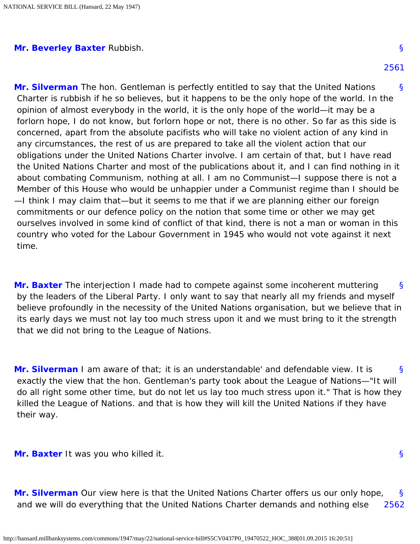#### <span id="page-18-7"></span><span id="page-18-1"></span><span id="page-18-0"></span>**[Mr. Beverley Baxter](http://hansard.millbanksystems.com/people/sir-arthur-baxter)** Rubbish.

[§](#page-18-1) **[Mr. Silverman](http://hansard.millbanksystems.com/people/mr-samuel-silverman)** The hon. Gentleman is perfectly entitled to say that the United Nations Charter is rubbish if he so believes, but it happens to be the only hope of the world. In the opinion of almost everybody in the world, it is the only hope of the world—it may be a forlorn hope, I do not know, but forlorn hope or not, there is no other. So far as this side is concerned, apart from the absolute pacifists who will take no violent action of any kind in any circumstances, the rest of us are prepared to take all the violent action that our obligations under the United Nations Charter involve. I am certain of that, but I have read the United Nations Charter and most of the publications about it, and I can find nothing in it about combating Communism, nothing at all. I am no Communist—I suppose there is not a Member of this House who would be unhappier under a Communist regime than I should be —I think I may claim that—but it seems to me that if we are planning either our foreign commitments or our defence policy on the notion that some time or other we may get ourselves involved in some kind of conflict of that kind, there is not a man or woman in this country who voted for the Labour Government in 1945 who would not vote against it next time.

<span id="page-18-2"></span>[§](#page-18-2) **[Mr. Baxter](http://hansard.millbanksystems.com/people/sir-arthur-baxter)** The interjection I made had to compete against some incoherent muttering by the leaders of the Liberal Party. I only want to say that nearly all my friends and myself believe profoundly in the necessity of the United Nations organisation, but we believe that in its early days we must not lay too much stress upon it and we must bring to it the strength that we did not bring to the League of Nations.

<span id="page-18-3"></span>[§](#page-18-3) **[Mr. Silverman](http://hansard.millbanksystems.com/people/mr-samuel-silverman)** I am aware of that; it is an understandable' and defendable view. It is exactly the view that the hon. Gentleman's party took about the League of Nations—"It will do all right some other time, but do not let us lay too much stress upon it." That is how they killed the League of Nations. and that is how they will kill the United Nations if they have their way.

<span id="page-18-5"></span><span id="page-18-4"></span>**[Mr. Baxter](http://hansard.millbanksystems.com/people/sir-arthur-baxter)** It was you who killed it.

[§](#page-18-4)

<span id="page-18-6"></span>[§](#page-18-5) [2562](#page-18-6) **[Mr. Silverman](http://hansard.millbanksystems.com/people/mr-samuel-silverman)** Our view here is that the United Nations Charter offers us our only hope, and we will do everything that the United Nations Charter demands and nothing else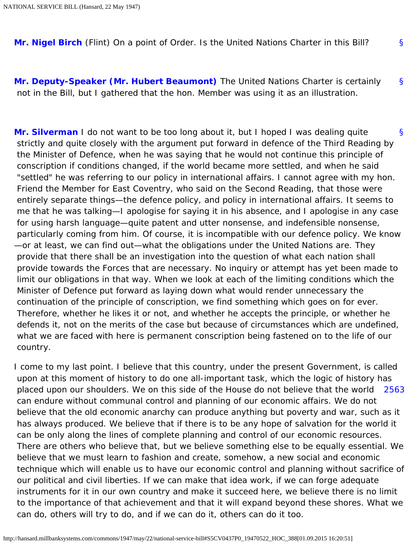<span id="page-19-1"></span><span id="page-19-0"></span>[§](#page-19-0) **[Mr. Nigel Birch](http://hansard.millbanksystems.com/people/mr-nigel-birch)** (Flint) On a point of Order. Is the United Nations Charter in this Bill?

[§](#page-19-1) **[Mr. Deputy-Speaker \(Mr. Hubert Beaumont\)](http://hansard.millbanksystems.com/people/mr-hubert-beaumont)** The United Nations Charter is certainly not in the Bill, but I gathered that the hon. Member was using it as an illustration.

<span id="page-19-2"></span>[§](#page-19-2) **[Mr. Silverman](http://hansard.millbanksystems.com/people/mr-samuel-silverman)** I do not want to be too long about it, but I hoped I was dealing quite strictly and quite closely with the argument put forward in defence of the Third Reading by the Minister of Defence, when he was saying that he would not continue this principle of conscription if conditions changed, if the world became more settled, and when he said "settled" he was referring to our policy in international affairs. I cannot agree with my hon. Friend the Member for East Coventry, who said on the Second Reading, that those were entirely separate things—the defence policy, and policy in international affairs. It seems to me that he was talking—I apologise for saying it in his absence, and I apologise in any case for using harsh language—quite patent and utter nonsense, and indefensible nonsense, particularly coming from him. Of course, it is incompatible with our defence policy. We know —or at least, we can find out—what the obligations under the United Nations are. They provide that there shall be an investigation into the question of what each nation shall provide towards the Forces that are necessary. No inquiry or attempt has yet been made to limit our obligations in that way. When we look at each of the limiting conditions which the Minister of Defence put forward as laying down what would render unnecessary the continuation of the principle of conscription, we find something which goes on for ever. Therefore, whether he likes it or not, and whether he accepts the principle, or whether he defends it, not on the merits of the case but because of circumstances which are undefined, what we are faced with here is permanent conscription being fastened on to the life of our country.

<span id="page-19-3"></span>[2563](#page-19-3) I come to my last point. I believe that this country, under the present Government, is called upon at this moment of history to do one all-important task, which the logic of history has placed upon our shoulders. We on this side of the House do not believe that the world can endure without communal control and planning of our economic affairs. We do not believe that the old economic anarchy can produce anything but poverty and war, such as it has always produced. We believe that if there is to be any hope of salvation for the world it can be only along the lines of complete planning and control of our economic resources. There are others who believe that, but we believe something else to be equally essential. We believe that we must learn to fashion and create, somehow, a new social and economic technique which will enable us to have our economic control and planning without sacrifice of our political and civil liberties. If we can make that idea work, if we can forge adequate instruments for it in our own country and make it succeed here, we believe there is no limit to the importance of that achievement and that it will expand beyond these shores. What we can do, others will try to do, and if we can do it, others can do it too.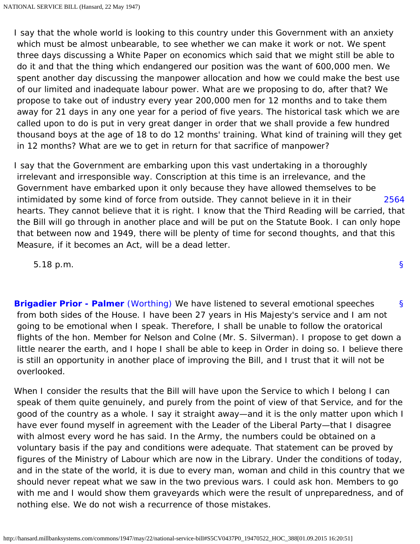I say that the whole world is looking to this country under this Government with an anxiety which must be almost unbearable, to see whether we can make it work or not. We spent three days discussing a White Paper on economics which said that we might still be able to do it and that the thing which endangered our position was the want of 600,000 men. We spent another day discussing the manpower allocation and how we could make the best use of our limited and inadequate labour power. What are we proposing to do, after that? We propose to take out of industry every year 200,000 men for 12 months and to take them away for 21 days in any one year for a period of five years. The historical task which we are called upon to do is put in very great danger in order that we shall provide a few hundred thousand boys at the age of 18 to do 12 months' training. What kind of training will they get in 12 months? What are we to get in return for that sacrifice of manpower?

<span id="page-20-0"></span>[2564](#page-20-0) I say that the Government are embarking upon this vast undertaking in a thoroughly irrelevant and irresponsible way. Conscription at this time is an irrelevance, and the Government have embarked upon it only because they have allowed themselves to be intimidated by some kind of force from outside. They cannot believe in it in their hearts. They cannot believe that it is right. I know that the Third Reading will be carried, that the Bill will go through in another place and will be put on the Statute Book. I can only hope that between now and 1949, there will be plenty of time for second thoughts, and that this Measure, if it becomes an Act, will be a dead letter.

5.18 p.m.

<span id="page-20-1"></span>[§](#page-20-1) **[Brigadier Prior - Palmer](http://hansard.millbanksystems.com/people/brigadier-sir-otho-prior-palmer)** [\(Worthing\)](http://hansard.millbanksystems.com/constituencies/worthing) We have listened to several emotional speeches from both sides of the House. I have been 27 years in His Majesty's service and I am not going to be emotional when I speak. Therefore, I shall be unable to follow the oratorical flights of the hon. Member for Nelson and Colne (Mr. S. Silverman). I propose to get down a little nearer the earth, and I hope I shall be able to keep in Order in doing so. I believe there is still an opportunity in another place of improving the Bill, and I trust that it will not be overlooked.

When I consider the results that the Bill will have upon the Service to which I belong I can speak of them quite genuinely, and purely from the point of view of that Service, and for the good of the country as a whole. I say it straight away—and it is the only matter upon which I have ever found myself in agreement with the Leader of the Liberal Party—that I disagree with almost every word he has said. In the Army, the numbers could be obtained on a voluntary basis if the pay and conditions were adequate. That statement can be proved by figures of the Ministry of Labour which are now in the Library. Under the conditions of today, and in the state of the world, it is due to every man, woman and child in this country that we should never repeat what we saw in the two previous wars. I could ask hon. Members to go with me and I would show them graveyards which were the result of unpreparedness, and of nothing else. We do not wish a recurrence of those mistakes.

[§](#page-0-1)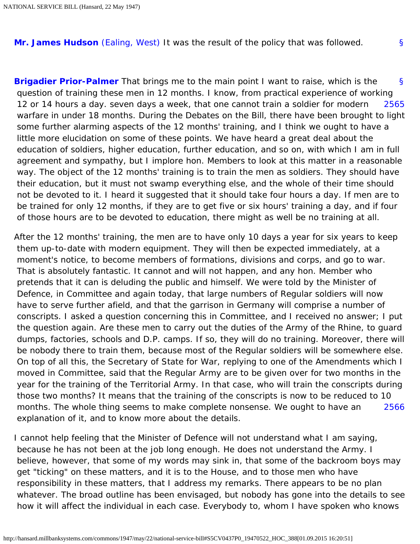<span id="page-21-0"></span>**[Mr. James Hudson](http://hansard.millbanksystems.com/people/mr-james-hudson)** [\(Ealing, West\)](http://hansard.millbanksystems.com/constituencies/ealing-west) It was the result of the policy that was followed.

[§](#page-21-0)

<span id="page-21-2"></span><span id="page-21-1"></span>[§](#page-21-1) [2565](#page-21-2) **[Brigadier Prior-Palmer](http://hansard.millbanksystems.com/people/brigadier-sir-otho-prior-palmer)** That brings me to the main point I want to raise, which is the question of training these men in 12 months. I know, from practical experience of working 12 or 14 hours a day. seven days a week, that one cannot train a soldier for modern warfare in under 18 months. During the Debates on the Bill, there have been brought to light some further alarming aspects of the 12 months' training, and I think we ought to have a little more elucidation on some of these points. We have heard a great deal about the education of soldiers, higher education, further education, and so on, with which I am in full agreement and sympathy, but I implore hon. Members to look at this matter in a reasonable way. The object of the 12 months' training is to train the men as soldiers. They should have their education, but it must not swamp everything else, and the whole of their time should not be devoted to it. I heard it suggested that it should take four hours a day. If men are to be trained for only 12 months, if they are to get five or six hours' training a day, and if four of those hours are to be devoted to education, there might as well be no training at all.

[2566](#page-21-3) After the 12 months' training, the men are to have only 10 days a year for six years to keep them up-to-date with modern equipment. They will then be expected immediately, at a moment's notice, to become members of formations, divisions and corps, and go to war. That is absolutely fantastic. It cannot and will not happen, and any hon. Member who pretends that it can is deluding the public and himself. We were told by the Minister of Defence, in Committee and again today, that large numbers of Regular soldiers will now have to serve further afield, and that the garrison in Germany will comprise a number of conscripts. I asked a question concerning this in Committee, and I received no answer; I put the question again. Are these men to carry out the duties of the Army of the Rhine, to guard dumps, factories, schools and D.P. camps. If so, they will do no training. Moreover, there will be nobody there to train them, because most of the Regular soldiers will be somewhere else. On top of all this, the Secretary of State for War, replying to one of the Amendments which I moved in Committee, said that the Regular Army are to be given over for two months in the year for the training of the Territorial Army. In that case, who will train the conscripts during those two months? It means that the training of the conscripts is now to be reduced to 10 months. The whole thing seems to make complete nonsense. We ought to have an explanation of it, and to know more about the details.

<span id="page-21-3"></span>I cannot help feeling that the Minister of Defence will not understand what I am saying, because he has not been at the job long enough. He does not understand the Army. I believe, however, that some of my words may sink in, that some of the backroom boys may get "ticking" on these matters, and it is to the House, and to those men who have responsibility in these matters, that I address my remarks. There appears to be no plan whatever. The broad outline has been envisaged, but nobody has gone into the details to see how it will affect the individual in each case. Everybody to, whom I have spoken who knows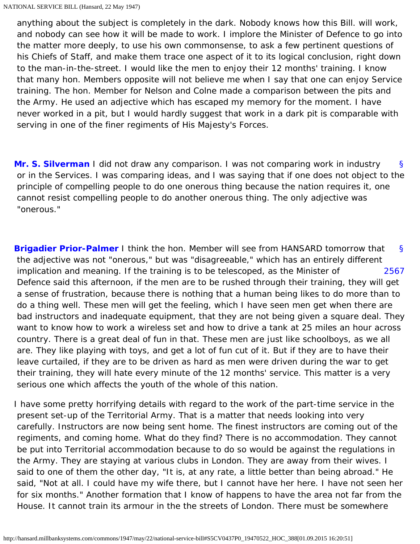anything about the subject is completely in the dark. Nobody knows how this Bill. will work, and nobody can see how it will be made to work. I implore the Minister of Defence to go into the matter more deeply, to use his own commonsense, to ask a few pertinent questions of his Chiefs of Staff, and make them trace one aspect of it to its logical conclusion, right down to the man-in-the-street. I would like the men to enjoy their 12 months' training. I know that many hon. Members opposite will not believe me when I say that one can enjoy Service training. The hon. Member for Nelson and Colne made a comparison between the pits and the Army. He used an adjective which has escaped my memory for the moment. I have never worked in a pit, but I would hardly suggest that work in a dark pit is comparable with serving in one of the finer regiments of His Majesty's Forces.

<span id="page-22-0"></span>[§](#page-22-0) **[Mr. S. Silverman](http://hansard.millbanksystems.com/people/mr-samuel-silverman)** I did not draw any comparison. I was not comparing work in industry or in the Services. I was comparing ideas, and I was saying that if one does not object to the principle of compelling people to do one onerous thing because the nation requires it, one cannot resist compelling people to do another onerous thing. The only adjective was "onerous."

<span id="page-22-2"></span><span id="page-22-1"></span>[§](#page-22-1) [2567](#page-22-2) **[Brigadier Prior-Palmer](http://hansard.millbanksystems.com/people/brigadier-sir-otho-prior-palmer)** I think the hon. Member will see from HANSARD tomorrow that the adjective was not "onerous," but was "disagreeable," which has an entirely different implication and meaning. If the training is to be telescoped, as the Minister of Defence said this afternoon, if the men are to be rushed through their training, they will get a sense of frustration, because there is nothing that a human being likes to do more than to do a thing well. These men will get the feeling, which I have seen men get when there are bad instructors and inadequate equipment, that they are not being given a square deal. They want to know how to work a wireless set and how to drive a tank at 25 miles an hour across country. There is a great deal of fun in that. These men are just like schoolboys, as we all are. They like playing with toys, and get a lot of fun cut of it. But if they are to have their leave curtailed, if they are to be driven as hard as men were driven during the war to get their training, they will hate every minute of the 12 months' service. This matter is a very serious one which affects the youth of the whole of this nation.

I have some pretty horrifying details with regard to the work of the part-time service in the present set-up of the Territorial Army. That is a matter that needs looking into very carefully. Instructors are now being sent home. The finest instructors are coming out of the regiments, and coming home. What do they find? There is no accommodation. They cannot be put into Territorial accommodation because to do so would be against the regulations in the Army. They are staying at various clubs in London. They are away from their wives. I said to one of them the other day, "It is, at any rate, a little better than being abroad." He said, "Not at all. I could have my wife there, but I cannot have her here. I have not seen her for six months." Another formation that I know of happens to have the area not far from the House. It cannot train its armour in the the streets of London. There must be somewhere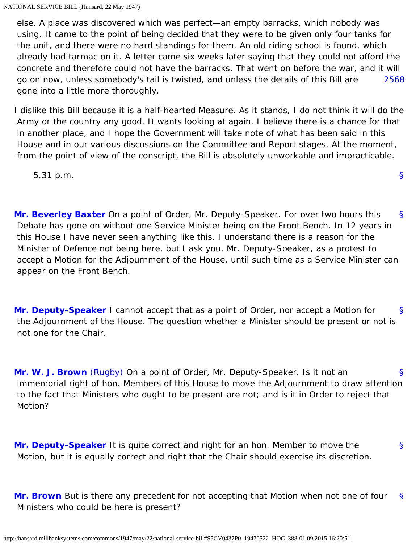[2568](#page-23-0) else. A place was discovered which was perfect—an empty barracks, which nobody was using. It came to the point of being decided that they were to be given only four tanks for the unit, and there were no hard standings for them. An old riding school is found, which already had tarmac on it. A letter came six weeks later saying that they could not afford the concrete and therefore could not have the barracks. That went on before the war, and it will go on now, unless somebody's tail is twisted, and unless the details of this Bill are gone into a little more thoroughly.

<span id="page-23-0"></span>I dislike this Bill because it is a half-hearted Measure. As it stands, I do not think it will do the Army or the country any good. It wants looking at again. I believe there is a chance for that in another place, and I hope the Government will take note of what has been said in this House and in our various discussions on the Committee and Report stages. At the moment, from the point of view of the conscript, the Bill is absolutely unworkable and impracticable.

[§](#page-0-1)

5.31 p.m.

<span id="page-23-1"></span>[§](#page-23-1) **[Mr. Beverley Baxter](http://hansard.millbanksystems.com/people/sir-arthur-baxter)** On a point of Order, Mr. Deputy-Speaker. For over two hours this Debate has gone on without one Service Minister being on the Front Bench. In 12 years in this House I have never seen anything like this. I understand there is a reason for the Minister of Defence not being here, but I ask you, Mr. Deputy-Speaker, as a protest to accept a Motion for the Adjournment of the House, until such time as a Service Minister can appear on the Front Bench.

<span id="page-23-2"></span>[§](#page-23-2) **[Mr. Deputy-Speaker](http://hansard.millbanksystems.com/people/mr-hubert-beaumont)** I cannot accept that as a point of Order, nor accept a Motion for the Adjournment of the House. The question whether a Minister should be present or not is not one for the Chair.

<span id="page-23-3"></span>[§](#page-23-3) **[Mr. W. J. Brown](http://hansard.millbanksystems.com/people/mr-william-brown-1)** [\(Rugby\)](http://hansard.millbanksystems.com/constituencies/rugby) On a point of Order, Mr. Deputy-Speaker. Is it not an immemorial right of hon. Members of this House to move the Adjournment to draw attention to the fact that Ministers who ought to be present are not; and is it in Order to reject that Motion?

<span id="page-23-4"></span>[§](#page-23-4) **[Mr. Deputy-Speaker](http://hansard.millbanksystems.com/people/mr-hubert-beaumont)** It is quite correct and right for an hon. Member to move the Motion, but it is equally correct and right that the Chair should exercise its discretion.

<span id="page-23-5"></span>[§](#page-23-5) **[Mr. Brown](http://hansard.millbanksystems.com/people/mr-william-brown-1)** But is there any precedent for not accepting that Motion when not one of four Ministers who could be here is present?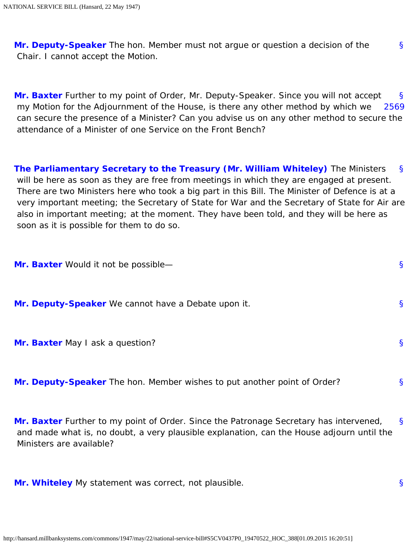<span id="page-24-0"></span>[§](#page-24-0) **[Mr. Deputy-Speaker](http://hansard.millbanksystems.com/people/mr-hubert-beaumont)** The hon. Member must not argue or question a decision of the Chair. I cannot accept the Motion.

<span id="page-24-2"></span><span id="page-24-1"></span>[§](#page-24-1) [2569](#page-24-2) **[Mr. Baxter](http://hansard.millbanksystems.com/people/sir-arthur-baxter)** Further to my point of Order, Mr. Deputy-Speaker. Since you will not accept my Motion for the Adjournment of the House, is there any other method by which we can secure the presence of a Minister? Can you advise us on any other method to secure the attendance of a Minister of one Service on the Front Bench?

<span id="page-24-3"></span>[§](#page-24-3) **[The Parliamentary Secretary to the Treasury \(Mr. William Whiteley\)](http://hansard.millbanksystems.com/people/mr-william-whiteley)** The Ministers will be here as soon as they are free from meetings in which they are engaged at present. There are two Ministers here who took a big part in this Bill. The Minister of Defence is at a very important meeting; the Secretary of State for War and the Secretary of State for Air are also in important meeting; at the moment. They have been told, and they will be here as soon as it is possible for them to do so.

<span id="page-24-6"></span><span id="page-24-5"></span><span id="page-24-4"></span>

| Mr. Baxter Would it not be possible-                                     | S. |
|--------------------------------------------------------------------------|----|
| Mr. Deputy-Speaker We cannot have a Debate upon it.                      | S. |
| Mr. Baxter May I ask a question?                                         | S. |
| Mr. Deputy-Speaker The hon. Member wishes to put another point of Order? | S. |
|                                                                          |    |

<span id="page-24-8"></span><span id="page-24-7"></span>[§](#page-24-8) **[Mr. Baxter](http://hansard.millbanksystems.com/people/sir-arthur-baxter)** Further to my point of Order. Since the Patronage Secretary has intervened, and made what is, no doubt, a very plausible explanation, can the House adjourn until the Ministers are available?

<span id="page-24-10"></span><span id="page-24-9"></span>**[Mr. Whiteley](http://hansard.millbanksystems.com/people/mr-william-whiteley)** My statement was correct, not plausible.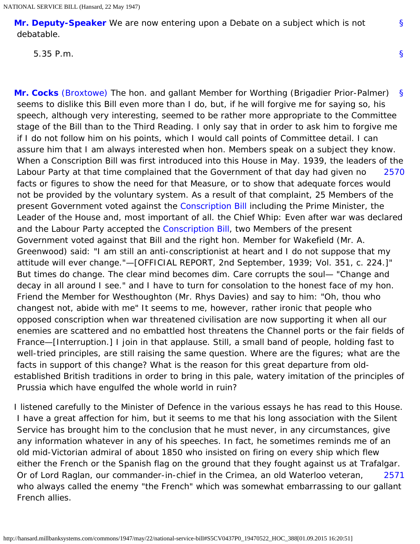**[Mr. Deputy-Speaker](http://hansard.millbanksystems.com/people/mr-hubert-beaumont)** We are now entering upon a Debate on a subject which is not debatable.

5.35 P.m.

<span id="page-25-1"></span><span id="page-25-0"></span>[§](#page-25-0) [2570](#page-25-1) **[Mr. Cocks](http://hansard.millbanksystems.com/people/mr-frederick-cocks)** [\(Broxtowe\)](http://hansard.millbanksystems.com/constituencies/broxtowe) The hon. and gallant Member for Worthing (Brigadier Prior-Palmer) seems to dislike this Bill even more than I do, but, if he will forgive me for saying so, his speech, although very interesting, seemed to be rather more appropriate to the Committee stage of the Bill than to the Third Reading. I only say that in order to ask him to forgive me if I do not follow him on his points, which I would call points of Committee detail. I can assure him that I am always interested when hon. Members speak on a subject they know. When a Conscription Bill was first introduced into this House in May. 1939, the leaders of the Labour Party at that time complained that the Government of that day had given no facts or figures to show the need for that Measure, or to show that adequate forces would not be provided by the voluntary system. As a result of that complaint, 25 Members of the present Government voted against the [Conscription Bill](http://hansard.millbanksystems.com/bills/conscription-bill) including the Prime Minister, the Leader of the House and, most important of all. the Chief Whip: Even after war was declared and the Labour Party accepted the [Conscription Bill](http://hansard.millbanksystems.com/bills/conscription-bill), two Members of the present Government voted against that Bill and the right hon. Member for Wakefield (Mr. A. Greenwood) said: "I am still an anti-conscriptionist at heart and I do not suppose that my attitude will ever change."—[OFFICIAL REPORT, 2nd September, 1939; Vol. 351, c. 224.]" But times do change. The clear mind becomes dim. Care corrupts the soul— "Change and decay in all around I see." and I have to turn for consolation to the honest face of my hon. Friend the Member for Westhoughton (Mr. Rhys Davies) and say to him: "Oh, thou who changest not, abide with me" It seems to me, however, rather ironic that people who opposed conscription when war threatened civilisation are now supporting it when all our enemies are scattered and no embattled host threatens the Channel ports or the fair fields of France—[Interruption.] I join in that applause. Still, a small band of people, holding fast to well-tried principles, are still raising the same question. Where are the figures; what are the facts in support of this change? What is the reason for this great departure from oldestablished British traditions in order to bring in this pale, watery imitation of the principles of Prussia which have engulfed the whole world in ruin?

<span id="page-25-2"></span>[2571](#page-25-2) I listened carefully to the Minister of Defence in the various essays he has read to this House. I have a great affection for him, but it seems to me that his long association with the Silent Service has brought him to the conclusion that he must never, in any circumstances, give any information whatever in any of his speeches. In fact, he sometimes reminds me of an old mid-Victorian admiral of about 1850 who insisted on firing on every ship which flew either the French or the Spanish flag on the ground that they fought against us at Trafalgar. Or of Lord Raglan, our commander-in-chief in the Crimea, an old Waterloo veteran, who always called the enemy "the French" which was somewhat embarrassing to our gallant French allies.

[§](#page-0-1)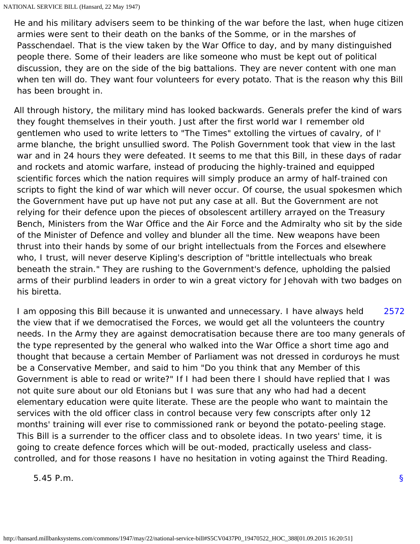He and his military advisers seem to be thinking of the war before the last, when huge citizen armies were sent to their death on the banks of the Somme, or in the marshes of Passchendael. That is the view taken by the War Office to day, and by many distinguished people there. Some of their leaders are like someone who must be kept out of political discussion, they are on the side of the big battalions. They are never content with one man when ten will do. They want four volunteers for every potato. That is the reason why this Bill has been brought in.

All through history, the military mind has looked backwards. Generals prefer the kind of wars they fought themselves in their youth. Just after the first world war I remember old gentlemen who used to write letters to "The Times" extolling the virtues of cavalry, of l' arme blanche, the bright unsullied sword. The Polish Government took that view in the last war and in 24 hours they were defeated. It seems to me that this Bill, in these days of radar and rockets and atomic warfare, instead of producing the highly-trained and equipped scientific forces which the nation requires will simply produce an army of half-trained con scripts to fight the kind of war which will never occur. Of course, the usual spokesmen which the Government have put up have not put any case at all. But the Government are not relying for their defence upon the pieces of obsolescent artillery arrayed on the Treasury Bench, Ministers from the War Office and the Air Force and the Admiralty who sit by the side of the Minister of Defence and volley and blunder all the time. New weapons have been thrust into their hands by some of our bright intellectuals from the Forces and elsewhere who, I trust, will never deserve Kipling's description of "brittle intellectuals who break beneath the strain." They are rushing to the Government's defence, upholding the palsied arms of their purblind leaders in order to win a great victory for Jehovah with two badges on his biretta.

<span id="page-26-0"></span>[2572](#page-26-0) I am opposing this Bill because it is unwanted and unnecessary. I have always held the view that if we democratised the Forces, we would get all the volunteers the country needs. In the Army they are against democratisation because there are too many generals of the type represented by the general who walked into the War Office a short time ago and thought that because a certain Member of Parliament was not dressed in corduroys he must be a Conservative Member, and said to him "Do you think that any Member of this Government is able to read or write?" If I had been there I should have replied that I was not quite sure about our old Etonians but I was sure that any who had had a decent elementary education were quite literate. These are the people who want to maintain the services with the old officer class in control because very few conscripts after only 12 months' training will ever rise to commissioned rank or beyond the potato-peeling stage. This Bill is a surrender to the officer class and to obsolete ideas. In two years' time, it is going to create defence forces which will be out-moded, practically useless and classcontrolled, and for those reasons I have no hesitation in voting against the Third Reading.

<span id="page-26-1"></span>5.45 P.m.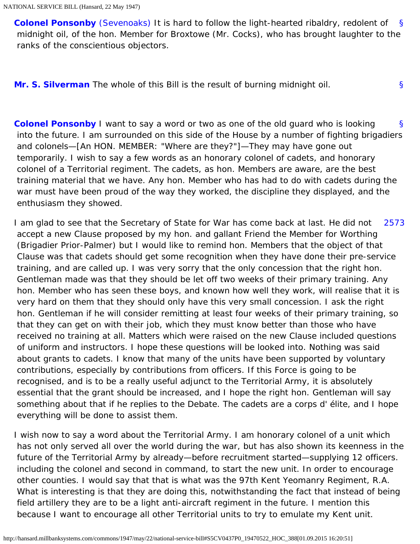[§](#page-26-1) **[Colonel Ponsonby](http://hansard.millbanksystems.com/people/colonel-charles-ponsonby)** [\(Sevenoaks\)](http://hansard.millbanksystems.com/constituencies/sevenoaks) It is hard to follow the light-hearted ribaldry, redolent of midnight oil, of the hon. Member for Broxtowe (Mr. Cocks), who has brought laughter to the ranks of the conscientious objectors.

[§](#page-27-0)

<span id="page-27-1"></span><span id="page-27-0"></span>**[Mr. S. Silverman](http://hansard.millbanksystems.com/people/mr-samuel-silverman)** The whole of this Bill is the result of burning midnight oil.

[§](#page-27-1) **[Colonel Ponsonby](http://hansard.millbanksystems.com/people/colonel-charles-ponsonby)** I want to say a word or two as one of the old guard who is looking into the future. I am surrounded on this side of the House by a number of fighting brigadiers and colonels—[An HON. MEMBER: "Where are they?"]—They may have gone out temporarily. I wish to say a few words as an honorary colonel of cadets, and honorary colonel of a Territorial regiment. The cadets, as hon. Members are aware, are the best training material that we have. Any hon. Member who has had to do with cadets during the war must have been proud of the way they worked, the discipline they displayed, and the enthusiasm they showed.

<span id="page-27-2"></span>[2573](#page-27-2) I am glad to see that the Secretary of State for War has come back at last. He did not accept a new Clause proposed by my hon. and gallant Friend the Member for Worthing (Brigadier Prior-Palmer) but I would like to remind hon. Members that the object of that Clause was that cadets should get some recognition when they have done their pre-service training, and are called up. I was very sorry that the only concession that the right hon. Gentleman made was that they should be let off two weeks of their primary training. Any hon. Member who has seen these boys, and known how well they work, will realise that it is very hard on them that they should only have this very small concession. I ask the right hon. Gentleman if he will consider remitting at least four weeks of their primary training, so that they can get on with their job, which they must know better than those who have received no training at all. Matters which were raised on the new Clause included questions of uniform and instructors. I hope these questions will be looked into. Nothing was said about grants to cadets. I know that many of the units have been supported by voluntary contributions, especially by contributions from officers. If this Force is going to be recognised, and is to be a really useful adjunct to the Territorial Army, it is absolutely essential that the grant should be increased, and I hope the right hon. Gentleman will say something about that if he replies to the Debate. The cadets are a corps d' élite, and I hope everything will be done to assist them.

I wish now to say a word about the Territorial Army. I am honorary colonel of a unit which has not only served all over the world during the war, but has also shown its keenness in the future of the Territorial Army by already—before recruitment started—supplying 12 officers. including the colonel and second in command, to start the new unit. In order to encourage other counties. I would say that that is what was the 97th Kent Yeomanry Regiment, R.A. What is interesting is that they are doing this, notwithstanding the fact that instead of being field artillery they are to be a light anti-aircraft regiment in the future. I mention this because I want to encourage all other Territorial units to try to emulate my Kent unit.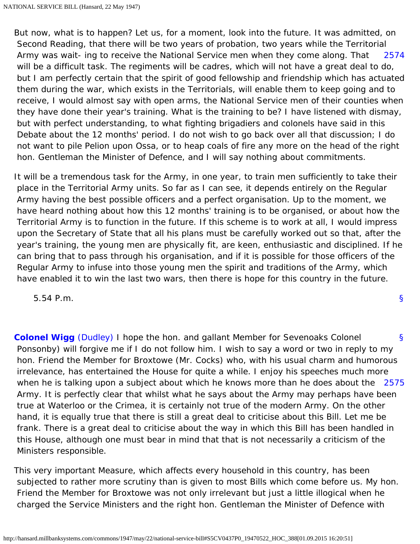<span id="page-28-0"></span>[2574](#page-28-0) But now, what is to happen? Let us, for a moment, look into the future. It was admitted, on Second Reading, that there will be two years of probation, two years while the Territorial Army was wait- ing to receive the National Service men when they come along. That will be a difficult task. The regiments will be cadres, which will not have a great deal to do, but I am perfectly certain that the spirit of good fellowship and friendship which has actuated them during the war, which exists in the Territorials, will enable them to keep going and to receive, I would almost say with open arms, the National Service men of their counties when they have done their year's training. What is the training to be? I have listened with dismay, but with perfect understanding, to what fighting brigadiers and colonels have said in this Debate about the 12 months' period. I do not wish to go back over all that discussion; I do not want to pile Pelion upon Ossa, or to heap coals of fire any more on the head of the right hon. Gentleman the Minister of Defence, and I will say nothing about commitments.

It will be a tremendous task for the Army, in one year, to train men sufficiently to take their place in the Territorial Army units. So far as I can see, it depends entirely on the Regular Army having the best possible officers and a perfect organisation. Up to the moment, we have heard nothing about how this 12 months' training is to be organised, or about how the Territorial Army is to function in the future. If this scheme is to work at all, I would impress upon the Secretary of State that all his plans must be carefully worked out so that, after the year's training, the young men are physically fit, are keen, enthusiastic and disciplined. If he can bring that to pass through his organisation, and if it is possible for those officers of the Regular Army to infuse into those young men the spirit and traditions of the Army, which have enabled it to win the last two wars, then there is hope for this country in the future.

[§](#page-0-1)

5.54 P.m.

<span id="page-28-2"></span><span id="page-28-1"></span>[§](#page-28-1) [2575](#page-28-2) **[Colonel Wigg](http://hansard.millbanksystems.com/people/mr-george-wigg)** [\(Dudley\)](http://hansard.millbanksystems.com/constituencies/dudley) I hope the hon. and gallant Member for Sevenoaks Colonel Ponsonby) will forgive me if I do not follow him. I wish to say a word or two in reply to my hon. Friend the Member for Broxtowe (Mr. Cocks) who, with his usual charm and humorous irrelevance, has entertained the House for quite a while. I enjoy his speeches much more when he is talking upon a subject about which he knows more than he does about the Army. It is perfectly clear that whilst what he says about the Army may perhaps have been true at Waterloo or the Crimea, it is certainly not true of the modern Army. On the other hand, it is equally true that there is still a great deal to criticise about this Bill. Let me be frank. There is a great deal to criticise about the way in which this Bill has been handled in this House, although one must bear in mind that that is not necessarily a criticism of the Ministers responsible.

This very important Measure, which affects every household in this country, has been subjected to rather more scrutiny than is given to most Bills which come before us. My hon. Friend the Member for Broxtowe was not only irrelevant but just a little illogical when he charged the Service Ministers and the right hon. Gentleman the Minister of Defence with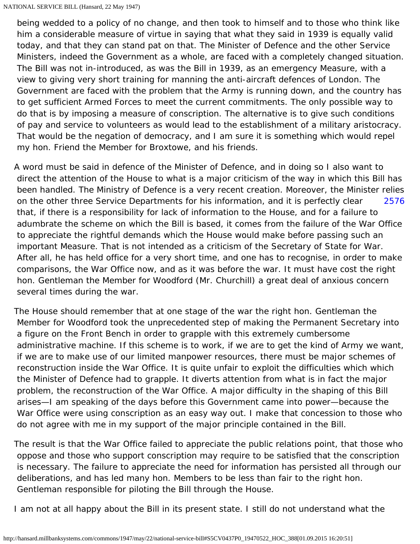being wedded to a policy of no change, and then took to himself and to those who think like him a considerable measure of virtue in saying that what they said in 1939 is equally valid today, and that they can stand pat on that. The Minister of Defence and the other Service Ministers, indeed the Government as a whole, are faced with a completely changed situation. The Bill was not in-introduced, as was the Bill in 1939, as an emergency Measure, with a view to giving very short training for manning the anti-aircraft defences of London. The Government are faced with the problem that the Army is running down, and the country has to get sufficient Armed Forces to meet the current commitments. The only possible way to do that is by imposing a measure of conscription. The alternative is to give such conditions of pay and service to volunteers as would lead to the establishment of a military aristocracy. That would be the negation of democracy, and I am sure it is something which would repel my hon. Friend the Member for Broxtowe, and his friends.

<span id="page-29-0"></span>[2576](#page-29-0) A word must be said in defence of the Minister of Defence, and in doing so I also want to direct the attention of the House to what is a major criticism of the way in which this Bill has been handled. The Ministry of Defence is a very recent creation. Moreover, the Minister relies on the other three Service Departments for his information, and it is perfectly clear that, if there is a responsibility for lack of information to the House, and for a failure to adumbrate the scheme on which the Bill is based, it comes from the failure of the War Office to appreciate the rightful demands which the House would make before passing such an important Measure. That is not intended as a criticism of the Secretary of State for War. After all, he has held office for a very short time, and one has to recognise, in order to make comparisons, the War Office now, and as it was before the war. It must have cost the right hon. Gentleman the Member for Woodford (Mr. Churchill) a great deal of anxious concern several times during the war.

The House should remember that at one stage of the war the right hon. Gentleman the Member for Woodford took the unprecedented step of making the Permanent Secretary into a figure on the Front Bench in order to grapple with this extremely cumbersome administrative machine. If this scheme is to work, if we are to get the kind of Army we want, if we are to make use of our limited manpower resources, there must be major schemes of reconstruction inside the War Office. It is quite unfair to exploit the difficulties which which the Minister of Defence had to grapple. It diverts attention from what is in fact the major problem, the reconstruction of the War Office. A major difficulty in the shaping of this Bill arises—I am speaking of the days before this Government came into power—because the War Office were using conscription as an easy way out. I make that concession to those who do not agree with me in my support of the major principle contained in the Bill.

The result is that the War Office failed to appreciate the public relations point, that those who oppose and those who support conscription may require to be satisfied that the conscription is necessary. The failure to appreciate the need for information has persisted all through our deliberations, and has led many hon. Members to be less than fair to the right hon. Gentleman responsible for piloting the Bill through the House.

I am not at all happy about the Bill in its present state. I still do not understand what the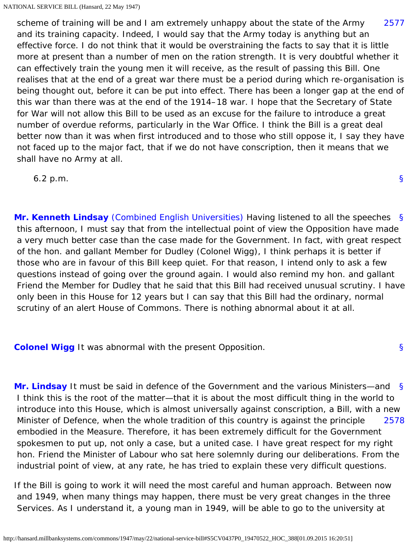<span id="page-30-0"></span>[2577](#page-30-0) scheme of training will be and I am extremely unhappy about the state of the Army and its training capacity. Indeed, I would say that the Army today is anything but an effective force. I do not think that it would be overstraining the facts to say that it is little more at present than a number of men on the ration strength. It is very doubtful whether it can effectively train the young men it will receive, as the result of passing this Bill. One realises that at the end of a great war there must be a period during which re-organisation is being thought out, before it can be put into effect. There has been a longer gap at the end of this war than there was at the end of the 1914–18 war. I hope that the Secretary of State for War will not allow this Bill to be used as an excuse for the failure to introduce a great number of overdue reforms, particularly in the War Office. I think the Bill is a great deal better now than it was when first introduced and to those who still oppose it, I say they have not faced up to the major fact, that if we do not have conscription, then it means that we shall have no Army at all.

6.2 p.m.

<span id="page-30-1"></span>[§](#page-30-1) **[Mr. Kenneth Lindsay](http://hansard.millbanksystems.com/people/mr-kenneth-lindsay)** [\(Combined English Universities\)](http://hansard.millbanksystems.com/constituencies/combined-english-universities) Having listened to all the speeches this afternoon, I must say that from the intellectual point of view the Opposition have made a very much better case than the case made for the Government. In fact, with great respect of the hon. and gallant Member for Dudley (Colonel Wigg), I think perhaps it is better if those who are in favour of this Bill keep quiet. For that reason, I intend only to ask a few questions instead of going over the ground again. I would also remind my hon. and gallant Friend the Member for Dudley that he said that this Bill had received unusual scrutiny. I have only been in this House for 12 years but I can say that this Bill had the ordinary, normal scrutiny of an alert House of Commons. There is nothing abnormal about it at all.

[§](#page-0-1)

[§](#page-30-2)

<span id="page-30-2"></span>**[Colonel Wigg](http://hansard.millbanksystems.com/people/mr-george-wigg)** It was abnormal with the present Opposition.

<span id="page-30-4"></span><span id="page-30-3"></span>[§](#page-30-3) [2578](#page-30-4) **[Mr. Lindsay](http://hansard.millbanksystems.com/people/mr-kenneth-lindsay)** It must be said in defence of the Government and the various Ministers—and I think this is the root of the matter—that it is about the most difficult thing in the world to introduce into this House, which is almost universally against conscription, a Bill, with a new Minister of Defence, when the whole tradition of this country is against the principle embodied in the Measure. Therefore, it has been extremely difficult for the Government spokesmen to put up, not only a case, but a united case. I have great respect for my right hon. Friend the Minister of Labour who sat here solemnly during our deliberations. From the industrial point of view, at any rate, he has tried to explain these very difficult questions.

If the Bill is going to work it will need the most careful and human approach. Between now and 1949, when many things may happen, there must be very great changes in the three Services. As I understand it, a young man in 1949, will be able to go to the university at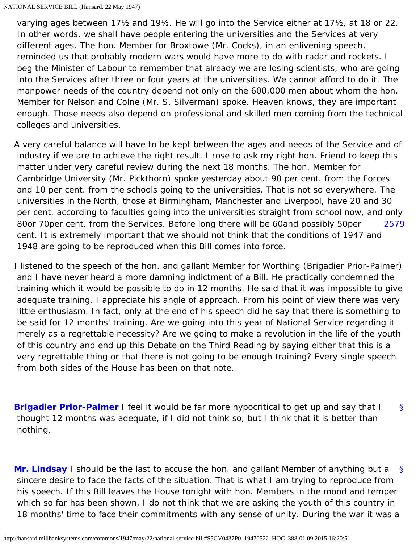varying ages between 17½ and 19½. He will go into the Service either at 17½, at 18 or 22. In other words, we shall have people entering the universities and the Services at very different ages. The hon. Member for Broxtowe (Mr. Cocks), in an enlivening speech, reminded us that probably modern wars would have more to do with radar and rockets. I beg the Minister of Labour to remember that already we are losing scientists, who are going into the Services after three or four years at the universities. We cannot afford to do it. The manpower needs of the country depend not only on the 600,000 men about whom the hon. Member for Nelson and Colne (Mr. S. Silverman) spoke. Heaven knows, they are important enough. Those needs also depend on professional and skilled men coming from the technical colleges and universities.

[2579](#page-31-0) A very careful balance will have to be kept between the ages and needs of the Service and of industry if we are to achieve the right result. I rose to ask my right hon. Friend to keep this matter under very careful review during the next 18 months. The hon. Member for Cambridge University (Mr. Pickthorn) spoke yesterday about 90 per cent. from the Forces and 10 per cent. from the schools going to the universities. That is not so everywhere. The universities in the North, those at Birmingham, Manchester and Liverpool, have 20 and 30 per cent. according to faculties going into the universities straight from school now, and only 80or 70per cent. from the Services. Before long there will be 60and possibly 50per cent. It is extremely important that we should not think that the conditions of 1947 and 1948 are going to be reproduced when this Bill comes into force.

<span id="page-31-0"></span>I listened to the speech of the hon. and gallant Member for Worthing (Brigadier Prior-Palmer) and I have never heard a more damning indictment of a Bill. He practically condemned the training which it would be possible to do in 12 months. He said that it was impossible to give adequate training. I appreciate his angle of approach. From his point of view there was very little enthusiasm. In fact, only at the end of his speech did he say that there is something to be said for 12 months' training. Are we going into this year of National Service regarding it merely as a regrettable necessity? Are we going to make a revolution in the life of the youth of this country and end up this Debate on the Third Reading by saying either that this is a very regrettable thing or that there is not going to be enough training? Every single speech from both sides of the House has been on that note.

<span id="page-31-1"></span>[§](#page-31-1) **[Brigadier Prior-Palmer](http://hansard.millbanksystems.com/people/brigadier-sir-otho-prior-palmer)** I feel it would be far more hypocritical to get up and say that I thought 12 months was adequate, if I did not think so, but I think that it is better than nothing.

<span id="page-31-2"></span>[§](#page-31-2) **[Mr. Lindsay](http://hansard.millbanksystems.com/people/mr-kenneth-lindsay)** I should be the last to accuse the hon. and gallant Member of anything but a sincere desire to face the facts of the situation. That is what I am trying to reproduce from his speech. If this Bill leaves the House tonight with hon. Members in the mood and temper which so far has been shown, I do not think that we are asking the youth of this country in 18 months' time to face their commitments with any sense of unity. During the war it was a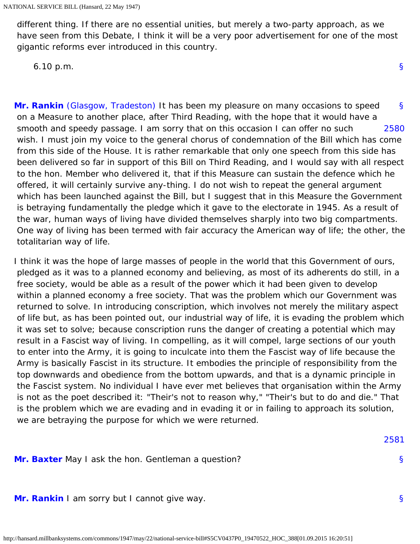different thing. If there are no essential unities, but merely a two-party approach, as we have seen from this Debate, I think it will be a very poor advertisement for one of the most gigantic reforms ever introduced in this country.

6.10 p.m.

<span id="page-32-1"></span><span id="page-32-0"></span>[§](#page-32-0) [2580](#page-32-1) **[Mr. Rankin](http://hansard.millbanksystems.com/people/mr-jon-rankin)** [\(Glasgow, Tradeston\)](http://hansard.millbanksystems.com/constituencies/glasgow-tradeston) It has been my pleasure on many occasions to speed on a Measure to another place, after Third Reading, with the hope that it would have a smooth and speedy passage. I am sorry that on this occasion I can offer no such wish. I must join my voice to the general chorus of condemnation of the Bill which has come from this side of the House. It is rather remarkable that only one speech from this side has been delivered so far in support of this Bill on Third Reading, and I would say with all respect to the hon. Member who delivered it, that if this Measure can sustain the defence which he offered, it will certainly survive any-thing. I do not wish to repeat the general argument which has been launched against the Bill, but I suggest that in this Measure the Government is betraying fundamentally the pledge which it gave to the electorate in 1945. As a result of the war, human ways of living have divided themselves sharply into two big compartments. One way of living has been termed with fair accuracy the American way of life; the other, the totalitarian way of life.

I think it was the hope of large masses of people in the world that this Government of ours, pledged as it was to a planned economy and believing, as most of its adherents do still, in a free society, would be able as a result of the power which it had been given to develop within a planned economy a free society. That was the problem which our Government was returned to solve. In introducing conscription, which involves not merely the military aspect of life but, as has been pointed out, our industrial way of life, it is evading the problem which it was set to solve; because conscription runs the danger of creating a potential which may result in a Fascist way of living. In compelling, as it will compel, large sections of our youth to enter into the Army, it is going to inculcate into them the Fascist way of life because the Army is basically Fascist in its structure. It embodies the principle of responsibility from the top downwards and obedience from the bottom upwards, and that is a dynamic principle in the Fascist system. No individual I have ever met believes that organisation within the Army is not as the poet described it: "Their's not to reason why," "Their's but to do and die." That is the problem which we are evading and in evading it or in failing to approach its solution, we are betraying the purpose for which we were returned.

<span id="page-32-4"></span><span id="page-32-2"></span>**[Mr. Baxter](http://hansard.millbanksystems.com/people/sir-arthur-baxter)** May I ask the hon. Gentleman a question?

<span id="page-32-3"></span>**[Mr. Rankin](http://hansard.millbanksystems.com/people/mr-jon-rankin)** I am sorry but I cannot give way.

[§](#page-0-1)

[2581](#page-32-4)

[§](#page-32-3)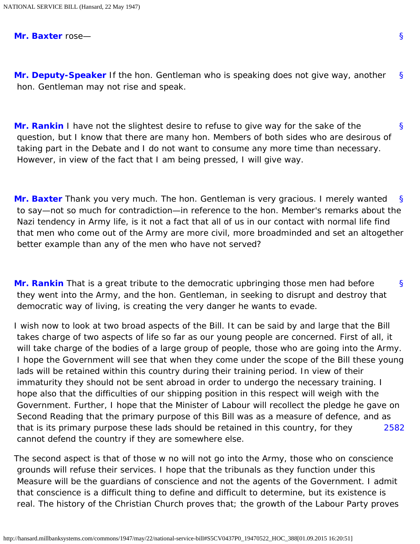<span id="page-33-0"></span>**[Mr. Baxter](http://hansard.millbanksystems.com/people/sir-arthur-baxter)** rose—

[§](#page-33-0) **[Mr. Deputy-Speaker](http://hansard.millbanksystems.com/people/mr-hubert-beaumont)** If the hon. Gentleman who is speaking does not give way, another hon. Gentleman may not rise and speak.

<span id="page-33-1"></span>[§](#page-33-1) **[Mr. Rankin](http://hansard.millbanksystems.com/people/mr-jon-rankin)** I have not the slightest desire to refuse to give way for the sake of the question, but I know that there are many hon. Members of both sides who are desirous of taking part in the Debate and I do not want to consume any more time than necessary. However, in view of the fact that I am being pressed, I will give way.

<span id="page-33-2"></span>[§](#page-33-2) **[Mr. Baxter](http://hansard.millbanksystems.com/people/sir-arthur-baxter)** Thank you very much. The hon. Gentleman is very gracious. I merely wanted to say—not so much for contradiction—in reference to the hon. Member's remarks about the Nazi tendency in Army life, is it not a fact that all of us in our contact with normal life find that men who come out of the Army are more civil, more broadminded and set an altogether better example than any of the men who have not served?

<span id="page-33-3"></span>[§](#page-33-3) **[Mr. Rankin](http://hansard.millbanksystems.com/people/mr-jon-rankin)** That is a great tribute to the democratic upbringing those men had before they went into the Army, and the hon. Gentleman, in seeking to disrupt and destroy that democratic way of living, is creating the very danger he wants to evade.

[2582](#page-33-4) I wish now to look at two broad aspects of the Bill. It can be said by and large that the Bill takes charge of two aspects of life so far as our young people are concerned. First of all, it will take charge of the bodies of a large group of people, those who are going into the Army. I hope the Government will see that when they come under the scope of the Bill these young lads will be retained within this country during their training period. In view of their immaturity they should not be sent abroad in order to undergo the necessary training. I hope also that the difficulties of our shipping position in this respect will weigh with the Government. Further, I hope that the Minister of Labour will recollect the pledge he gave on Second Reading that the primary purpose of this Bill was as a measure of defence, and as that is its primary purpose these lads should be retained in this country, for they cannot defend the country if they are somewhere else.

<span id="page-33-4"></span>The second aspect is that of those w no will not go into the Army, those who on conscience grounds will refuse their services. I hope that the tribunals as they function under this Measure will be the guardians of conscience and not the agents of the Government. I admit that conscience is a difficult thing to define and difficult to determine, but its existence is real. The history of the Christian Church proves that; the growth of the Labour Party proves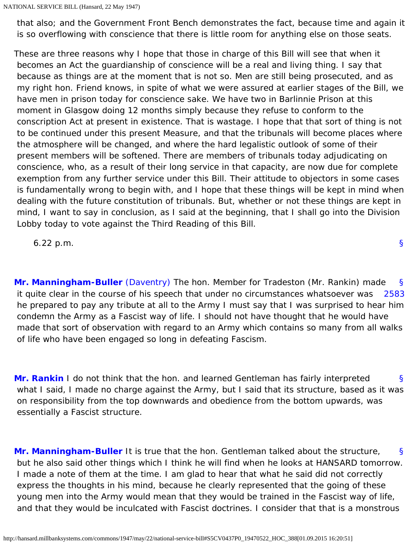that also; and the Government Front Bench demonstrates the fact, because time and again it is so overflowing with conscience that there is little room for anything else on those seats.

These are three reasons why I hope that those in charge of this Bill will see that when it becomes an Act the guardianship of conscience will be a real and living thing. I say that because as things are at the moment that is not so. Men are still being prosecuted, and as my right hon. Friend knows, in spite of what we were assured at earlier stages of the Bill, we have men in prison today for conscience sake. We have two in Barlinnie Prison at this moment in Glasgow doing 12 months simply because they refuse to conform to the conscription Act at present in existence. That is wastage. I hope that that sort of thing is not to be continued under this present Measure, and that the tribunals will become places where the atmosphere will be changed, and where the hard legalistic outlook of some of their present members will be softened. There are members of tribunals today adjudicating on conscience, who, as a result of their long service in that capacity, are now due for complete exemption from any further service under this Bill. Their attitude to objectors in some cases is fundamentally wrong to begin with, and I hope that these things will be kept in mind when dealing with the future constitution of tribunals. But, whether or not these things are kept in mind, I want to say in conclusion, as I said at the beginning, that I shall go into the Division Lobby today to vote against the Third Reading of this Bill.

6.22 p.m.

[§](#page-0-1)

<span id="page-34-1"></span><span id="page-34-0"></span>[§](#page-34-0) [2583](#page-34-1) **[Mr. Manningham-Buller](http://hansard.millbanksystems.com/people/mr-reginald-manningham-buller)** [\(Daventry\)](http://hansard.millbanksystems.com/constituencies/daventry) The hon. Member for Tradeston (Mr. Rankin) made it quite clear in the course of his speech that under no circumstances whatsoever was he prepared to pay any tribute at all to the Army I must say that I was surprised to hear him condemn the Army as a Fascist way of life. I should not have thought that he would have made that sort of observation with regard to an Army which contains so many from all walks of life who have been engaged so long in defeating Fascism.

<span id="page-34-2"></span>[§](#page-34-2) **[Mr. Rankin](http://hansard.millbanksystems.com/people/mr-jon-rankin)** I do not think that the hon. and learned Gentleman has fairly interpreted what I said, I made no charge against the Army, but I said that its structure, based as it was on responsibility from the top downwards and obedience from the bottom upwards, was essentially a Fascist structure.

<span id="page-34-3"></span>[§](#page-34-3) **[Mr. Manningham-Buller](http://hansard.millbanksystems.com/people/mr-reginald-manningham-buller)** It is true that the hon. Gentleman talked about the structure, but he also said other things which I think he will find when he looks at HANSARD tomorrow. I made a note of them at the time. I am glad to hear that what he said did not correctly express the thoughts in his mind, because he clearly represented that the going of these young men into the Army would mean that they would be trained in the Fascist way of life, and that they would be inculcated with Fascist doctrines. I consider that that is a monstrous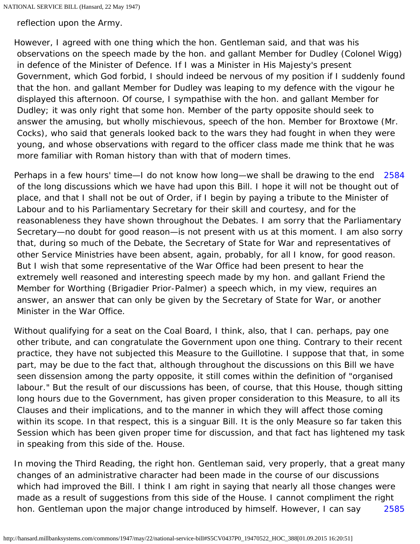reflection upon the Army.

However, I agreed with one thing which the hon. Gentleman said, and that was his observations on the speech made by the hon. and gallant Member for Dudley (Colonel Wigg) in defence of the Minister of Defence. If I was a Minister in His Majesty's present Government, which God forbid, I should indeed be nervous of my position if I suddenly found that the hon. and gallant Member for Dudley was leaping to my defence with the vigour he displayed this afternoon. Of course, I sympathise with the hon. and gallant Member for Dudley; it was only right that some hon. Member of the party opposite should seek to answer the amusing, but wholly mischievous, speech of the hon. Member for Broxtowe (Mr. Cocks), who said that generals looked back to the wars they had fought in when they were young, and whose observations with regard to the officer class made me think that he was more familiar with Roman history than with that of modern times.

<span id="page-35-0"></span>[2584](#page-35-0) Perhaps in a few hours' time—I do not know how long—we shall be drawing to the end of the long discussions which we have had upon this Bill. I hope it will not be thought out of place, and that I shall not be out of Order, if I begin by paying a tribute to the Minister of Labour and to his Parliamentary Secretary for their skill and courtesy, and for the reasonableness they have shown throughout the Debates. I am sorry that the Parliamentary Secretary—no doubt for good reason—is not present with us at this moment. I am also sorry that, during so much of the Debate, the Secretary of State for War and representatives of other Service Ministries have been absent, again, probably, for all I know, for good reason. But I wish that some representative of the War Office had been present to hear the extremely well reasoned and interesting speech made by my hon. and gallant Friend the Member for Worthing (Brigadier Prior-Palmer) a speech which, in my view, requires an answer, an answer that can only be given by the Secretary of State for War, or another Minister in the War Office.

Without qualifying for a seat on the Coal Board, I think, also, that I can. perhaps, pay one other tribute, and can congratulate the Government upon one thing. Contrary to their recent practice, they have not subjected this Measure to the Guillotine. I suppose that that, in some part, may be due to the fact that, although throughout the discussions on this Bill we have seen dissension among the party opposite, it still comes within the definition of "organised labour." But the result of our discussions has been, of course, that this House, though sitting long hours due to the Government, has given proper consideration to this Measure, to all its Clauses and their implications, and to the manner in which they will affect those coming within its scope. In that respect, this is a singuar Bill. It is the only Measure so far taken this Session which has been given proper time for discussion, and that fact has lightened my task in speaking from this side of the. House.

<span id="page-35-1"></span>[2585](#page-35-1) In moving the Third Reading, the right hon. Gentleman said, very properly, that a great many changes of an administrative character had been made in the course of our discussions which had improved the Bill. I think I am right in saying that nearly all those changes were made as a result of suggestions from this side of the House. I cannot compliment the right hon. Gentleman upon the major change introduced by himself. However, I can say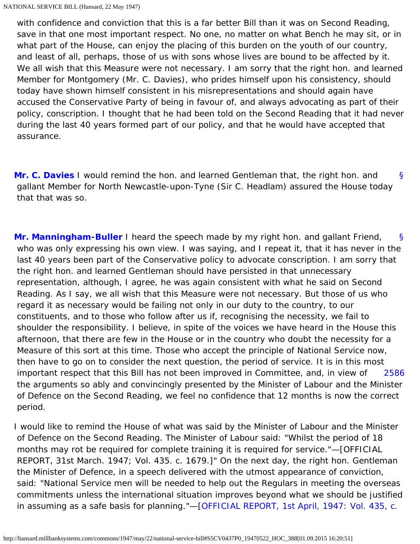with confidence and conviction that this is a far better Bill than it was on Second Reading, save in that one most important respect. No one, no matter on what Bench he may sit, or in what part of the House, can enjoy the placing of this burden on the youth of our country, and least of all, perhaps, those of us with sons whose lives are bound to be affected by it. We all wish that this Measure were not necessary. I am sorry that the right hon, and learned Member for Montgomery (Mr. C. Davies), who prides himself upon his consistency, should today have shown himself consistent in his misrepresentations and should again have accused the Conservative Party of being in favour of, and always advocating as part of their policy, conscription. I thought that he had been told on the Second Reading that it had never during the last 40 years formed part of our policy, and that he would have accepted that assurance.

<span id="page-36-0"></span>[§](#page-36-0) **[Mr. C. Davies](http://hansard.millbanksystems.com/people/mr-clement-davies)** I would remind the hon. and learned Gentleman that, the right hon. and gallant Member for North Newcastle-upon-Tyne (Sir C. Headlam) assured the House today that that was so.

<span id="page-36-1"></span>[§](#page-36-1) [2586](#page-36-2) **[Mr. Manningham-Buller](http://hansard.millbanksystems.com/people/mr-reginald-manningham-buller)** I heard the speech made by my right hon. and gallant Friend, who was only expressing his own view. I was saying, and I repeat it, that it has never in the last 40 years been part of the Conservative policy to advocate conscription. I am sorry that the right hon. and learned Gentleman should have persisted in that unnecessary representation, although, I agree, he was again consistent with what he said on Second Reading. As I say, we all wish that this Measure were not necessary. But those of us who regard it as necessary would be failing not only in our duty to the country, to our constituents, and to those who follow after us if, recognising the necessity, we fail to shoulder the responsibility. I believe, in spite of the voices we have heard in the House this afternoon, that there are few in the House or in the country who doubt the necessity for a Measure of this sort at this time. Those who accept the principle of National Service now, then have to go on to consider the next question, the period of service. It is in this most important respect that this Bill has not been improved in Committee, and, in view of the arguments so ably and convincingly presented by the Minister of Labour and the Minister of Defence on the Second Reading, we feel no confidence that 12 months is now the correct period.

<span id="page-36-2"></span>I would like to remind the House of what was said by the Minister of Labour and the Minister of Defence on the Second Reading. The Minister of Labour said: "Whilst the period of 18 months may rot be required for complete training it is required for service."—[OFFICIAL REPORT, 31st March. 1947; Vol. 435. c. 1679.]" On the next day, the right hon. Gentleman the Minister of Defence, in a speech delivered with the utmost appearance of conviction, said: "National Service men will be needed to help out the Regulars in meeting the overseas commitments unless the international situation improves beyond what we should be justified in assuming as a safe basis for planning."—[\[OFFICIAL REPORT, 1st April, 1947: Vol. 435, c.](http://hansard.millbanksystems.com/commons/1947/apr/01/national-service-bill#column_1964)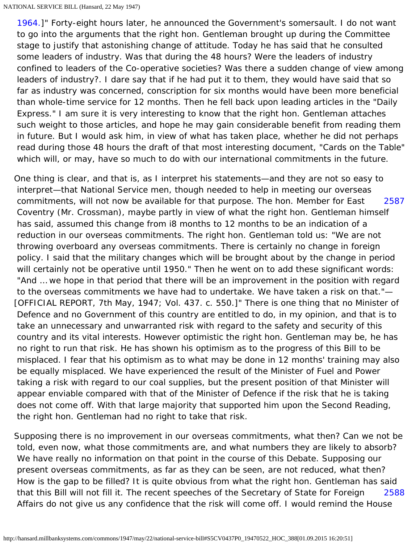[1964.\]](http://hansard.millbanksystems.com/commons/1947/apr/01/national-service-bill#column_1964)" Forty-eight hours later, he announced the Government's somersault. I do not want to go into the arguments that the right hon. Gentleman brought up during the Committee stage to justify that astonishing change of attitude. Today he has said that he consulted some leaders of industry. Was that during the 48 hours? Were the leaders of industry confined to leaders of the Co-operative societies? Was there a sudden change of view among leaders of industry?. I dare say that if he had put it to them, they would have said that so far as industry was concerned, conscription for six months would have been more beneficial than whole-time service for 12 months. Then he fell back upon leading articles in the "Daily Express." I am sure it is very interesting to know that the right hon. Gentleman attaches such weight to those articles, and hope he may gain considerable benefit from reading them in future. But I would ask him, in view of what has taken place, whether he did not perhaps read during those 48 hours the draft of that most interesting document, "Cards on the Table" which will, or may, have so much to do with our international commitments in the future.

<span id="page-37-0"></span>[2587](#page-37-0) One thing is clear, and that is, as I interpret his statements—and they are not so easy to interpret—that National Service men, though needed to help in meeting our overseas commitments, will not now be available for that purpose. The hon. Member for East Coventry (Mr. Crossman), maybe partly in view of what the right hon. Gentleman himself has said, assumed this change from i8 months to 12 months to be an indication of a reduction in our overseas commitments. The right hon. Gentleman told us: "We are not throwing overboard any overseas commitments. There is certainly no change in foreign policy. I said that the military changes which will be brought about by the change in period will certainly not be operative until 1950." Then he went on to add these significant words: "And … we hope in that period that there will be an improvement in the position with regard to the overseas commitments we have had to undertake. We have taken a risk on that."— [OFFICIAL REPORT, 7th May, 1947; Vol. 437. c. 550.]" There is one thing that no Minister of Defence and no Government of this country are entitled to do, in my opinion, and that is to take an unnecessary and unwarranted risk with regard to the safety and security of this country and its vital interests. However optimistic the right hon. Gentleman may be, he has no right to run that risk. He has shown his optimism as to the progress of this Bill to be misplaced. I fear that his optimism as to what may be done in 12 months' training may also be equally misplaced. We have experienced the result of the Minister of Fuel and Power taking a risk with regard to our coal supplies, but the present position of that Minister will appear enviable compared with that of the Minister of Defence if the risk that he is taking does not come off. With that large majority that supported him upon the Second Reading, the right hon. Gentleman had no right to take that risk.

<span id="page-37-1"></span>[2588](#page-37-1) Supposing there is no improvement in our overseas commitments, what then? Can we not be told, even now, what those commitments are, and what numbers they are likely to absorb? We have really no information on that point in the course of this Debate. Supposing our present overseas commitments, as far as they can be seen, are not reduced, what then? How is the gap to be filled? It is quite obvious from what the right hon. Gentleman has said that this Bill will not fill it. The recent speeches of the Secretary of State for Foreign Affairs do not give us any confidence that the risk will come off. I would remind the House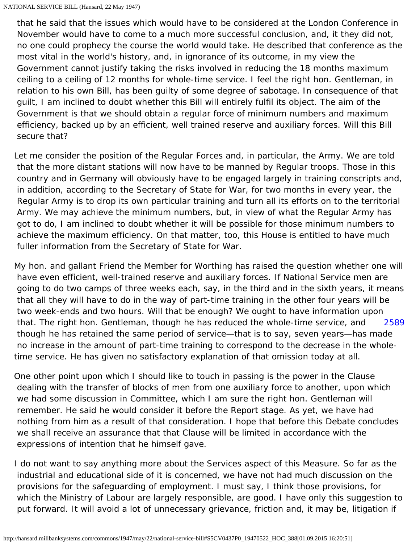that he said that the issues which would have to be considered at the London Conference in November would have to come to a much more successful conclusion, and, it they did not, no one could prophecy the course the world would take. He described that conference as the most vital in the world's history, and, in ignorance of its outcome, in my view the Government cannot justify taking the risks involved in reducing the 18 months maximum ceiling to a ceiling of 12 months for whole-time service. I feel the right hon. Gentleman, in relation to his own Bill, has been guilty of some degree of sabotage. In consequence of that guilt, I am inclined to doubt whether this Bill will entirely fulfil its object. The aim of the Government is that we should obtain a regular force of minimum numbers and maximum efficiency, backed up by an efficient, well trained reserve and auxiliary forces. Will this Bill secure that?

Let me consider the position of the Regular Forces and, in particular, the Army. We are told that the more distant stations will now have to be manned by Regular troops. Those in this country and in Germany will obviously have to be engaged largely in training conscripts and, in addition, according to the Secretary of State for War, for two months in every year, the Regular Army is to drop its own particular training and turn all its efforts on to the territorial Army. We may achieve the minimum numbers, but, in view of what the Regular Army has got to do, I am inclined to doubt whether it will be possible for those minimum numbers to achieve the maximum efficiency. On that matter, too, this House is entitled to have much fuller information from the Secretary of State for War.

[2589](#page-38-0) My hon. and gallant Friend the Member for Worthing has raised the question whether one will have even efficient, well-trained reserve and auxiliary forces. If National Service men are going to do two camps of three weeks each, say, in the third and in the sixth years, it means that all they will have to do in the way of part-time training in the other four years will be two week-ends and two hours. Will that be enough? We ought to have information upon that. The right hon. Gentleman, though he has reduced the whole-time service, and though he has retained the same period of service—that is to say, seven years—has made no increase in the amount of part-time training to correspond to the decrease in the wholetime service. He has given no satisfactory explanation of that omission today at all.

<span id="page-38-0"></span>One other point upon which I should like to touch in passing is the power in the Clause dealing with the transfer of blocks of men from one auxiliary force to another, upon which we had some discussion in Committee, which I am sure the right hon. Gentleman will remember. He said he would consider it before the Report stage. As yet, we have had nothing from him as a result of that consideration. I hope that before this Debate concludes we shall receive an assurance that that Clause will be limited in accordance with the expressions of intention that he himself gave.

I do not want to say anything more about the Services aspect of this Measure. So far as the industrial and educational side of it is concerned, we have not had much discussion on the provisions for the safeguarding of employment. I must say, I think those provisions, for which the Ministry of Labour are largely responsible, are good. I have only this suggestion to put forward. It will avoid a lot of unnecessary grievance, friction and, it may be, litigation if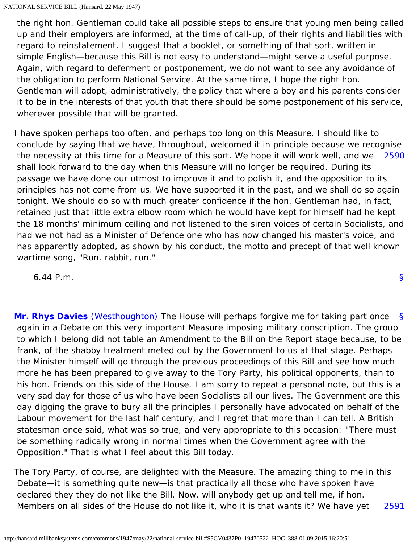the right hon. Gentleman could take all possible steps to ensure that young men being called up and their employers are informed, at the time of call-up, of their rights and liabilities with regard to reinstatement. I suggest that a booklet, or something of that sort, written in simple English—because this Bill is not easy to understand—might serve a useful purpose. Again, with regard to deferment or postponement, we do not want to see any avoidance of the obligation to perform National Service. At the same time, I hope the right hon. Gentleman will adopt, administratively, the policy that where a boy and his parents consider it to be in the interests of that youth that there should be some postponement of his service, wherever possible that will be granted.

<span id="page-39-0"></span>[2590](#page-39-0) I have spoken perhaps too often, and perhaps too long on this Measure. I should like to conclude by saying that we have, throughout, welcomed it in principle because we recognise the necessity at this time for a Measure of this sort. We hope it will work well, and we shall look forward to the day when this Measure will no longer be required. During its passage we have done our utmost to improve it and to polish it, and the opposition to its principles has not come from us. We have supported it in the past, and we shall do so again tonight. We should do so with much greater confidence if the hon. Gentleman had, in fact, retained just that little extra elbow room which he would have kept for himself had he kept the 18 months' minimum ceiling and not listened to the siren voices of certain Socialists, and had we not had as a Minister of Defence one who has now changed his master's voice, and has apparently adopted, as shown by his conduct, the motto and precept of that well known wartime song, "Run. rabbit, run."

6.44 P.m.

<span id="page-39-1"></span>[§](#page-39-1) **[Mr. Rhys Davies](http://hansard.millbanksystems.com/people/mr-rhys-davies)** [\(Westhoughton\)](http://hansard.millbanksystems.com/constituencies/westhoughton) The House will perhaps forgive me for taking part once again in a Debate on this very important Measure imposing military conscription. The group to which I belong did not table an Amendment to the Bill on the Report stage because, to be frank, of the shabby treatment meted out by the Government to us at that stage. Perhaps the Minister himself will go through the previous proceedings of this Bill and see how much more he has been prepared to give away to the Tory Party, his political opponents, than to his hon. Friends on this side of the House. I am sorry to repeat a personal note, but this is a very sad day for those of us who have been Socialists all our lives. The Government are this day digging the grave to bury all the principles I personally have advocated on behalf of the Labour movement for the last half century, and I regret that more than I can tell. A British statesman once said, what was so true, and very appropriate to this occasion: "There must be something radically wrong in normal times when the Government agree with the Opposition." That is what I feel about this Bill today.

<span id="page-39-2"></span>[2591](#page-39-2) The Tory Party, of course, are delighted with the Measure. The amazing thing to me in this Debate—it is something quite new—is that practically all those who have spoken have declared they they do not like the Bill. Now, will anybody get up and tell me, if hon. Members on all sides of the House do not like it, who it is that wants it? We have yet

[§](#page-0-1)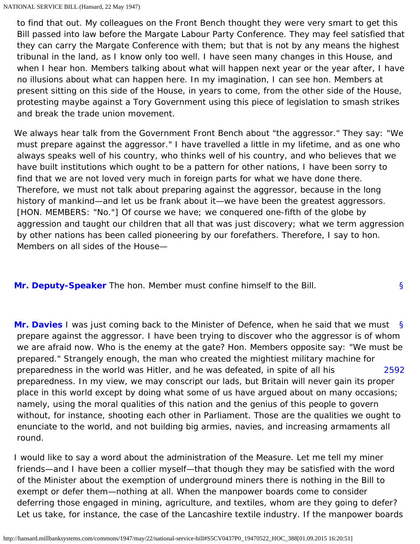to find that out. My colleagues on the Front Bench thought they were very smart to get this Bill passed into law before the Margate Labour Party Conference. They may feel satisfied that they can carry the Margate Conference with them; but that is not by any means the highest tribunal in the land, as I know only too well. I have seen many changes in this House, and when I hear hon. Members talking about what will happen next year or the year after, I have no illusions about what can happen here. In my imagination, I can see hon. Members at present sitting on this side of the House, in years to come, from the other side of the House, protesting maybe against a Tory Government using this piece of legislation to smash strikes and break the trade union movement.

We always hear talk from the Government Front Bench about "the aggressor." They say: "We must prepare against the aggressor." I have travelled a little in my lifetime, and as one who always speaks well of his country, who thinks well of his country, and who believes that we have built institutions which ought to be a pattern for other nations, I have been sorry to find that we are not loved very much in foreign parts for what we have done there. Therefore, we must not talk about preparing against the aggressor, because in the long history of mankind—and let us be frank about it—we have been the greatest aggressors. [HON. MEMBERS: "No."] Of course we have; we conquered one-fifth of the globe by aggression and taught our children that all that was just discovery; what we term aggression by other nations has been called pioneering by our forefathers. Therefore, I say to hon. Members on all sides of the House—

<span id="page-40-0"></span>**[Mr. Deputy-Speaker](http://hansard.millbanksystems.com/people/mr-hubert-beaumont)** The hon. Member must confine himself to the Bill.

<span id="page-40-2"></span><span id="page-40-1"></span>[§](#page-40-1) [2592](#page-40-2) **[Mr. Davies](http://hansard.millbanksystems.com/people/mr-clement-davies)** I was just coming back to the Minister of Defence, when he said that we must prepare against the aggressor. I have been trying to discover who the aggressor is of whom we are afraid now. Who is the enemy at the gate? Hon. Members opposite say: "We must be prepared." Strangely enough, the man who created the mightiest military machine for preparedness in the world was Hitler, and he was defeated, in spite of all his preparedness. In my view, we may conscript our lads, but Britain will never gain its proper place in this world except by doing what some of us have argued about on many occasions; namely, using the moral qualities of this nation and the genius of this people to govern without, for instance, shooting each other in Parliament. Those are the qualities we ought to enunciate to the world, and not building big armies, navies, and increasing armaments all round.

I would like to say a word about the administration of the Measure. Let me tell my miner friends—and I have been a collier myself—that though they may be satisfied with the word of the Minister about the exemption of underground miners there is nothing in the Bill to exempt or defer them—nothing at all. When the manpower boards come to consider deferring those engaged in mining, agriculture, and textiles, whom are they going to defer? Let us take, for instance, the case of the Lancashire textile industry. If the manpower boards

[§](#page-40-0)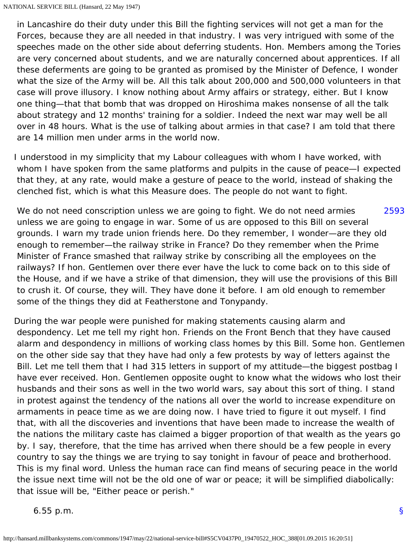in Lancashire do their duty under this Bill the fighting services will not get a man for the Forces, because they are all needed in that industry. I was very intrigued with some of the speeches made on the other side about deferring students. Hon. Members among the Tories are very concerned about students, and we are naturally concerned about apprentices. If all these deferments are going to be granted as promised by the Minister of Defence, I wonder what the size of the Army will be. All this talk about 200,000 and 500,000 volunteers in that case will prove illusory. I know nothing about Army affairs or strategy, either. But I know one thing—that that bomb that was dropped on Hiroshima makes nonsense of all the talk about strategy and 12 months' training for a soldier. Indeed the next war may well be all over in 48 hours. What is the use of talking about armies in that case? I am told that there are 14 million men under arms in the world now.

I understood in my simplicity that my Labour colleagues with whom I have worked, with whom I have spoken from the same platforms and pulpits in the cause of peace—I expected that they, at any rate, would make a gesture of peace to the world, instead of shaking the clenched fist, which is what this Measure does. The people do not want to fight.

<span id="page-41-0"></span>[2593](#page-41-0) We do not need conscription unless we are going to fight. We do not need armies unless we are going to engage in war. Some of us are opposed to this Bill on several grounds. I warn my trade union friends here. Do they remember, I wonder—are they old enough to remember—the railway strike in France? Do they remember when the Prime Minister of France smashed that railway strike by conscribing all the employees on the railways? If hon. Gentlemen over there ever have the luck to come back on to this side of the House, and if we have a strike of that dimension, they will use the provisions of this Bill to crush it. Of course, they will. They have done it before. I am old enough to remember some of the things they did at Featherstone and Tonypandy.

During the war people were punished for making statements causing alarm and despondency. Let me tell my right hon. Friends on the Front Bench that they have caused alarm and despondency in millions of working class homes by this Bill. Some hon. Gentlemen on the other side say that they have had only a few protests by way of letters against the Bill. Let me tell them that I had 315 letters in support of my attitude—the biggest postbag I have ever received. Hon. Gentlemen opposite ought to know what the widows who lost their husbands and their sons as well in the two world wars, say about this sort of thing. I stand in protest against the tendency of the nations all over the world to increase expenditure on armaments in peace time as we are doing now. I have tried to figure it out myself. I find that, with all the discoveries and inventions that have been made to increase the wealth of the nations the military caste has claimed a bigger proportion of that wealth as the years go by. I say, therefore, that the time has arrived when there should be a few people in every country to say the things we are trying to say tonight in favour of peace and brotherhood. This is my final word. Unless the human race can find means of securing peace in the world the issue next time will not be the old one of war or peace; it will be simplified diabolically: that issue will be, "Either peace or perish."

6.55 p.m.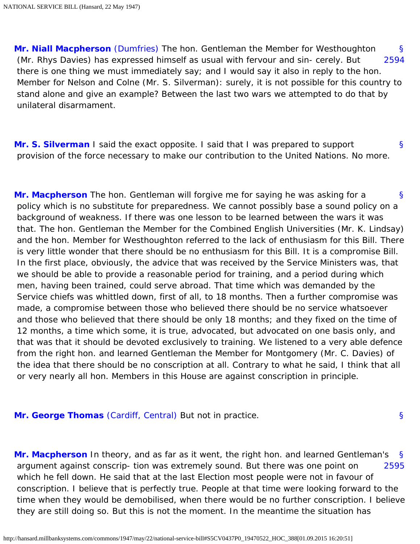<span id="page-42-1"></span><span id="page-42-0"></span>[§](#page-42-0) [2594](#page-42-1) **[Mr. Niall Macpherson](http://hansard.millbanksystems.com/people/mr-niall-macpherson)** [\(Dumfries\)](http://hansard.millbanksystems.com/constituencies/dumfriesshire) The hon. Gentleman the Member for Westhoughton (Mr. Rhys Davies) has expressed himself as usual with fervour and sin- cerely. But there is one thing we must immediately say; and I would say it also in reply to the hon. Member for Nelson and Colne (Mr. S. Silverman): surely, it is not possible for this country to stand alone and give an example? Between the last two wars we attempted to do that by unilateral disarmament.

<span id="page-42-2"></span>[§](#page-42-2) **[Mr. S. Silverman](http://hansard.millbanksystems.com/people/mr-samuel-silverman)** I said the exact opposite. I said that I was prepared to support provision of the force necessary to make our contribution to the United Nations. No more.

<span id="page-42-3"></span>[§](#page-42-3) **[Mr. Macpherson](http://hansard.millbanksystems.com/people/mr-niall-macpherson)** The hon. Gentleman will forgive me for saying he was asking for a policy which is no substitute for preparedness. We cannot possibly base a sound policy on a background of weakness. If there was one lesson to be learned between the wars it was that. The hon. Gentleman the Member for the Combined English Universities (Mr. K. Lindsay) and the hon. Member for Westhoughton referred to the lack of enthusiasm for this Bill. There is very little wonder that there should be no enthusiasm for this Bill. It is a compromise Bill. In the first place, obviously, the advice that was received by the Service Ministers was, that we should be able to provide a reasonable period for training, and a period during which men, having been trained, could serve abroad. That time which was demanded by the Service chiefs was whittled down, first of all, to 18 months. Then a further compromise was made, a compromise between those who believed there should be no service whatsoever and those who believed that there should be only 18 months; and they fixed on the time of 12 months, a time which some, it is true, advocated, but advocated on one basis only, and that was that it should be devoted exclusively to training. We listened to a very able defence from the right hon. and learned Gentleman the Member for Montgomery (Mr. C. Davies) of the idea that there should be no conscription at all. Contrary to what he said, I think that all or very nearly all hon. Members in this House are against conscription in principle.

<span id="page-42-5"></span><span id="page-42-4"></span>**[Mr. George Thomas](http://hansard.millbanksystems.com/people/mr-george-thomas)** [\(Cardiff, Central\)](http://hansard.millbanksystems.com/constituencies/cardiff-central) But not in practice.

<span id="page-42-6"></span>[§](#page-42-5) [2595](#page-42-6) **[Mr. Macpherson](http://hansard.millbanksystems.com/people/mr-niall-macpherson)** In theory, and as far as it went, the right hon. and learned Gentleman's argument against conscrip- tion was extremely sound. But there was one point on which he fell down. He said that at the last Election most people were not in favour of conscription. I believe that is perfectly true. People at that time were looking forward to the time when they would be demobilised, when there would be no further conscription. I believe they are still doing so. But this is not the moment. In the meantime the situation has

[§](#page-42-4)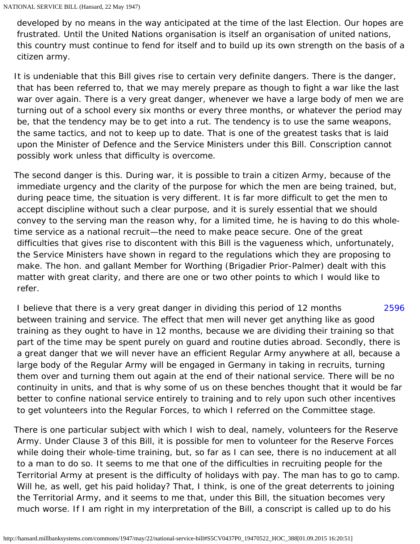developed by no means in the way anticipated at the time of the last Election. Our hopes are frustrated. Until the United Nations organisation is itself an organisation of united nations, this country must continue to fend for itself and to build up its own strength on the basis of a citizen army.

It is undeniable that this Bill gives rise to certain very definite dangers. There is the danger, that has been referred to, that we may merely prepare as though to fight a war like the last war over again. There is a very great danger, whenever we have a large body of men we are turning out of a school every six months or every three months, or whatever the period may be, that the tendency may be to get into a rut. The tendency is to use the same weapons, the same tactics, and not to keep up to date. That is one of the greatest tasks that is laid upon the Minister of Defence and the Service Ministers under this Bill. Conscription cannot possibly work unless that difficulty is overcome.

The second danger is this. During war, it is possible to train a citizen Army, because of the immediate urgency and the clarity of the purpose for which the men are being trained, but, during peace time, the situation is very different. It is far more difficult to get the men to accept discipline without such a clear purpose, and it is surely essential that we should convey to the serving man the reason why, for a limited time, he is having to do this wholetime service as a national recruit—the need to make peace secure. One of the great difficulties that gives rise to discontent with this Bill is the vagueness which, unfortunately, the Service Ministers have shown in regard to the regulations which they are proposing to make. The hon. and gallant Member for Worthing (Brigadier Prior-Palmer) dealt with this matter with great clarity, and there are one or two other points to which I would like to refer.

<span id="page-43-0"></span>[2596](#page-43-0) I believe that there is a very great danger in dividing this period of 12 months between training and service. The effect that men will never get anything like as good training as they ought to have in 12 months, because we are dividing their training so that part of the time may be spent purely on guard and routine duties abroad. Secondly, there is a great danger that we will never have an efficient Regular Army anywhere at all, because a large body of the Regular Army will be engaged in Germany in taking in recruits, turning them over and turning them out again at the end of their national service. There will be no continuity in units, and that is why some of us on these benches thought that it would be far better to confine national service entirely to training and to rely upon such other incentives to get volunteers into the Regular Forces, to which I referred on the Committee stage.

There is one particular subject with which I wish to deal, namely, volunteers for the Reserve Army. Under Clause 3 of this Bill, it is possible for men to volunteer for the Reserve Forces while doing their whole-time training, but, so far as I can see, there is no inducement at all to a man to do so. It seems to me that one of the difficulties in recruiting people for the Territorial Army at present is the difficulty of holidays with pay. The man has to go to camp. Will he, as well, get his paid holiday? That, I think, is one of the great deterrents to joining the Territorial Army, and it seems to me that, under this Bill, the situation becomes very much worse. If I am right in my interpretation of the Bill, a conscript is called up to do his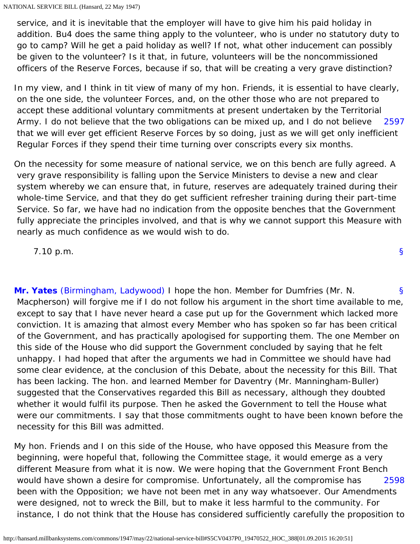service, and it is inevitable that the employer will have to give him his paid holiday in addition. Bu4 does the same thing apply to the volunteer, who is under no statutory duty to go to camp? Will he get a paid holiday as well? If not, what other inducement can possibly be given to the volunteer? Is it that, in future, volunteers will be the noncommissioned officers of the Reserve Forces, because if so, that will be creating a very grave distinction?

<span id="page-44-0"></span>[2597](#page-44-0) In my view, and I think in tit view of many of my hon. Friends, it is essential to have clearly, on the one side, the volunteer Forces, and, on the other those who are not prepared to accept these additional voluntary commitments at present undertaken by the Territorial Army. I do not believe that the two obligations can be mixed up, and I do not believe that we will ever get efficient Reserve Forces by so doing, just as we will get only inefficient Regular Forces if they spend their time turning over conscripts every six months.

On the necessity for some measure of national service, we on this bench are fully agreed. A very grave responsibility is falling upon the Service Ministers to devise a new and clear system whereby we can ensure that, in future, reserves are adequately trained during their whole-time Service, and that they do get sufficient refresher training during their part-time Service. So far, we have had no indication from the opposite benches that the Government fully appreciate the principles involved, and that is why we cannot support this Measure with nearly as much confidence as we would wish to do.

7.10 p.m.

<span id="page-44-1"></span>[§](#page-44-1) **[Mr. Yates](http://hansard.millbanksystems.com/people/mr-victor-yates)** [\(Birmingham, Ladywood\)](http://hansard.millbanksystems.com/constituencies/birmingham-ladywood) I hope the hon. Member for Dumfries (Mr. N. Macpherson) will forgive me if I do not follow his argument in the short time available to me, except to say that I have never heard a case put up for the Government which lacked more conviction. It is amazing that almost every Member who has spoken so far has been critical of the Government, and has practically apologised for supporting them. The one Member on this side of the House who did support the Government concluded by saying that he felt unhappy. I had hoped that after the arguments we had in Committee we should have had some clear evidence, at the conclusion of this Debate, about the necessity for this Bill. That has been lacking. The hon. and learned Member for Daventry (Mr. Manningham-Buller) suggested that the Conservatives regarded this Bill as necessary, although they doubted whether it would fulfil its purpose. Then he asked the Government to tell the House what were our commitments. I say that those commitments ought to have been known before the necessity for this Bill was admitted.

<span id="page-44-2"></span>[2598](#page-44-2) My hon. Friends and I on this side of the House, who have opposed this Measure from the beginning, were hopeful that, following the Committee stage, it would emerge as a very different Measure from what it is now. We were hoping that the Government Front Bench would have shown a desire for compromise. Unfortunately, all the compromise has been with the Opposition; we have not been met in any way whatsoever. Our Amendments were designed, not to wreck the Bill, but to make it less harmful to the community. For instance, I do not think that the House has considered sufficiently carefully the proposition to

[§](#page-0-1)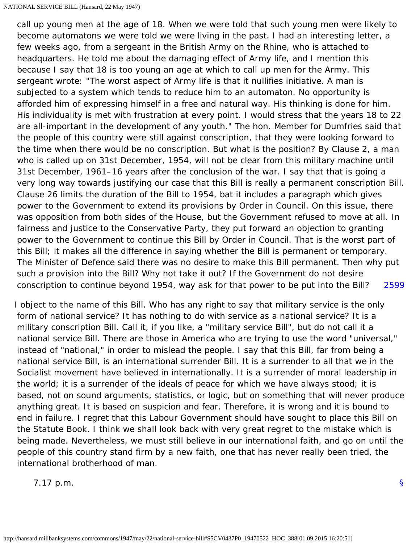[2599](#page-45-0) call up young men at the age of 18. When we were told that such young men were likely to become automatons we were told we were living in the past. I had an interesting letter, a few weeks ago, from a sergeant in the British Army on the Rhine, who is attached to headquarters. He told me about the damaging effect of Army life, and I mention this because I say that 18 is too young an age at which to call up men for the Army. This sergeant wrote: "The worst aspect of Army life is that it nullifies initiative. A man is subjected to a system which tends to reduce him to an automaton. No opportunity is afforded him of expressing himself in a free and natural way. His thinking is done for him. His individuality is met with frustration at every point. I would stress that the years 18 to 22 are all-important in the development of any youth." The hon. Member for Dumfries said that the people of this country were still against conscription, that they were looking forward to the time when there would be no conscription. But what is the position? By Clause 2, a man who is called up on 31st December, 1954, will not be clear from this military machine until 31st December, 1961–16 years after the conclusion of the war. I say that that is going a very long way towards justifying our case that this Bill is really a permanent conscription Bill. Clause 26 limits the duration of the Bill to 1954, bat it includes a paragraph which gives power to the Government to extend its provisions by Order in Council. On this issue, there was opposition from both sides of the House, but the Government refused to move at all. In fairness and justice to the Conservative Party, they put forward an objection to granting power to the Government to continue this Bill by Order in Council. That is the worst part of this Bill; it makes all the difference in saying whether the Bill is permanent or temporary. The Minister of Defence said there was no desire to make this Bill permanent. Then why put such a provision into the Bill? Why not take it out? If the Government do not desire conscription to continue beyond 1954, way ask for that power to be put into the Bill?

<span id="page-45-0"></span>I object to the name of this Bill. Who has any right to say that military service is the only form of national service? It has nothing to do with service as a national service? It is a military conscription Bill. Call it, if you like, a "military service Bill", but do not call it a national service Bill. There are those in America who are trying to use the word "universal," instead of "national," in order to mislead the people. I say that this Bill, far from being a national service Bill, is an international surrender Bill. It is a surrender to all that we in the Socialist movement have believed in internationally. It is a surrender of moral leadership in the world; it is a surrender of the ideals of peace for which we have always stood; it is based, not on sound arguments, statistics, or logic, but on something that will never produce anything great. It is based on suspicion and fear. Therefore, it is wrong and it is bound to end in failure. I regret that this Labour Government should have sought to place this Bill on the Statute Book. I think we shall look back with very great regret to the mistake which is being made. Nevertheless, we must still believe in our international faith, and go on until the people of this country stand firm by a new faith, one that has never really been tried, the international brotherhood of man.

<span id="page-45-1"></span>7.17 p.m.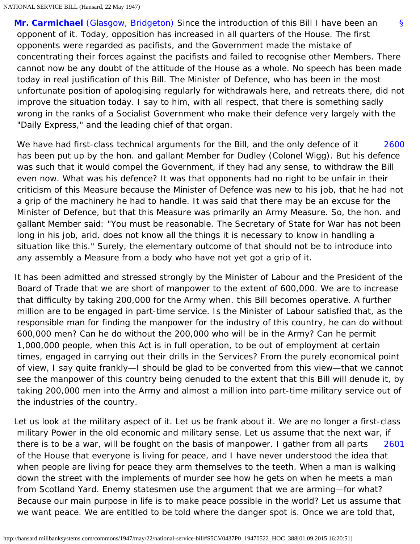[§](#page-45-1) **[Mr. Carmichael](http://hansard.millbanksystems.com/people/mr-james-carmichael)** [\(Glasgow, Bridgeton\)](http://hansard.millbanksystems.com/constituencies/glasgow-bridgeton) Since the introduction of this Bill I have been an opponent of it. Today, opposition has increased in all quarters of the House. The first opponents were regarded as pacifists, and the Government made the mistake of concentrating their forces against the pacifists and failed to recognise other Members. There cannot now be any doubt of the attitude of the House as a whole. No speech has been made today in real justification of this Bill. The Minister of Defence, who has been in the most unfortunate position of apologising regularly for withdrawals here, and retreats there, did not improve the situation today. I say to him, with all respect, that there is something sadly wrong in the ranks of a Socialist Government who make their defence very largely with the "Daily Express," and the leading chief of that organ.

<span id="page-46-0"></span>[2600](#page-46-0) We have had first-class technical arguments for the Bill, and the only defence of it has been put up by the hon. and gallant Member for Dudley (Colonel Wigg). But his defence was such that it would compel the Government, if they had any sense, to withdraw the Bill even now. What was his defence? It was that opponents had no right to be unfair in their criticism of this Measure because the Minister of Defence was new to his job, that he had not a grip of the machinery he had to handle. It was said that there may be an excuse for the Minister of Defence, but that this Measure was primarily an Army Measure. So, the hon. and gallant Member said: "You must be reasonable. The Secretary of State for War has not been long in his job, arid. does not know all the things it is necessary to know in handling a situation like this." Surely, the elementary outcome of that should not be to introduce into any assembly a Measure from a body who have not yet got a grip of it.

It has been admitted and stressed strongly by the Minister of Labour and the President of the Board of Trade that we are short of manpower to the extent of 600,000. We are to increase that difficulty by taking 200,000 for the Army when. this Bill becomes operative. A further million are to be engaged in part-time service. Is the Minister of Labour satisfied that, as the responsible man for finding the manpower for the industry of this country, he can do without 600,000 men? Can he do without the 200,000 who will be in the Army? Can he permit 1,000,000 people, when this Act is in full operation, to be out of employment at certain times, engaged in carrying out their drills in the Services? From the purely economical point of view, I say quite frankly—I should be glad to be converted from this view—that we cannot see the manpower of this country being denuded to the extent that this Bill will denude it, by taking 200,000 men into the Army and almost a million into part-time military service out of the industries of the country.

<span id="page-46-1"></span>[2601](#page-46-1) Let us look at the military aspect of it. Let us be frank about it. We are no longer a first-class military Power in the old economic and military sense. Let us assume that the next war, if there is to be a war, will be fought on the basis of manpower. I gather from all parts of the House that everyone is living for peace, and I have never understood the idea that when people are living for peace they arm themselves to the teeth. When a man is walking down the street with the implements of murder see how he gets on when he meets a man from Scotland Yard. Enemy statesmen use the argument that we are arming—for what? Because our main purpose in life is to make peace possible in the world? Let us assume that we want peace. We are entitled to be told where the danger spot is. Once we are told that,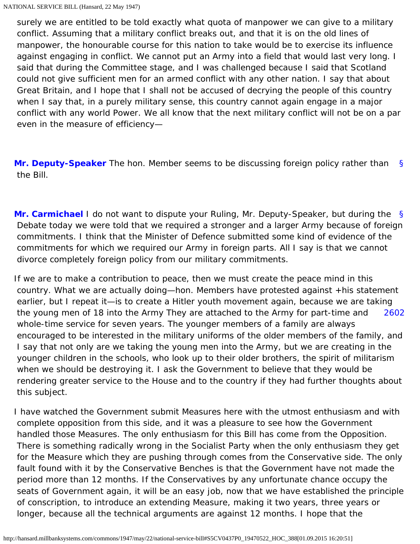surely we are entitled to be told exactly what quota of manpower we can give to a military conflict. Assuming that a military conflict breaks out, and that it is on the old lines of manpower, the honourable course for this nation to take would be to exercise its influence against engaging in conflict. We cannot put an Army into a field that would last very long. I said that during the Committee stage, and I was challenged because I said that Scotland could not give sufficient men for an armed conflict with any other nation. I say that about Great Britain, and I hope that I shall not be accused of decrying the people of this country when I say that, in a purely military sense, this country cannot again engage in a major conflict with any world Power. We all know that the next military conflict will not be on a par even in the measure of efficiency—

<span id="page-47-0"></span>[§](#page-47-0) **[Mr. Deputy-Speaker](http://hansard.millbanksystems.com/people/mr-hubert-beaumont)** The hon. Member seems to be discussing foreign policy rather than the Bill.

<span id="page-47-1"></span>[§](#page-47-1) **[Mr. Carmichael](http://hansard.millbanksystems.com/people/mr-james-carmichael)** I do not want to dispute your Ruling, Mr. Deputy-Speaker, but during the Debate today we were told that we required a stronger and a larger Army because of foreign commitments. I think that the Minister of Defence submitted some kind of evidence of the commitments for which we required our Army in foreign parts. All I say is that we cannot divorce completely foreign policy from our military commitments.

<span id="page-47-2"></span>[2602](#page-47-2) If we are to make a contribution to peace, then we must create the peace mind in this country. What we are actually doing—hon. Members have protested against +his statement earlier, but I repeat it—is to create a Hitler youth movement again, because we are taking the young men of 18 into the Army They are attached to the Army for part-time and whole-time service for seven years. The younger members of a family are always encouraged to be interested in the military uniforms of the older members of the family, and I say that not only are we taking the young men into the Army, but we are creating in the younger children in the schools, who look up to their older brothers, the spirit of militarism when we should be destroying it. I ask the Government to believe that they would be rendering greater service to the House and to the country if they had further thoughts about this subject.

I have watched the Government submit Measures here with the utmost enthusiasm and with complete opposition from this side, and it was a pleasure to see how the Government handled those Measures. The only enthusiasm for this Bill has come from the Opposition. There is something radically wrong in the Socialist Party when the only enthusiasm they get for the Measure which they are pushing through comes from the Conservative side. The only fault found with it by the Conservative Benches is that the Government have not made the period more than 12 months. If the Conservatives by any unfortunate chance occupy the seats of Government again, it will be an easy job, now that we have established the principle of conscription, to introduce an extending Measure, making it two years, three years or longer, because all the technical arguments are against 12 months. I hope that the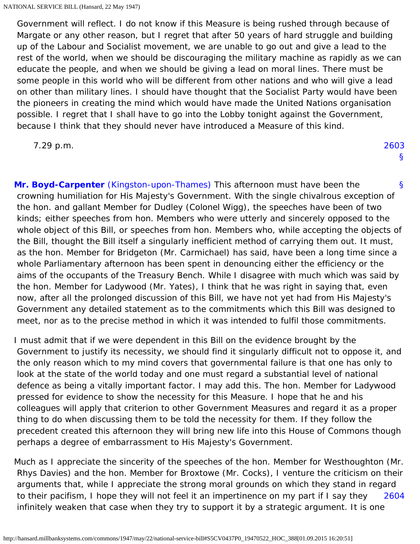Government will reflect. I do not know if this Measure is being rushed through because of Margate or any other reason, but I regret that after 50 years of hard struggle and building up of the Labour and Socialist movement, we are unable to go out and give a lead to the rest of the world, when we should be discouraging the military machine as rapidly as we can educate the people, and when we should be giving a lead on moral lines. There must be some people in this world who will be different from other nations and who will give a lead on other than military lines. I should have thought that the Socialist Party would have been the pioneers in creating the mind which would have made the United Nations organisation possible. I regret that I shall have to go into the Lobby tonight against the Government, because I think that they should never have introduced a Measure of this kind.

<span id="page-48-2"></span>7.29 p.m.

[2603](#page-48-2) [§](#page-0-1)

<span id="page-48-0"></span>[§](#page-48-0) **[Mr. Boyd-Carpenter](http://hansard.millbanksystems.com/people/mr-john-boyd-carpenter)** [\(Kingston-upon-Thames\)](http://hansard.millbanksystems.com/constituencies/kingston-upon-thames) This afternoon must have been the crowning humiliation for His Majesty's Government. With the single chivalrous exception of the hon. and gallant Member for Dudley (Colonel Wigg), the speeches have been of two kinds; either speeches from hon. Members who were utterly and sincerely opposed to the whole object of this Bill, or speeches from hon. Members who, while accepting the objects of the Bill, thought the Bill itself a singularly inefficient method of carrying them out. It must, as the hon. Member for Bridgeton (Mr. Carmichael) has said, have been a long time since a whole Parliamentary afternoon has been spent in denouncing either the efficiency or the aims of the occupants of the Treasury Bench. While I disagree with much which was said by the hon. Member for Ladywood (Mr. Yates), I think that he was right in saying that, even now, after all the prolonged discussion of this Bill, we have not yet had from His Majesty's Government any detailed statement as to the commitments which this Bill was designed to meet, nor as to the precise method in which it was intended to fulfil those commitments.

I must admit that if we were dependent in this Bill on the evidence brought by the Government to justify its necessity, we should find it singularly difficult not to oppose it, and the only reason which to my mind covers that governmental failure is that one has only to look at the state of the world today and one must regard a substantial level of national defence as being a vitally important factor. I may add this. The hon. Member for Ladywood pressed for evidence to show the necessity for this Measure. I hope that he and his colleagues will apply that criterion to other Government Measures and regard it as a proper thing to do when discussing them to be told the necessity for them. If they follow the precedent created this afternoon they will bring new life into this House of Commons though perhaps a degree of embarrassment to His Majesty's Government.

<span id="page-48-1"></span>[2604](#page-48-1) Much as I appreciate the sincerity of the speeches of the hon. Member for Westhoughton (Mr. Rhys Davies) and the hon. Member for Broxtowe (Mr. Cocks), I venture the criticism on their arguments that, while I appreciate the strong moral grounds on which they stand in regard to their pacifism, I hope they will not feel it an impertinence on my part if I say they infinitely weaken that case when they try to support it by a strategic argument. It is one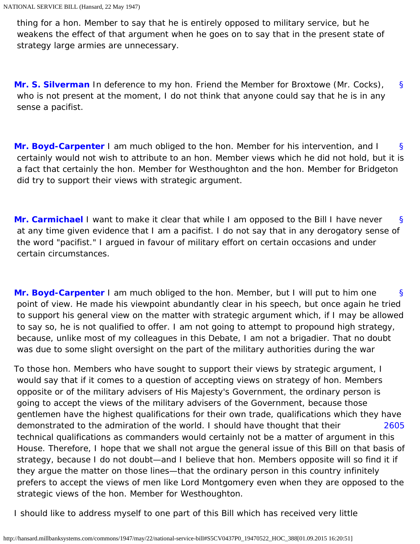thing for a hon. Member to say that he is entirely opposed to military service, but he weakens the effect of that argument when he goes on to say that in the present state of strategy large armies are unnecessary.

<span id="page-49-0"></span>[§](#page-49-0) **[Mr. S. Silverman](http://hansard.millbanksystems.com/people/mr-samuel-silverman)** In deference to my hon. Friend the Member for Broxtowe (Mr. Cocks), who is not present at the moment, I do not think that anyone could say that he is in any sense a pacifist.

<span id="page-49-1"></span>[§](#page-49-1) **[Mr. Boyd-Carpenter](http://hansard.millbanksystems.com/people/mr-john-boyd-carpenter)** I am much obliged to the hon. Member for his intervention, and I certainly would not wish to attribute to an hon. Member views which he did not hold, but it is a fact that certainly the hon. Member for Westhoughton and the hon. Member for Bridgeton did try to support their views with strategic argument.

<span id="page-49-2"></span>[§](#page-49-2) **[Mr. Carmichael](http://hansard.millbanksystems.com/people/mr-james-carmichael)** I want to make it clear that while I am opposed to the Bill I have never at any time given evidence that I am a pacifist. I do not say that in any derogatory sense of the word "pacifist." I argued in favour of military effort on certain occasions and under certain circumstances.

<span id="page-49-3"></span>[§](#page-49-3) **[Mr. Boyd-Carpenter](http://hansard.millbanksystems.com/people/mr-john-boyd-carpenter)** I am much obliged to the hon. Member, but I will put to him one point of view. He made his viewpoint abundantly clear in his speech, but once again he tried to support his general view on the matter with strategic argument which, if I may be allowed to say so, he is not qualified to offer. I am not going to attempt to propound high strategy, because, unlike most of my colleagues in this Debate, I am not a brigadier. That no doubt was due to some slight oversight on the part of the military authorities during the war

<span id="page-49-4"></span>[2605](#page-49-4) To those hon. Members who have sought to support their views by strategic argument, I would say that if it comes to a question of accepting views on strategy of hon. Members opposite or of the military advisers of His Majesty's Government, the ordinary person is going to accept the views of the military advisers of the Government, because those gentlemen have the highest qualifications for their own trade, qualifications which they have demonstrated to the admiration of the world. I should have thought that their technical qualifications as commanders would certainly not be a matter of argument in this House. Therefore, I hope that we shall not argue the general issue of this Bill on that basis of strategy, because I do not doubt—and I believe that hon. Members opposite will so find it if they argue the matter on those lines—that the ordinary person in this country infinitely prefers to accept the views of men like Lord Montgomery even when they are opposed to the strategic views of the hon. Member for Westhoughton.

I should like to address myself to one part of this Bill which has received very little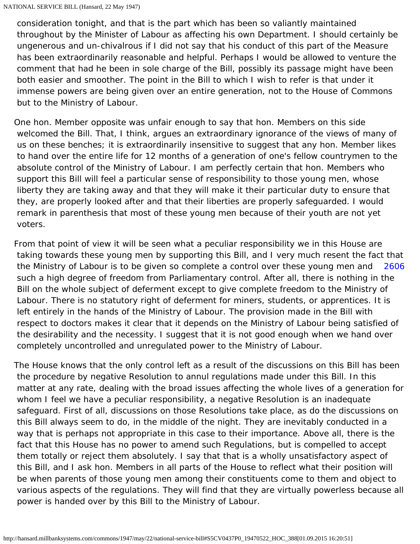consideration tonight, and that is the part which has been so valiantly maintained throughout by the Minister of Labour as affecting his own Department. I should certainly be ungenerous and un-chivalrous if I did not say that his conduct of this part of the Measure has been extraordinarily reasonable and helpful. Perhaps I would be allowed to venture the comment that had he been in sole charge of the Bill, possibly its passage might have been both easier and smoother. The point in the Bill to which I wish to refer is that under it immense powers are being given over an entire generation, not to the House of Commons but to the Ministry of Labour.

One hon. Member opposite was unfair enough to say that hon. Members on this side welcomed the Bill. That, I think, argues an extraordinary ignorance of the views of many of us on these benches; it is extraordinarily insensitive to suggest that any hon. Member likes to hand over the entire life for 12 months of a generation of one's fellow countrymen to the absolute control of the Ministry of Labour. I am perfectly certain that hon. Members who support this Bill will feel a particular sense of responsibility to those young men, whose liberty they are taking away and that they will make it their particular duty to ensure that they, are properly looked after and that their liberties are properly safeguarded. I would remark in parenthesis that most of these young men because of their youth are not yet voters.

<span id="page-50-0"></span>[2606](#page-50-0) From that point of view it will be seen what a peculiar responsibility we in this House are taking towards these young men by supporting this Bill, and I very much resent the fact that the Ministry of Labour is to be given so complete a control over these young men and such a high degree of freedom from Parliamentary control. After all, there is nothing in the Bill on the whole subject of deferment except to give complete freedom to the Ministry of Labour. There is no statutory right of deferment for miners, students, or apprentices. It is left entirely in the hands of the Ministry of Labour. The provision made in the Bill with respect to doctors makes it clear that it depends on the Ministry of Labour being satisfied of the desirability and the necessity. I suggest that it is not good enough when we hand over completely uncontrolled and unregulated power to the Ministry of Labour.

The House knows that the only control left as a result of the discussions on this Bill has been the procedure by negative Resolution to annul regulations made under this Bill. In this matter at any rate, dealing with the broad issues affecting the whole lives of a generation for whom I feel we have a peculiar responsibility, a negative Resolution is an inadequate safeguard. First of all, discussions on those Resolutions take place, as do the discussions on this Bill always seem to do, in the middle of the night. They are inevitably conducted in a way that is perhaps not appropriate in this case to their importance. Above all, there is the fact that this House has no power to amend such Regulations, but is compelled to accept them totally or reject them absolutely. I say that that is a wholly unsatisfactory aspect of this Bill, and I ask hon. Members in all parts of the House to reflect what their position will be when parents of those young men among their constituents come to them and object to various aspects of the regulations. They will find that they are virtually powerless because all power is handed over by this Bill to the Ministry of Labour.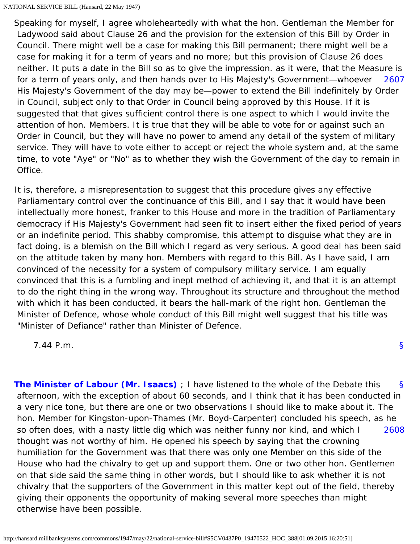<span id="page-51-0"></span>[2607](#page-51-0) Speaking for myself, I agree wholeheartedly with what the hon. Gentleman the Member for Ladywood said about Clause 26 and the provision for the extension of this Bill by Order in Council. There might well be a case for making this Bill permanent; there might well be a case for making it for a term of years and no more; but this provision of Clause 26 does neither. It puts a date in the Bill so as to give the impression. as it were, that the Measure is for a term of years only, and then hands over to His Majesty's Government—whoever His Majesty's Government of the day may be—power to extend the Bill indefinitely by Order in Council, subject only to that Order in Council being approved by this House. If it is suggested that that gives sufficient control there is one aspect to which I would invite the attention of hon. Members. It is true that they will be able to vote for or against such an Order in Council, but they will have no power to amend any detail of the system of military service. They will have to vote either to accept or reject the whole system and, at the same time, to vote "Aye" or "No" as to whether they wish the Government of the day to remain in Office.

It is, therefore, a misrepresentation to suggest that this procedure gives any effective Parliamentary control over the continuance of this Bill, and I say that it would have been intellectually more honest, franker to this House and more in the tradition of Parliamentary democracy if His Majesty's Government had seen fit to insert either the fixed period of years or an indefinite period. This shabby compromise, this attempt to disguise what they are in fact doing, is a blemish on the Bill which I regard as very serious. A good deal has been said on the attitude taken by many hon. Members with regard to this Bill. As I have said, I am convinced of the necessity for a system of compulsory military service. I am equally convinced that this is a fumbling and inept method of achieving it, and that it is an attempt to do the right thing in the wrong way. Throughout its structure and throughout the method with which it has been conducted, it bears the hall-mark of the right hon. Gentleman the Minister of Defence, whose whole conduct of this Bill might well suggest that his title was "Minister of Defiance" rather than Minister of Defence.

[§](#page-0-1)

7.44 P.m.

<span id="page-51-2"></span><span id="page-51-1"></span>[§](#page-51-1) [2608](#page-51-2) **[The Minister of Labour \(Mr. Isaacs\)](http://hansard.millbanksystems.com/people/mr-george-isaacs)** ; I have listened to the whole of the Debate this afternoon, with the exception of about 60 seconds, and I think that it has been conducted in a very nice tone, but there are one or two observations I should like to make about it. The hon. Member for Kingston-upon-Thames (Mr. Boyd-Carpenter) concluded his speech, as he so often does, with a nasty little dig which was neither funny nor kind, and which I thought was not worthy of him. He opened his speech by saying that the crowning humiliation for the Government was that there was only one Member on this side of the House who had the chivalry to get up and support them. One or two other hon. Gentlemen on that side said the same thing in other words, but I should like to ask whether it is not chivalry that the supporters of the Government in this matter kept out of the field, thereby giving their opponents the opportunity of making several more speeches than might otherwise have been possible.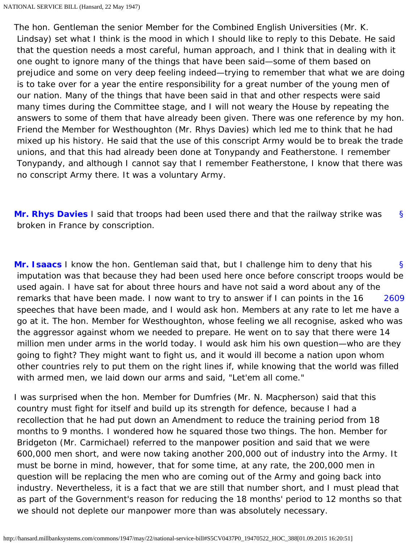The hon. Gentleman the senior Member for the Combined English Universities (Mr. K. Lindsay) set what I think is the mood in which I should like to reply to this Debate. He said that the question needs a most careful, human approach, and I think that in dealing with it one ought to ignore many of the things that have been said—some of them based on prejudice and some on very deep feeling indeed—trying to remember that what we are doing is to take over for a year the entire responsibility for a great number of the young men of our nation. Many of the things that have been said in that and other respects were said many times during the Committee stage, and I will not weary the House by repeating the answers to some of them that have already been given. There was one reference by my hon. Friend the Member for Westhoughton (Mr. Rhys Davies) which led me to think that he had mixed up his history. He said that the use of this conscript Army would be to break the trade unions, and that this had already been done at Tonypandy and Featherstone. I remember Tonypandy, and although I cannot say that I remember Featherstone, I know that there was no conscript Army there. It was a voluntary Army.

<span id="page-52-0"></span>[§](#page-52-0) **[Mr. Rhys Davies](http://hansard.millbanksystems.com/people/mr-rhys-davies)** I said that troops had been used there and that the railway strike was broken in France by conscription.

<span id="page-52-2"></span><span id="page-52-1"></span>[§](#page-52-1) [2609](#page-52-2) **[Mr. Isaacs](http://hansard.millbanksystems.com/people/mr-george-isaacs)** I know the hon. Gentleman said that, but I challenge him to deny that his imputation was that because they had been used here once before conscript troops would be used again. I have sat for about three hours and have not said a word about any of the remarks that have been made. I now want to try to answer if I can points in the 16 speeches that have been made, and I would ask hon. Members at any rate to let me have a go at it. The hon. Member for Westhoughton, whose feeling we all recognise, asked who was the aggressor against whom we needed to prepare. He went on to say that there were 14 million men under arms in the world today. I would ask him his own question—who are they going to fight? They might want to fight us, and it would ill become a nation upon whom other countries rely to put them on the right lines if, while knowing that the world was filled with armed men, we laid down our arms and said, "Let'em all come."

I was surprised when the hon. Member for Dumfries (Mr. N. Macpherson) said that this country must fight for itself and build up its strength for defence, because I had a recollection that he had put down an Amendment to reduce the training period from 18 months to 9 months. I wondered how he squared those two things. The hon. Member for Bridgeton (Mr. Carmichael) referred to the manpower position and said that we were 600,000 men short, and were now taking another 200,000 out of industry into the Army. It must be borne in mind, however, that for some time, at any rate, the 200,000 men in question will be replacing the men who are coming out of the Army and going back into industry. Nevertheless, it is a fact that we are still that number short, and I must plead that as part of the Government's reason for reducing the 18 months' period to 12 months so that we should not deplete our manpower more than was absolutely necessary.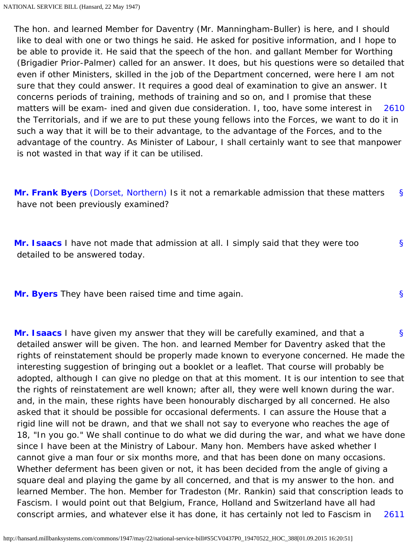<span id="page-53-0"></span>[2610](#page-53-0) The hon. and learned Member for Daventry (Mr. Manningham-Buller) is here, and I should like to deal with one or two things he said. He asked for positive information, and I hope to be able to provide it. He said that the speech of the hon. and gallant Member for Worthing (Brigadier Prior-Palmer) called for an answer. It does, but his questions were so detailed that even if other Ministers, skilled in the job of the Department concerned, were here I am not sure that they could answer. It requires a good deal of examination to give an answer. It concerns periods of training, methods of training and so on, and I promise that these matters will be exam- ined and given due consideration. I, too, have some interest in the Territorials, and if we are to put these young fellows into the Forces, we want to do it in such a way that it will be to their advantage, to the advantage of the Forces, and to the advantage of the country. As Minister of Labour, I shall certainly want to see that manpower is not wasted in that way if it can be utilised.

<span id="page-53-1"></span>[§](#page-53-1) **[Mr. Frank Byers](http://hansard.millbanksystems.com/people/mr-charles-byers)** [\(Dorset, Northern\)](http://hansard.millbanksystems.com/constituencies/dorset-northern) Is it not a remarkable admission that these matters have not been previously examined?

<span id="page-53-2"></span>**[Mr. Isaacs](http://hansard.millbanksystems.com/people/mr-george-isaacs)** I have not made that admission at all. I simply said that they were too detailed to be answered today.

[§](#page-53-2)

[§](#page-53-3)

<span id="page-53-4"></span><span id="page-53-3"></span>**[Mr. Byers](http://hansard.millbanksystems.com/people/mr-charles-byers)** They have been raised time and time again.

[§](#page-53-4) [2611](#page-54-0) **[Mr. Isaacs](http://hansard.millbanksystems.com/people/mr-george-isaacs)** I have given my answer that they will be carefully examined, and that a detailed answer will be given. The hon. and learned Member for Daventry asked that the rights of reinstatement should be properly made known to everyone concerned. He made the interesting suggestion of bringing out a booklet or a leaflet. That course will probably be adopted, although I can give no pledge on that at this moment. It is our intention to see that the rights of reinstatement are well known; after all, they were well known during the war. and, in the main, these rights have been honourably discharged by all concerned. He also asked that it should be possible for occasional deferments. I can assure the House that a rigid line will not be drawn, and that we shall not say to everyone who reaches the age of 18, "In you go." We shall continue to do what we did during the war, and what we have done since I have been at the Ministry of Labour. Many hon. Members have asked whether I cannot give a man four or six months more, and that has been done on many occasions. Whether deferment has been given or not, it has been decided from the angle of giving a square deal and playing the game by all concerned, and that is my answer to the hon. and learned Member. The hon. Member for Tradeston (Mr. Rankin) said that conscription leads to Fascism. I would point out that Belgium, France, Holland and Switzerland have all had conscript armies, and whatever else it has done, it has certainly not led to Fascism in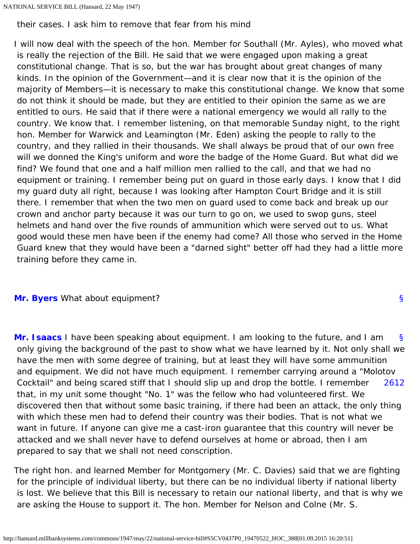<span id="page-54-0"></span>their cases. I ask him to remove that fear from his mind

I will now deal with the speech of the hon. Member for Southall (Mr. Ayles), who moved what is really the rejection of the Bill. He said that we were engaged upon making a great constitutional change. That is so, but the war has brought about great changes of many kinds. In the opinion of the Government—and it is clear now that it is the opinion of the majority of Members—it is necessary to make this constitutional change. We know that some do not think it should be made, but they are entitled to their opinion the same as we are entitled to ours. He said that if there were a national emergency we would all rally to the country. We know that. I remember listening, on that memorable Sunday night, to the right hon. Member for Warwick and Leamington (Mr. Eden) asking the people to rally to the country, and they rallied in their thousands. We shall always be proud that of our own free will we donned the King's uniform and wore the badge of the Home Guard. But what did we find? We found that one and a half million men rallied to the call, and that we had no equipment or training. I remember being put on guard in those early days. I know that I did my guard duty all right, because I was looking after Hampton Court Bridge and it is still there. I remember that when the two men on guard used to come back and break up our crown and anchor party because it was our turn to go on, we used to swop guns, steel helmets and hand over the five rounds of ammunition which were served out to us. What good would these men have been if the enemy had come? All those who served in the Home Guard knew that they would have been a "darned sight" better off had they had a little more training before they came in.

## <span id="page-54-2"></span><span id="page-54-1"></span>**[Mr. Byers](http://hansard.millbanksystems.com/people/mr-charles-byers)** What about equipment?

<span id="page-54-3"></span>[§](#page-54-2) [2612](#page-54-3) **[Mr. Isaacs](http://hansard.millbanksystems.com/people/mr-george-isaacs)** I have been speaking about equipment. I am looking to the future, and I am only giving the background of the past to show what we have learned by it. Not only shall we have the men with some degree of training, but at least they will have some ammunition and equipment. We did not have much equipment. I remember carrying around a "Molotov Cocktail" and being scared stiff that I should slip up and drop the bottle. I remember that, in my unit some thought "No. 1" was the fellow who had volunteered first. We discovered then that without some basic training, if there had been an attack, the only thing with which these men had to defend their country was their bodies. That is not what we want in future. If anyone can give me a cast-iron guarantee that this country will never be attacked and we shall never have to defend ourselves at home or abroad, then I am prepared to say that we shall not need conscription.

The right hon. and learned Member for Montgomery (Mr. C. Davies) said that we are fighting for the principle of individual liberty, but there can be no individual liberty if national liberty is lost. We believe that this Bill is necessary to retain our national liberty, and that is why we are asking the House to support it. The hon. Member for Nelson and Colne (Mr. S.

[§](#page-54-1)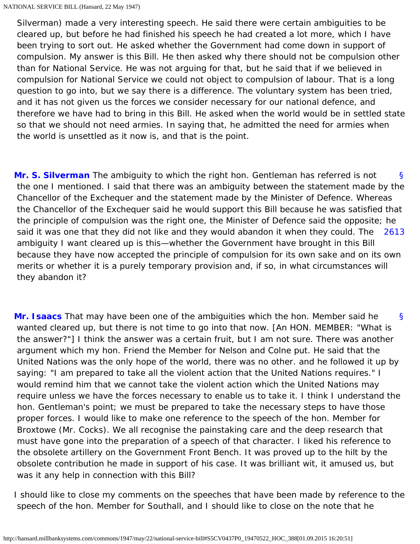Silverman) made a very interesting speech. He said there were certain ambiguities to be cleared up, but before he had finished his speech he had created a lot more, which I have been trying to sort out. He asked whether the Government had come down in support of compulsion. My answer is this Bill. He then asked why there should not be compulsion other than for National Service. He was not arguing for that, but he said that if we believed in compulsion for National Service we could not object to compulsion of labour. That is a long question to go into, but we say there is a difference. The voluntary system has been tried, and it has not given us the forces we consider necessary for our national defence, and therefore we have had to bring in this Bill. He asked when the world would be in settled state so that we should not need armies. In saying that, he admitted the need for armies when the world is unsettled as it now is, and that is the point.

<span id="page-55-1"></span><span id="page-55-0"></span>[§](#page-55-0) [2613](#page-55-1) **[Mr. S. Silverman](http://hansard.millbanksystems.com/people/mr-samuel-silverman)** The ambiguity to which the right hon. Gentleman has referred is not the one I mentioned. I said that there was an ambiguity between the statement made by the Chancellor of the Exchequer and the statement made by the Minister of Defence. Whereas the Chancellor of the Exchequer said he would support this Bill because he was satisfied that the principle of compulsion was the right one, the Minister of Defence said the opposite; he said it was one that they did not like and they would abandon it when they could. The ambiguity I want cleared up is this—whether the Government have brought in this Bill because they have now accepted the principle of compulsion for its own sake and on its own merits or whether it is a purely temporary provision and, if so, in what circumstances will they abandon it?

<span id="page-55-2"></span>[§](#page-55-2) **[Mr. Isaacs](http://hansard.millbanksystems.com/people/mr-george-isaacs)** That may have been one of the ambiguities which the hon. Member said he wanted cleared up, but there is not time to go into that now. [An HON. MEMBER: "What is the answer?"] I think the answer was a certain fruit, but I am not sure. There was another argument which my hon. Friend the Member for Nelson and Colne put. He said that the United Nations was the only hope of the world, there was no other. and he followed it up by saying: "I am prepared to take all the violent action that the United Nations requires." I would remind him that we cannot take the violent action which the United Nations may require unless we have the forces necessary to enable us to take it. I think I understand the hon. Gentleman's point; we must be prepared to take the necessary steps to have those proper forces. I would like to make one reference to the speech of the hon. Member for Broxtowe (Mr. Cocks). We all recognise the painstaking care and the deep research that must have gone into the preparation of a speech of that character. I liked his reference to the obsolete artillery on the Government Front Bench. It was proved up to the hilt by the obsolete contribution he made in support of his case. It was brilliant wit, it amused us, but was it any help in connection with this Bill?

I should like to close my comments on the speeches that have been made by reference to the speech of the hon. Member for Southall, and I should like to close on the note that he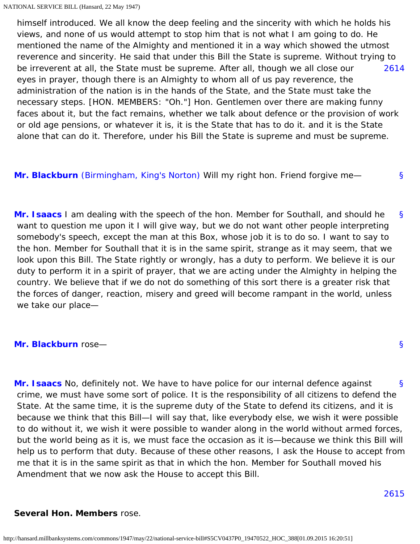<span id="page-56-0"></span>[2614](#page-56-0) himself introduced. We all know the deep feeling and the sincerity with which he holds his views, and none of us would attempt to stop him that is not what I am going to do. He mentioned the name of the Almighty and mentioned it in a way which showed the utmost reverence and sincerity. He said that under this Bill the State is supreme. Without trying to be irreverent at all, the State must be supreme. After all, though we all close our eyes in prayer, though there is an Almighty to whom all of us pay reverence, the administration of the nation is in the hands of the State, and the State must take the necessary steps. [HON. MEMBERS: "Oh."] Hon. Gentlemen over there are making funny faces about it, but the fact remains, whether we talk about defence or the provision of work or old age pensions, or whatever it is, it is the State that has to do it. and it is the State alone that can do it. Therefore, under his Bill the State is supreme and must be supreme.

<span id="page-56-2"></span><span id="page-56-1"></span>**[Mr. Blackburn](http://hansard.millbanksystems.com/people/captain-albert-blackburn)** [\(Birmingham, King's Norton\)](http://hansard.millbanksystems.com/constituencies/birmingham-kings-norton) Will my right hon. Friend forgive me—

[§](#page-56-2) **[Mr. Isaacs](http://hansard.millbanksystems.com/people/mr-george-isaacs)** I am dealing with the speech of the hon. Member for Southall, and should he want to question me upon it I will give way, but we do not want other people interpreting somebody's speech, except the man at this Box, whose job it is to do so. I want to say to the hon. Member for Southall that it is in the same spirit, strange as it may seem, that we look upon this Bill. The State rightly or wrongly, has a duty to perform. We believe it is our duty to perform it in a spirit of prayer, that we are acting under the Almighty in helping the country. We believe that if we do not do something of this sort there is a greater risk that the forces of danger, reaction, misery and greed will become rampant in the world, unless we take our place—

# <span id="page-56-4"></span><span id="page-56-3"></span>**[Mr. Blackburn](http://hansard.millbanksystems.com/people/captain-albert-blackburn)** rose—

[§](#page-56-4) **[Mr. Isaacs](http://hansard.millbanksystems.com/people/mr-george-isaacs)** No, definitely not. We have to have police for our internal defence against crime, we must have some sort of police. It is the responsibility of all citizens to defend the State. At the same time, it is the supreme duty of the State to defend its citizens, and it is because we think that this Bill—I will say that, like everybody else, we wish it were possible to do without it, we wish it were possible to wander along in the world without armed forces, but the world being as it is, we must face the occasion as it is—because we think this Bill will help us to perform that duty. Because of these other reasons, I ask the House to accept from me that it is in the same spirit as that in which the hon. Member for Southall moved his Amendment that we now ask the House to accept this Bill.

[§](#page-56-1)

[§](#page-56-3)

#### <span id="page-56-5"></span>**Several Hon. Members** rose.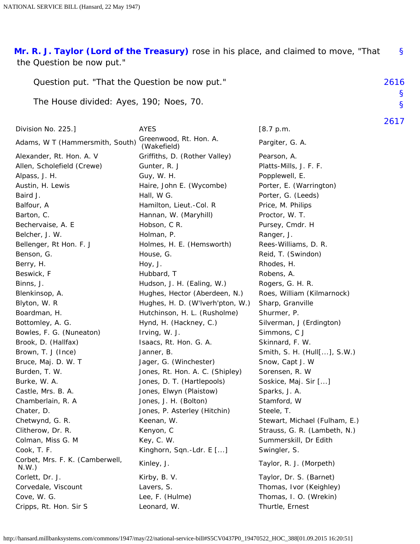<span id="page-57-0"></span>[§](#page-57-0) **[Mr. R. J. Taylor \(Lord of the Treasury\)](http://hansard.millbanksystems.com/people/mr-robert-taylor-2)** rose in his place, and claimed to move, "That the Question be now put."

<span id="page-57-2"></span><span id="page-57-1"></span>

| Question put. "That the Question be now put."                                                                                                                                                                                                                                                                                                                                                                                                                                                                  |                                                                                                                                                                                                                                                                                                                                                                                                                                                                                                                                                                                                                                                | 2616                                                                                                                                                                                                                                                                                                                                                                                                                                                                                                                                       |                   |
|----------------------------------------------------------------------------------------------------------------------------------------------------------------------------------------------------------------------------------------------------------------------------------------------------------------------------------------------------------------------------------------------------------------------------------------------------------------------------------------------------------------|------------------------------------------------------------------------------------------------------------------------------------------------------------------------------------------------------------------------------------------------------------------------------------------------------------------------------------------------------------------------------------------------------------------------------------------------------------------------------------------------------------------------------------------------------------------------------------------------------------------------------------------------|--------------------------------------------------------------------------------------------------------------------------------------------------------------------------------------------------------------------------------------------------------------------------------------------------------------------------------------------------------------------------------------------------------------------------------------------------------------------------------------------------------------------------------------------|-------------------|
| The House divided: Ayes, 190; Noes, 70.                                                                                                                                                                                                                                                                                                                                                                                                                                                                        |                                                                                                                                                                                                                                                                                                                                                                                                                                                                                                                                                                                                                                                |                                                                                                                                                                                                                                                                                                                                                                                                                                                                                                                                            | S<br>$\mathsf{S}$ |
| Division No. 225.]                                                                                                                                                                                                                                                                                                                                                                                                                                                                                             | <b>AYES</b>                                                                                                                                                                                                                                                                                                                                                                                                                                                                                                                                                                                                                                    | [8.7 p.m.                                                                                                                                                                                                                                                                                                                                                                                                                                                                                                                                  | 2617              |
| Adams, W T (Hammersmith, South)                                                                                                                                                                                                                                                                                                                                                                                                                                                                                | Greenwood, Rt. Hon. A.                                                                                                                                                                                                                                                                                                                                                                                                                                                                                                                                                                                                                         | Pargiter, G. A.                                                                                                                                                                                                                                                                                                                                                                                                                                                                                                                            |                   |
| Alexander, Rt. Hon. A. V<br>Allen, Scholefield (Crewe)<br>Alpass, J. H.<br>Austin, H. Lewis<br>Baird J.<br>Balfour, A<br>Barton, C.<br>Bechervaise, A. E<br>Belcher, J. W.<br>Bellenger, Rt Hon. F. J<br>Benson, G.<br>Berry, H.<br>Beswick, F<br>Binns, J.<br>Blenkinsop, A.<br>Blyton, W. R<br>Boardman, H.<br>Bottomley, A. G.<br>Bowles, F. G. (Nuneaton)<br>Brook, D. (Hallfax)<br>Brown, T. J (Ince)<br>Bruce, Maj. D. W. T<br>Burden, T. W.<br>Burke, W. A.<br>Castle, Mrs. B. A.<br>Chamberlain, R. A. | (Wakefield)<br>Griffiths, D. (Rother Valley)<br>Gunter, R. J<br>Guy, W. H.<br>Haire, John E. (Wycombe)<br>Hall, W G.<br>Hamilton, Lieut.-Col. R<br>Hannan, W. (Maryhill)<br>Hobson, C R.<br>Holman, P.<br>Holmes, H. E. (Hemsworth)<br>House, G.<br>Hoy, J.<br>Hubbard, T<br>Hudson, J. H. (Ealing, W.)<br>Hughes, Hector (Aberdeen, N.)<br>Hughes, H. D. (W'Iverh'pton, W.)<br>Hutchinson, H. L. (Rusholme)<br>Hynd, H. (Hackney, C.)<br>Irving, W. J.<br>Isaacs, Rt. Hon. G. A.<br>Janner, B.<br>Jager, G. (Winchester)<br>Jones, Rt. Hon. A. C. (Shipley)<br>Jones, D. T. (Hartlepools)<br>Jones, Elwyn (Plaistow)<br>Jones, J. H. (Bolton) | Pearson, A.<br>Platts-Mills, J. F. F.<br>Popplewell, E.<br>Porter, E. (Warrington)<br>Porter, G. (Leeds)<br>Price, M. Philips<br>Proctor, W. T.<br>Pursey, Cmdr. H<br>Ranger, J.<br>Rees-Williams, D. R.<br>Reid, T. (Swindon)<br>Rhodes, H.<br>Robens, A.<br>Rogers, G. H. R.<br>Roes, William (Kilmarnock)<br>Sharp, Granville<br>Shurmer, P.<br>Silverman, J (Erdington)<br>Simmons, C J<br>Skinnard, F. W.<br>Smith, S. H. (Hull[], S.W.)<br>Snow, Capt J. W<br>Sorensen, R. W<br>Soskice, Maj. Sir []<br>Sparks, J. A.<br>Stamford, W |                   |
| Chater, D.<br>Chetwynd, G. R.<br>Clitherow, Dr. R.                                                                                                                                                                                                                                                                                                                                                                                                                                                             | Jones, P. Asterley (Hitchin)<br>Keenan, W.<br>Kenyon, C                                                                                                                                                                                                                                                                                                                                                                                                                                                                                                                                                                                        | Steele, T.<br>Stewart, Michael (Fulham, E.)<br>Strauss, G. R. (Lambeth, N.)                                                                                                                                                                                                                                                                                                                                                                                                                                                                |                   |
| Colman, Miss G. M                                                                                                                                                                                                                                                                                                                                                                                                                                                                                              | Key, C. W.                                                                                                                                                                                                                                                                                                                                                                                                                                                                                                                                                                                                                                     | Summerskill, Dr Edith                                                                                                                                                                                                                                                                                                                                                                                                                                                                                                                      |                   |
| Cook, T. F.<br>Corbet, Mrs. F. K. (Camberwell,<br>N.W.                                                                                                                                                                                                                                                                                                                                                                                                                                                         | Kinghorn, Sqn.-Ldr. E []<br>Kinley, J.                                                                                                                                                                                                                                                                                                                                                                                                                                                                                                                                                                                                         | Swingler, S.<br>Taylor, R. J. (Morpeth)                                                                                                                                                                                                                                                                                                                                                                                                                                                                                                    |                   |
| Corlett, Dr. J.<br>Corvedale, Viscount<br>Cove, W. G.<br>Cripps, Rt. Hon. Sir S                                                                                                                                                                                                                                                                                                                                                                                                                                | Kirby, B. V.<br>Lavers, S.<br>Lee, F. (Hulme)<br>Leonard, W.                                                                                                                                                                                                                                                                                                                                                                                                                                                                                                                                                                                   | Taylor, Dr. S. (Barnet)<br>Thomas, Ivor (Keighley)<br>Thomas, I. O. (Wrekin)<br>Thurtle, Ernest                                                                                                                                                                                                                                                                                                                                                                                                                                            |                   |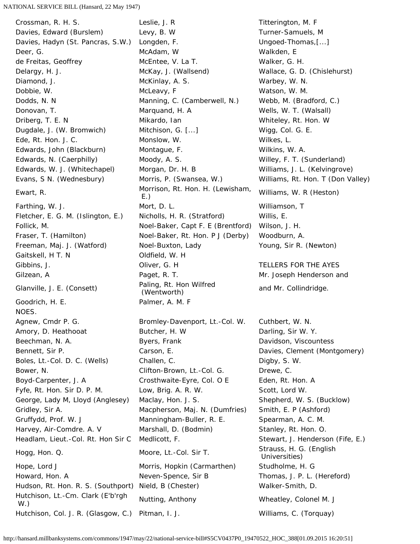Ewart, R. (Lewisham, Morrison, Rt. Hon. H. (Lewisham, E.) Gaitskell, H T. N Oldfield, W. H Glanville, J. E. (Consett) Paling, Rt. Hon Wilfred<br>(Wentworth) Goodrich, H. E. Palmer, A. M. F NOES. Hutchison, Lt.-Cm. Clark (E'b'rgh Hutchison, Et.-Oni. Clark (E DTgir Mutting, Anthony Municipal Meatley, Colonel M. J. W.)

Crossman, R. H. S. Leslie, J. R Crossman, R. H. S. Davies, Edward (Burslem) Levy, B. W Turner-Samuels, M Davies, Hadyn (St. Pancras, S.W.) Longden, F. (2008) Ungoed-Thomas, [...] Deer, G. No. 2006. In the McAdam, W. C. 2006. Walkden, E. 2006. In the Walkden, E. 2006. In the McAdam, W. 200 de Freitas, Geoffrey **McEntee, V. La T.** Walker, G. H. Delargy, H. J. (McKay, J. (Wallsend) Wallace, G. D. (Chislehurst) Diamond, J. McKinlay, A. S. Warbey, W. N. Dobbie, W. No. 1998. The McLeavy, F. The Most Muslim Watson, W. M. In the Muslim Muslim McLeavy, F. 1999. The Muslim Muslim Muslim Muslim Muslim Muslim Muslim Muslim Muslim Muslim Muslim Muslim Muslim Muslim Muslim Muslim Dodds, N. N Manning, C. (Camberwell, N.) Webb, M. (Bradford, C.) Donovan, T. Marquand, H. A Wells, W. T. (Walsall) Driberg, T. E. N Mikardo, Ian Mikardo, Ian Mhiteley, Rt. Hon. W Dugdale, J. (W. Bromwich) Mitchison, G. [...] Wigg, Col. G. E. Ede, Rt. Hon. J. C. Monslow, W. Wilkes, L. Edwards, John (Blackburn) Montague, F. The Mulkins, W. A. Edwards, N. (Caerphilly) Moody, A. S. Willey, F. T. (Sunderland) Edwards, W. J. (Whitechapel) Morgan, Dr. H. B Williams, J. L. (Kelvingrove) Evans, S N. (Wednesbury) Morris, P. (Swansea, W.) Williams, Rt. Hon. T (Don Valley) Farthing, W. J. Nort, D. L. Communist Communist Mulliamson, T Fletcher, E. G. M. (Islington, E.) Nicholls, H. R. (Stratford) Willis, E. Follick, M. Noel-Baker, Capt F. E (Brentford) Wilson, J. H. Fraser, T. (Hamilton) Noel-Baker, Rt. Hon. P J (Derby) Woodburn, A. Freeman, Maj. J. (Watford) Noel-Buxton, Lady Young, Sir R. (Newton) Gibbins, J. Oliver, G. H TELLERS FOR THE AYES Gilzean, A Paget, R. T. Mr. Joseph Henderson and Agnew, Cmdr P. G. Sand Christen Bromley-Davenport, Lt.-Col. W. Cuthbert, W. N. Amory, D. Heathooat **Butcher, H. W Butcher, H. W** Darling, Sir W. Y. Beechman, N. A. **Byers, Frank Communist Cause Davidson, Viscountess** Bennett, Sir P. Carson, E. Carson, E. Carson, E. Carson, E. Communication Context (Montgomery) Boles, Lt.-Col. D. C. (Wells) Challen, C. Challen, C. Challen, Digby, S. W. Bower, N. Same Clifton-Brown, Lt.-Col. G. School Drewe, C. Boyd-Carpenter, J. A Crosthwaite-Eyre, Col. O E Eden, Rt. Hon. A Fyfe, Rt. Hon. Sir D. P. M. Low, Brig. A. R. W. Scott, Lord W. George, Lady M, Lloyd (Anglesey) Maclay, Hon. J. S. Shepherd, W. S. (Bucklow) Gridley, Sir A. **Macpherson, Maj. N. (Dumfries)** Smith, E. P (Ashford) Gruffydd, Prof. W. J **Manningham-Buller, R. E.** Spearman, A. C. M. Harvey, Air-Comdre. A. V Marshall, D. (Bodmin) Stanley, Rt. Hon. O. Headlam, Lieut.-Col. Rt. Hon Sir C Medlicott, F. Stewart, J. Henderson (Fife, E.) Hogg, Hon. Q. Collection of Moore, Lt.-Col. Sir T. Strauss, H. G. (English Universities) Hope, Lord J **Morris, Hopkin (Carmarthen)** Studholme, H. G Howard, Hon. A Neven-Spence, Sir B Thomas, J. P. L. (Hereford) Hudson, Rt. Hon. R. S. (Southport) Nield, B (Chester) Walker-Smith, D.

Williams, W. R (Heston) and Mr. Collindridge.

http://hansard.millbanksystems.com/commons/1947/may/22/national-service-bill#S5CV0437P0\_19470522\_HOC\_388[01.09.2015 16:20:51]

Hutchison, Col. J. R. (Glasgow, C.) Pitman, I. J. Williams, C. (Torquay)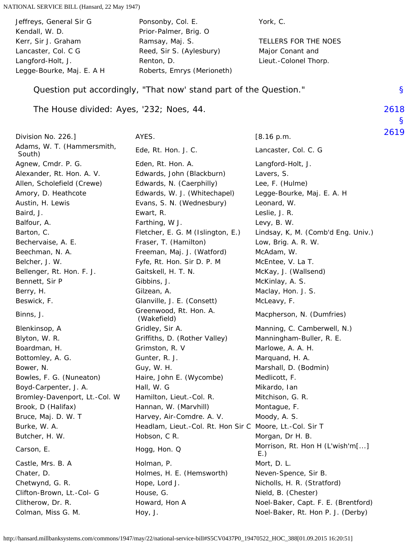<span id="page-59-1"></span><span id="page-59-0"></span>

| Jeffreys, General Sir G<br>Kendall, W. D. | Ponsonby, Col. E.<br>Prior-Palmer, Brig. O                        | York, C.                                  |           |
|-------------------------------------------|-------------------------------------------------------------------|-------------------------------------------|-----------|
| Kerr, Sir J. Graham                       | Ramsay, Maj. S.                                                   | TELLERS FOR THE NOES                      |           |
| Lancaster, Col. C G                       | Reed, Sir S. (Aylesbury)                                          | Major Conant and                          |           |
| Langford-Holt, J.                         | Renton, D.                                                        | Lieut.-Colonel Thorp.                     |           |
| Legge-Bourke, Maj. E. A H                 | Roberts, Emrys (Merioneth)                                        |                                           |           |
|                                           | Question put accordingly, "That now' stand part of the Question." |                                           | S         |
| The House divided: Ayes, '232; Noes, 44.  |                                                                   |                                           | 2618      |
|                                           | AYES.                                                             |                                           | S<br>2619 |
| Division No. 226.]                        |                                                                   | [8.16 p.m.                                |           |
| Adams, W. T. (Hammersmith,<br>South)      | Ede, Rt. Hon. J. C.                                               | Lancaster, Col. C. G                      |           |
| Agnew, Cmdr. P. G.                        | Eden, Rt. Hon. A.                                                 | Langford-Holt, J.                         |           |
| Alexander, Rt. Hon. A. V.                 | Edwards, John (Blackburn)                                         | Lavers, S.                                |           |
| Allen, Scholefield (Crewe)                | Edwards, N. (Caerphilly)                                          | Lee, F. (Hulme)                           |           |
| Amory, D. Heathcote                       | Edwards, W. J. (Whitechapel)                                      | Legge-Bourke, Maj. E. A. H                |           |
| Austin, H. Lewis<br>Baird, J.             | Evans, S. N. (Wednesbury)<br>Ewart, R.                            | Leonard, W.<br>Leslie, J. R.              |           |
| Balfour, A.                               |                                                                   | Levy, B. W.                               |           |
| Barton, C.                                | Farthing, W J.<br>Fletcher, E. G. M (Islington, E.)               | Lindsay, K, M. (Comb'd Eng. Univ.)        |           |
| Bechervaise, A. E.                        | Fraser, T. (Hamilton)                                             | Low, Brig. A. R. W.                       |           |
| Beechman, N. A.                           | Freeman, Maj. J. (Watford)                                        | McAdam, W.                                |           |
| Belcher, J. W.                            | Fyfe, Rt. Hon. Sir D. P. M                                        | McEntee, V. La T.                         |           |
| Bellenger, Rt. Hon. F. J.                 | Gaitskell, H. T. N.                                               | McKay, J. (Wallsend)                      |           |
| Bennett, Sir P                            | Gibbins, J.                                                       | McKinlay, A. S.                           |           |
| Berry, H.                                 | Gilzean, A.                                                       | Maclay, Hon. J. S.                        |           |
| Beswick, F.                               | Glanville, J. E. (Consett)                                        | McLeavy, F.                               |           |
| Binns, J.                                 | Greenwood, Rt. Hon. A.<br>(Wakefield)                             | Macpherson, N. (Dumfries)                 |           |
| Blenkinsop, A                             | Gridley, Sir A.                                                   | Manning, C. Camberwell, N.)               |           |
| Blyton, W. R.                             | Griffiths, D. (Rother Valley)                                     | Manningham-Buller, R. E.                  |           |
| Boardman, H.                              | Grimston, R. V                                                    | Marlowe, A. A. H.                         |           |
| Bottomley, A. G.                          | Gunter, R. J.                                                     | Marquand, H. A.                           |           |
| Bower, N.                                 | Guy, W. H.                                                        | Marshall, D. (Bodmin)                     |           |
| Bowles, F. G. (Nuneaton)                  | Haire, John E. (Wycombe)                                          | Medlicott, F.                             |           |
| Boyd-Carpenter, J. A.                     | Hall, W. G                                                        | Mikardo, Ian                              |           |
| Bromley-Davenport, Lt.-Col. W             | Hamilton, Lieut.-Col. R.                                          | Mitchison, G. R.                          |           |
| Brook, D (Halifax)                        | Hannan, W. (Marvhill)                                             | Montague, F.                              |           |
| Bruce, Maj. D. W. T                       | Harvey, Air-Comdre. A. V.                                         | Moody, A. S.                              |           |
| Burke, W. A.                              | Headlam, Lieut.-Col. Rt. Hon Sir C Moore, Lt.-Col. Sir T          |                                           |           |
| Butcher, H. W.                            | Hobson, C R.                                                      | Morgan, Dr H. B.                          |           |
| Carson, E.                                | Hogg, Hon. Q                                                      | Morrison, Rt. Hon H (L'wish'm[]<br>$E$ .) |           |
| Castle, Mrs. B. A                         | Holman, P.                                                        | Mort, D. L.                               |           |
| Chater, D.                                | Holmes, H. E. (Hemsworth)                                         | Neven-Spence, Sir B.                      |           |
| Chetwynd, G. R.                           | Hope, Lord J.                                                     | Nicholls, H. R. (Stratford)               |           |
| Clifton-Brown, Lt.-Col- G                 | House, G.                                                         | Nield, B. (Chester)                       |           |
| Clitherow, Dr. R.                         | Howard, Hon A                                                     | Noel-Baker, Capt. F. E. (Brentford)       |           |
| Colman, Miss G. M.                        | Hoy, J.                                                           | Noel-Baker, Rt. Hon P. J. (Derby)         |           |
|                                           |                                                                   |                                           |           |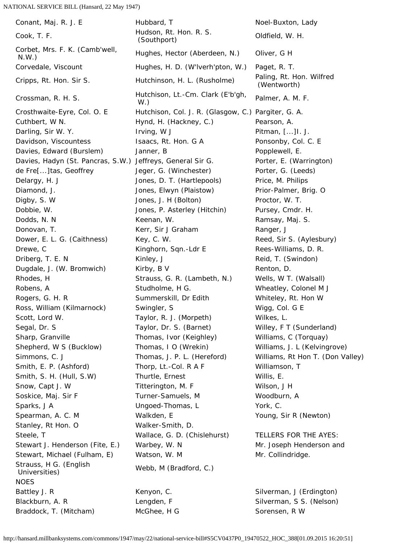Cook, T. F. (Southport) Francescope (Southport) Corbet, Mrs. F. K. (Camb'well, Stanley, Rt Hon. O Walker-Smith, D. Strauss, H G. (English Strauss, H G. (Erigiism Mebb, M (Bradford, C.)<br>Universities) **NOES** Battley J. R **Kenyon, C.** Kenyon, C. Silverman, J (Erdington) Blackburn, A. R **Elengten, F** Silverman, S S. (Nelson)

Conant, Maj. R. J. E **Hubbard, T** Noel-Buxton, Lady Oldfield, W. H. Corbet, MIS. F. K. (Carlib Well, Thughes, Hector (Aberdeen, N.) Oliver, G H<br>N.W.) Corvedale, Viscount Hughes, H. D. (W'lverh'pton, W.) Paget, R. T. Cripps, Rt. Hon. Sir S. Hutchinson, H. L. (Rusholme) Paling, Rt. Hon. Wilfred (Wentworth) Crossman, R. H. S. Hutchison, Lt.-Cm. Clark (E'b'gh, V.) Palmer, A. M. F. Crosthwaite-Eyre, Col. O. E Hutchison, Col. J. R. (Glasgow, C.) Pargiter, G. A. Cuthbert, W N. **Hynd, H. (Hackney, C.)** Pearson, A. Darling, Sir W. Y. **Irving, W J** Pitman, [...]I. J. Davidson, Viscountess The Isaacs, Rt. Hon. G A Ponsonby, Col. C. E Davies, Edward (Burslem) Janner, B For Popplewell, E. Davies, Hadyn (St. Pancras, S.W.) Jeffreys, General Sir G. Porter, E. (Warrington) de Fre[...]tas, Geoffrey **Jeger, G. (Winchester)** Porter, G. (Leeds) Delargy, H. J **Delargy, H. J. Jones, D. T. (Hartlepools)** Price, M. Philips Diamond, J. The Moscow Homes, Elwyn (Plaistow) Prior-Palmer, Brig. O Digby, S. W Jones, J. H (Bolton) Proctor, W. T. Dobbie, W. **In the State Communist Coney, Condition** Pursey, Cmdr. H. Dodds, N. N **Keenan, W.** Codds, N. Namsay, Maj. S. Donovan, T. Kerr, Sir J Graham Ranger, J Dower, E. L. G. (Caithness) Key, C. W. Same Reed, Sir S. (Aylesbury) Drewe, C **Commission Example 2** Kinghorn, Sqn.-Ldr E **Rees-Williams, D. R.** Driberg, T. E. N Kinley, J **Kinley, J** Reid, T. (Swindon) Dugdale, J. (W. Bromwich) Kirby, B V **Renton, D.** Renton, D. Rhodes, H Strauss, G. R. (Lambeth, N.) Wells, W T. (Walsall) Robens, A Studholme, H G. Wheatley, Colonel M J Rogers, G. H. R Gummerskill, Dr Edith The Whiteley, Rt. Hon W Ross, William (Kilmarnock) Swingler, S The Migg, Col. G E Scott, Lord W. Taylor, R. J. (Morpeth) Wilkes, L. Segal, Dr. S Taylor, Dr. S. (Barnet) Willey, F T (Sunderland) Sharp, Granville Thomas, Ivor (Keighley) Williams, C (Torquay) Shepherd, W S (Bucklow) Thomas, I O (Wrekin) Williams, J. L (Kelvingrove) Simmons, C. J Thomas, J. P. L. (Hereford) Williams, Rt Hon T. (Don Valley) Smith, E. P. (Ashford) Thorp, Lt.-Col. R A F Williamson, T Smith, S. H. (Hull, S.W) Thurtle, Ernest The Willis, E. Snow, Capt J. W Titterington, M. F Wilson, J H Soskice, Maj. Sir F Turner-Samuels, M Woodburn, A Sparks, J A Contract All Ungoed-Thomas, L Contract Mork, C. Spearman, A. C. M Walkden, E Spearman, A. C. M Walkden, E Steele, T Wallace, G. D. (Chislehurst) TELLERS FOR THE AYES: Stewart J. Henderson (Fite, E.) Warbey, W. N Mr. Joseph Henderson and Stewart, Michael (Fulham, E) Watson, W. M Mr. Collindridge.

Braddock, T. (Mitcham) McGhee, H G Sorensen, R W